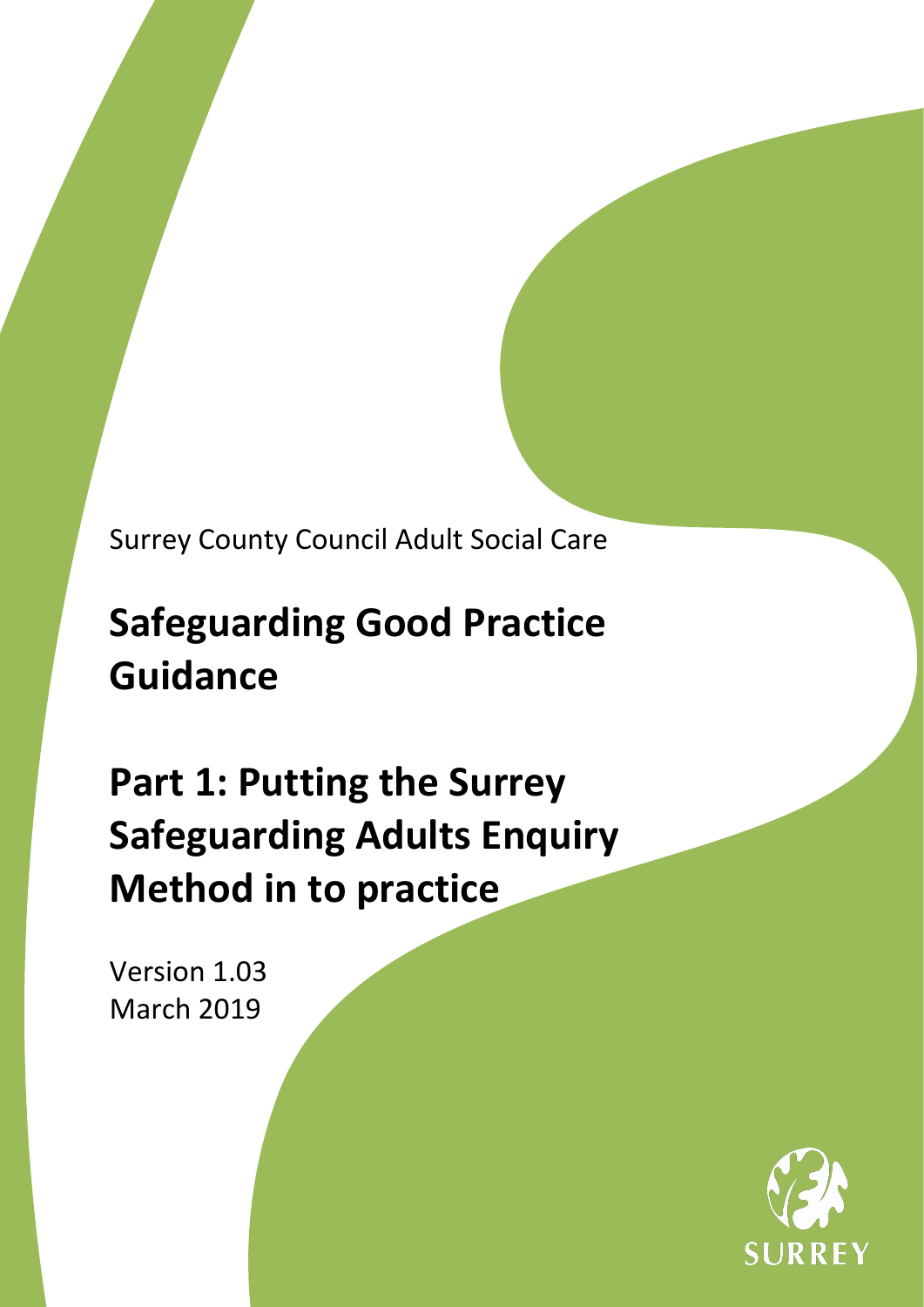Surrey County Council Adult Social Care

# **Safeguarding Good Practice Guidance**

**Part 1: Putting the Surrey Safeguarding Adults Enquiry Method in to practice**

Version 1.03 March 2019

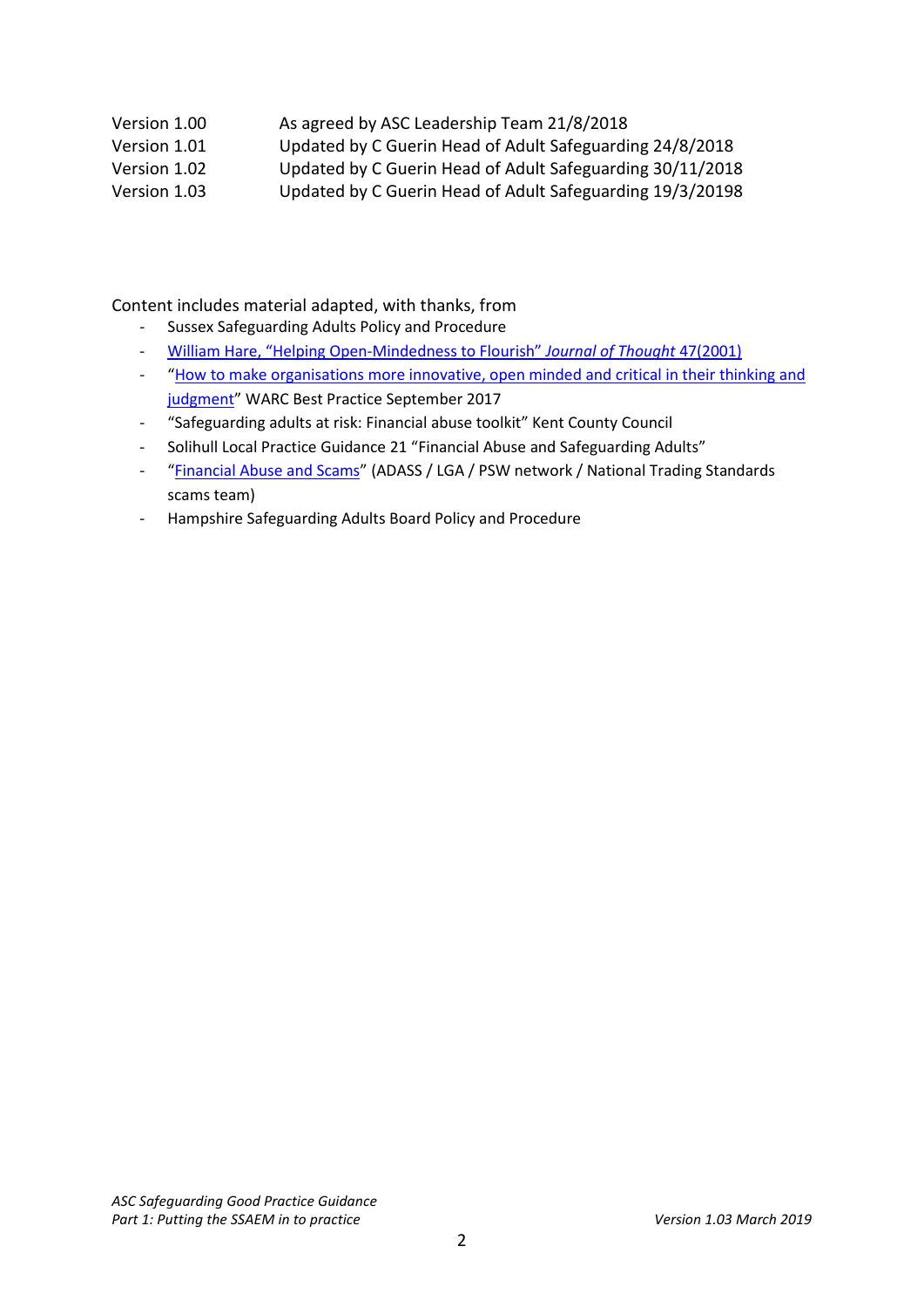# Version 1.00 As agreed by ASC Leadership Team 21/8/2018

Version 1.01 Updated by C Guerin Head of Adult Safeguarding 24/8/2018

Version 1.02 Updated by C Guerin Head of Adult Safeguarding 30/11/2018

Version 1.03 Updated by C Guerin Head of Adult Safeguarding 19/3/20198

Content includes material adapted, with thanks, from

- Sussex Safeguarding Adults Policy and Procedure
- William [Hare, "Helping Open-Mindedness to Flourish"](http://journalofthought.com/wp-content/uploads/2015/04/07hare.pdf) *Journal of Thought* 47(2001)
- ["How to make organisations more innovative, open minded and critical in their thinking and](https://www.thebearchitects.com/assets/uploads/Warc_BP_How_to_make_organisations_more_innovativ.pdf)  [judgment"](https://www.thebearchitects.com/assets/uploads/Warc_BP_How_to_make_organisations_more_innovativ.pdf) WARC Best Practice September 2017
- "Safeguarding adults at risk: Financial abuse toolkit" Kent County Council
- Solihull Local Practice Guidance 21 "Financial Abuse and Safeguarding Adults"
- ["Financial Abuse and Scams"](https://www.adass.org.uk/media/5799/top-tips-financial-abuse-and-scams.pdf) (ADASS / LGA / PSW network / National Trading Standards scams team)
- Hampshire Safeguarding Adults Board Policy and Procedure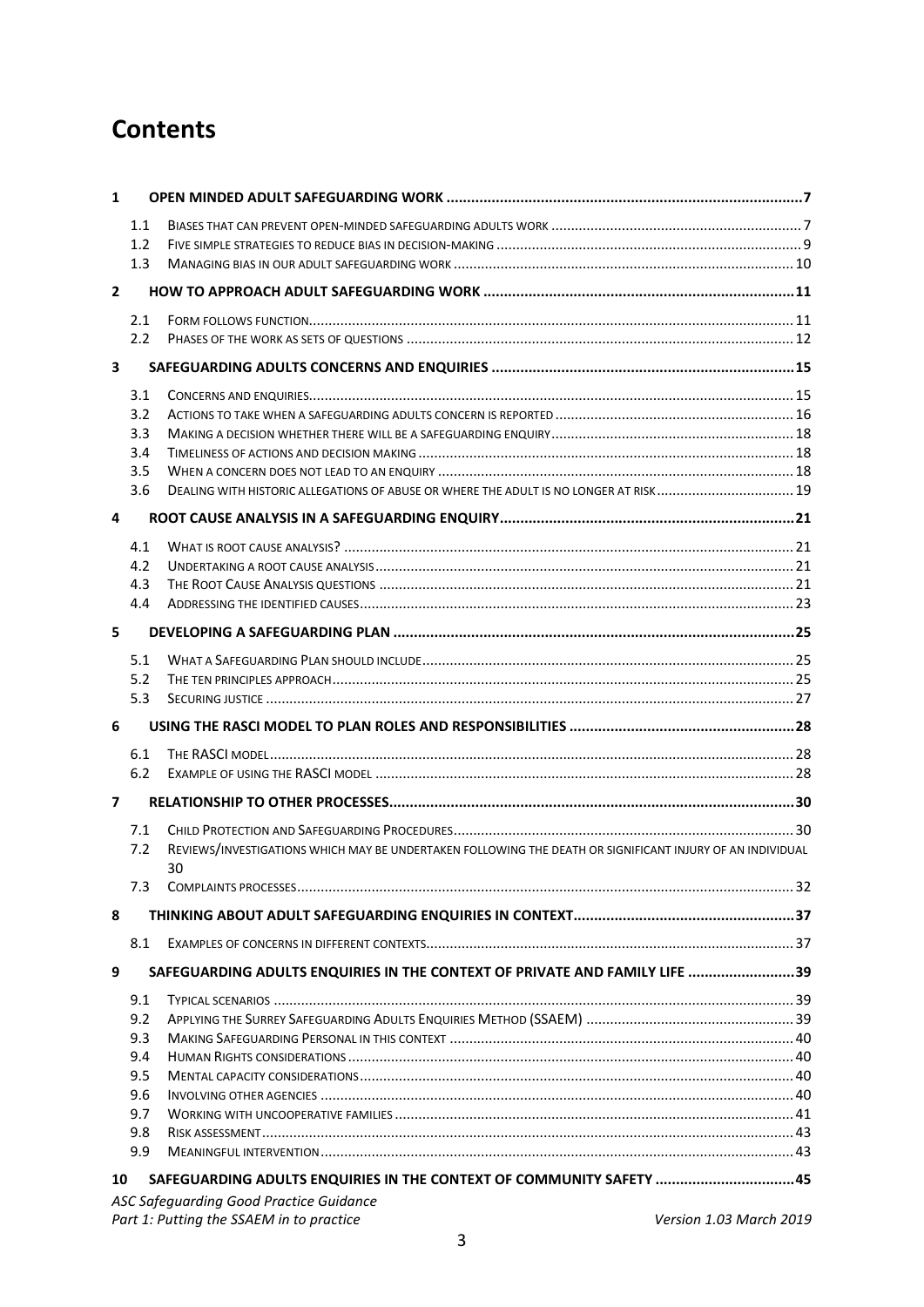# **Contents**

| $\mathbf{1}$   |     |                                                                                                                 |  |
|----------------|-----|-----------------------------------------------------------------------------------------------------------------|--|
|                | 1.1 |                                                                                                                 |  |
|                | 1.2 |                                                                                                                 |  |
|                | 1.3 |                                                                                                                 |  |
| $\mathbf{2}$   |     |                                                                                                                 |  |
|                | 2.1 |                                                                                                                 |  |
|                | 2.2 |                                                                                                                 |  |
|                |     |                                                                                                                 |  |
| $\mathbf{3}$   |     |                                                                                                                 |  |
|                | 3.1 |                                                                                                                 |  |
|                | 3.2 |                                                                                                                 |  |
|                | 3.3 |                                                                                                                 |  |
|                | 3.4 |                                                                                                                 |  |
|                | 3.5 |                                                                                                                 |  |
|                | 3.6 | DEALING WITH HISTORIC ALLEGATIONS OF ABUSE OR WHERE THE ADULT IS NO LONGER AT RISK 19                           |  |
| 4              |     |                                                                                                                 |  |
|                | 4.1 |                                                                                                                 |  |
|                | 4.2 |                                                                                                                 |  |
|                | 4.3 |                                                                                                                 |  |
|                | 4.4 |                                                                                                                 |  |
| 5              |     |                                                                                                                 |  |
|                | 5.1 |                                                                                                                 |  |
|                | 5.2 |                                                                                                                 |  |
|                | 5.3 |                                                                                                                 |  |
|                |     |                                                                                                                 |  |
| 6              |     |                                                                                                                 |  |
|                |     |                                                                                                                 |  |
|                | 6.1 |                                                                                                                 |  |
|                | 6.2 |                                                                                                                 |  |
| $\overline{7}$ |     |                                                                                                                 |  |
|                | 7.1 |                                                                                                                 |  |
|                | 7.2 | REVIEWS/INVESTIGATIONS WHICH MAY BE UNDERTAKEN FOLLOWING THE DEATH OR SIGNIFICANT INJURY OF AN INDIVIDUAL<br>30 |  |
|                | 7.3 |                                                                                                                 |  |
| 8              |     |                                                                                                                 |  |
|                | 8.1 |                                                                                                                 |  |
| 9              |     | SAFEGUARDING ADULTS ENQUIRIES IN THE CONTEXT OF PRIVATE AND FAMILY LIFE 39                                      |  |
|                | 9.1 |                                                                                                                 |  |
|                | 9.2 |                                                                                                                 |  |
|                | 9.3 |                                                                                                                 |  |
|                | 9.4 |                                                                                                                 |  |
|                | 9.5 |                                                                                                                 |  |
|                | 9.6 |                                                                                                                 |  |
|                | 9.7 |                                                                                                                 |  |
|                | 9.8 |                                                                                                                 |  |
|                | 9.9 |                                                                                                                 |  |
| 10             |     | SAFEGUARDING ADULTS ENQUIRIES IN THE CONTEXT OF COMMUNITY SAFETY  45                                            |  |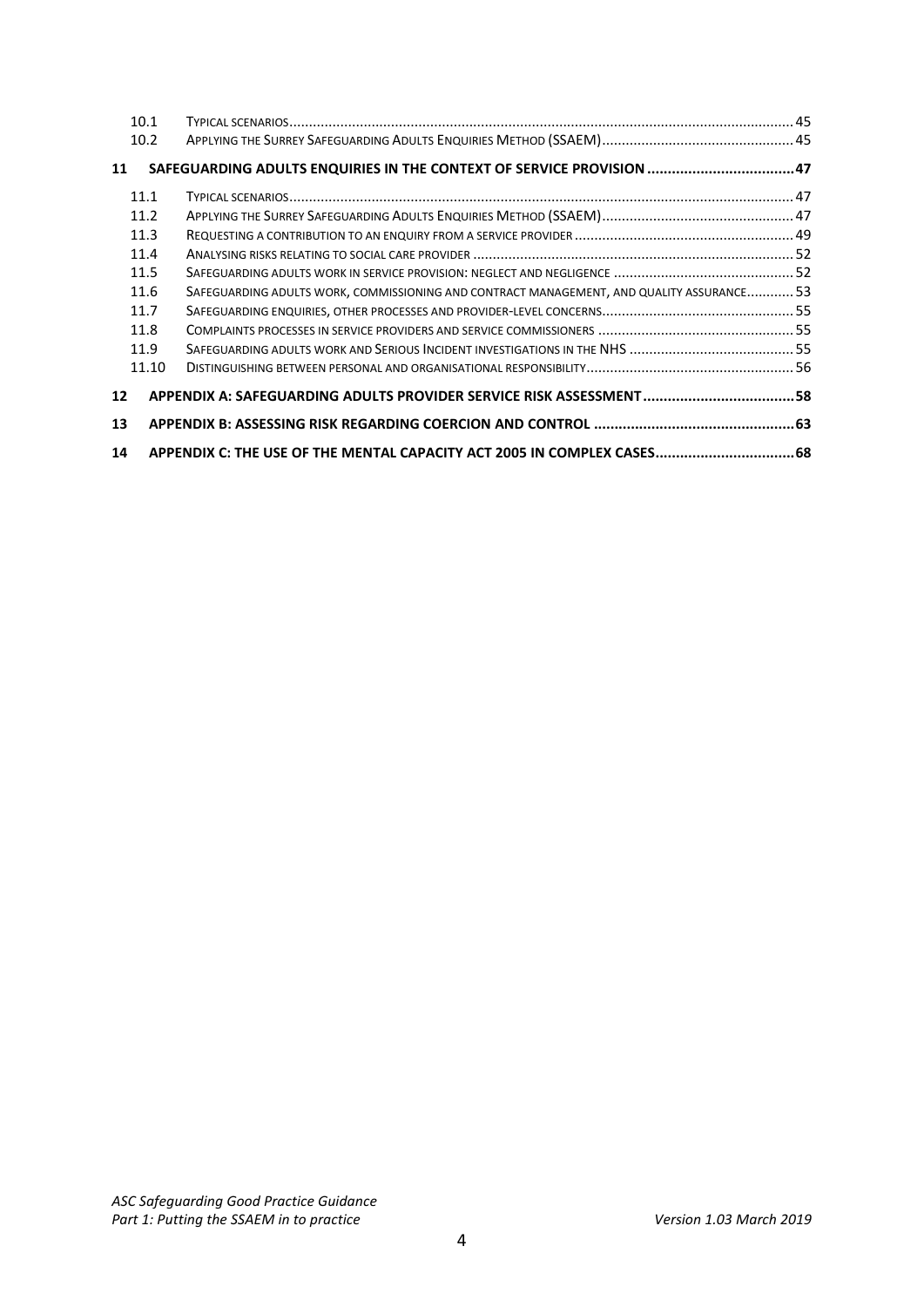|    | 10.1  |                                                                                           |  |
|----|-------|-------------------------------------------------------------------------------------------|--|
|    | 10.2  |                                                                                           |  |
| 11 |       | SAFEGUARDING ADULTS ENQUIRIES IN THE CONTEXT OF SERVICE PROVISION  47                     |  |
|    | 11.1  |                                                                                           |  |
|    | 11.2  |                                                                                           |  |
|    | 11.3  |                                                                                           |  |
|    | 11.4  |                                                                                           |  |
|    | 11.5  |                                                                                           |  |
|    | 11.6  | SAFEGUARDING ADULTS WORK, COMMISSIONING AND CONTRACT MANAGEMENT, AND QUALITY ASSURANCE 53 |  |
|    | 11.7  |                                                                                           |  |
|    | 11.8  |                                                                                           |  |
|    | 11.9  |                                                                                           |  |
|    | 11.10 |                                                                                           |  |
| 12 |       | APPENDIX A: SAFEGUARDING ADULTS PROVIDER SERVICE RISK ASSESSMENT  58                      |  |
| 13 |       |                                                                                           |  |
| 14 |       | APPENDIX C: THE USE OF THE MENTAL CAPACITY ACT 2005 IN COMPLEX CASES 68                   |  |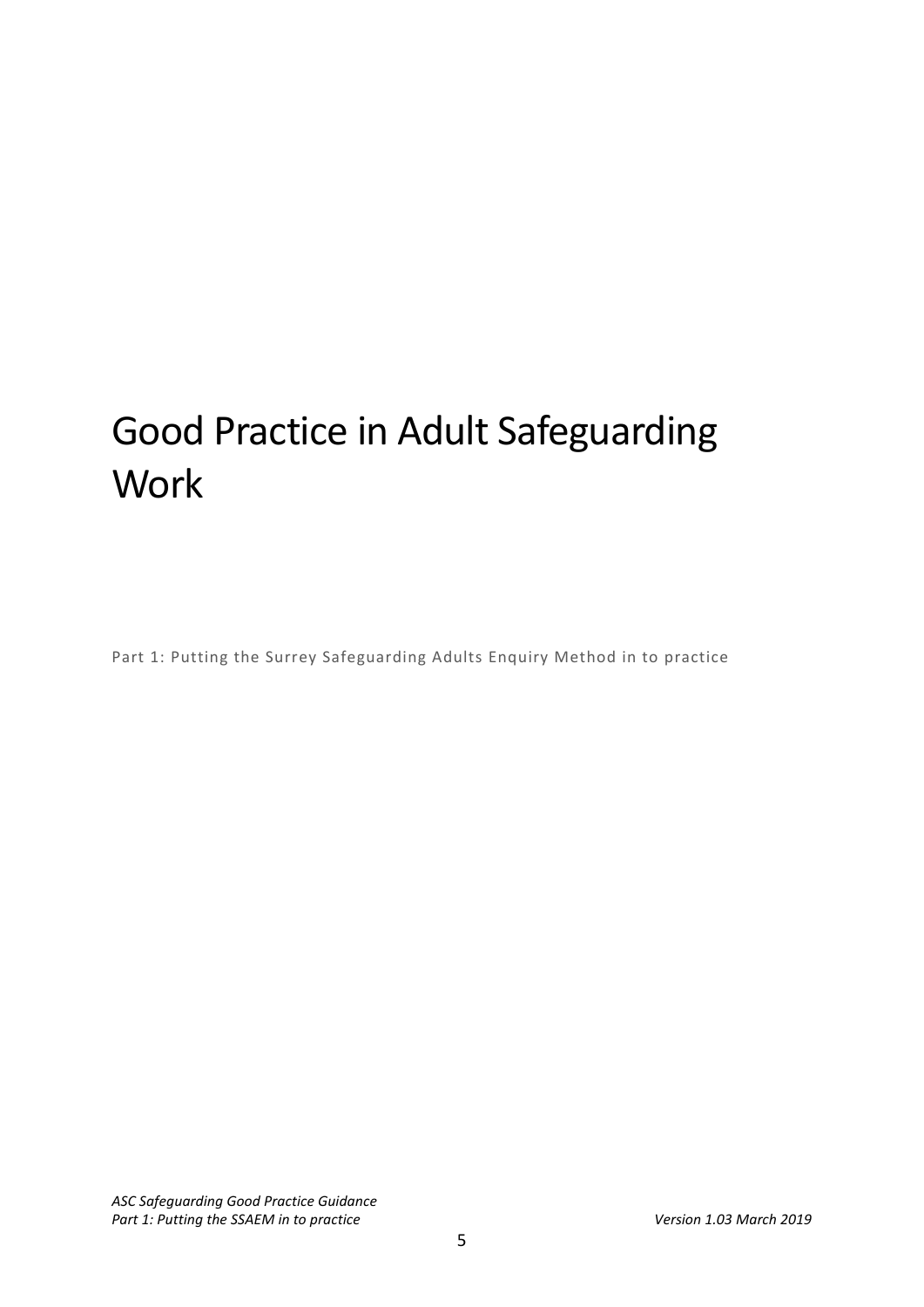# Good Practice in Adult Safeguarding **Work**

Part 1: Putting the Surrey Safeguarding Adults Enquiry Method in to practice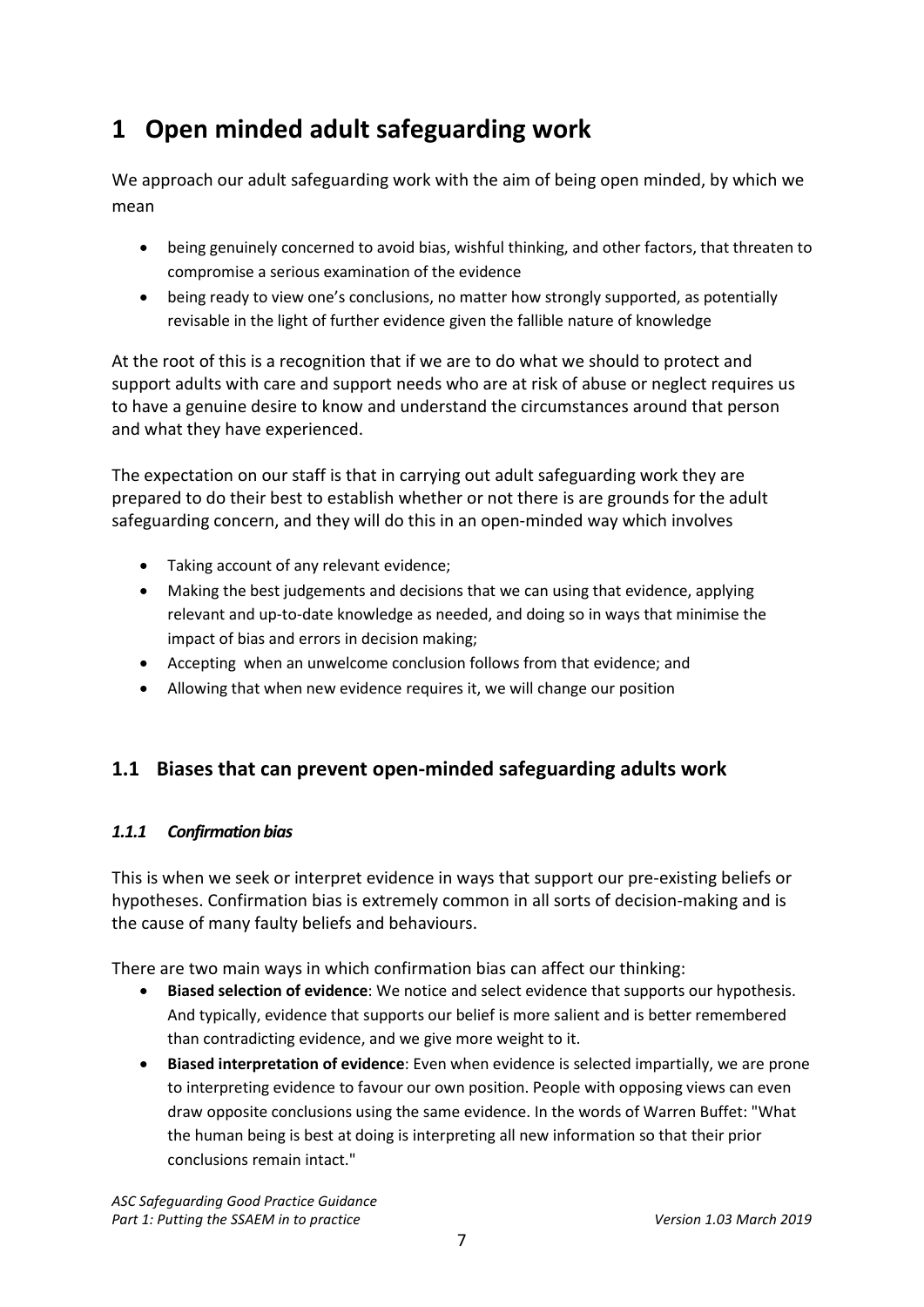# <span id="page-6-0"></span>**1 Open minded adult safeguarding work**

We approach our adult safeguarding work with the aim of being open minded, by which we mean

- being genuinely concerned to avoid bias, wishful thinking, and other factors, that threaten to compromise a serious examination of the evidence
- being ready to view one's conclusions, no matter how strongly supported, as potentially revisable in the light of further evidence given the fallible nature of knowledge

At the root of this is a recognition that if we are to do what we should to protect and support adults with care and support needs who are at risk of abuse or neglect requires us to have a genuine desire to know and understand the circumstances around that person and what they have experienced.

The expectation on our staff is that in carrying out adult safeguarding work they are prepared to do their best to establish whether or not there is are grounds for the adult safeguarding concern, and they will do this in an open-minded way which involves

- Taking account of any relevant evidence;
- Making the best judgements and decisions that we can using that evidence, applying relevant and up-to-date knowledge as needed, and doing so in ways that minimise the impact of bias and errors in decision making;
- Accepting when an unwelcome conclusion follows from that evidence; and
- Allowing that when new evidence requires it, we will change our position

# <span id="page-6-1"></span>**1.1 Biases that can prevent open-minded safeguarding adults work**

### *1.1.1 Confirmation bias*

This is when we seek or interpret evidence in ways that support our pre-existing beliefs or hypotheses. Confirmation bias is extremely common in all sorts of decision-making and is the cause of many faulty beliefs and behaviours.

There are two main ways in which confirmation bias can affect our thinking:

- **Biased selection of evidence**: We notice and select evidence that supports our hypothesis. And typically, evidence that supports our belief is more salient and is better remembered than contradicting evidence, and we give more weight to it.
- **Biased interpretation of evidence**: Even when evidence is selected impartially, we are prone to interpreting evidence to favour our own position. People with opposing views can even draw opposite conclusions using the same evidence. In the words of Warren Buffet: "What the human being is best at doing is interpreting all new information so that their prior conclusions remain intact."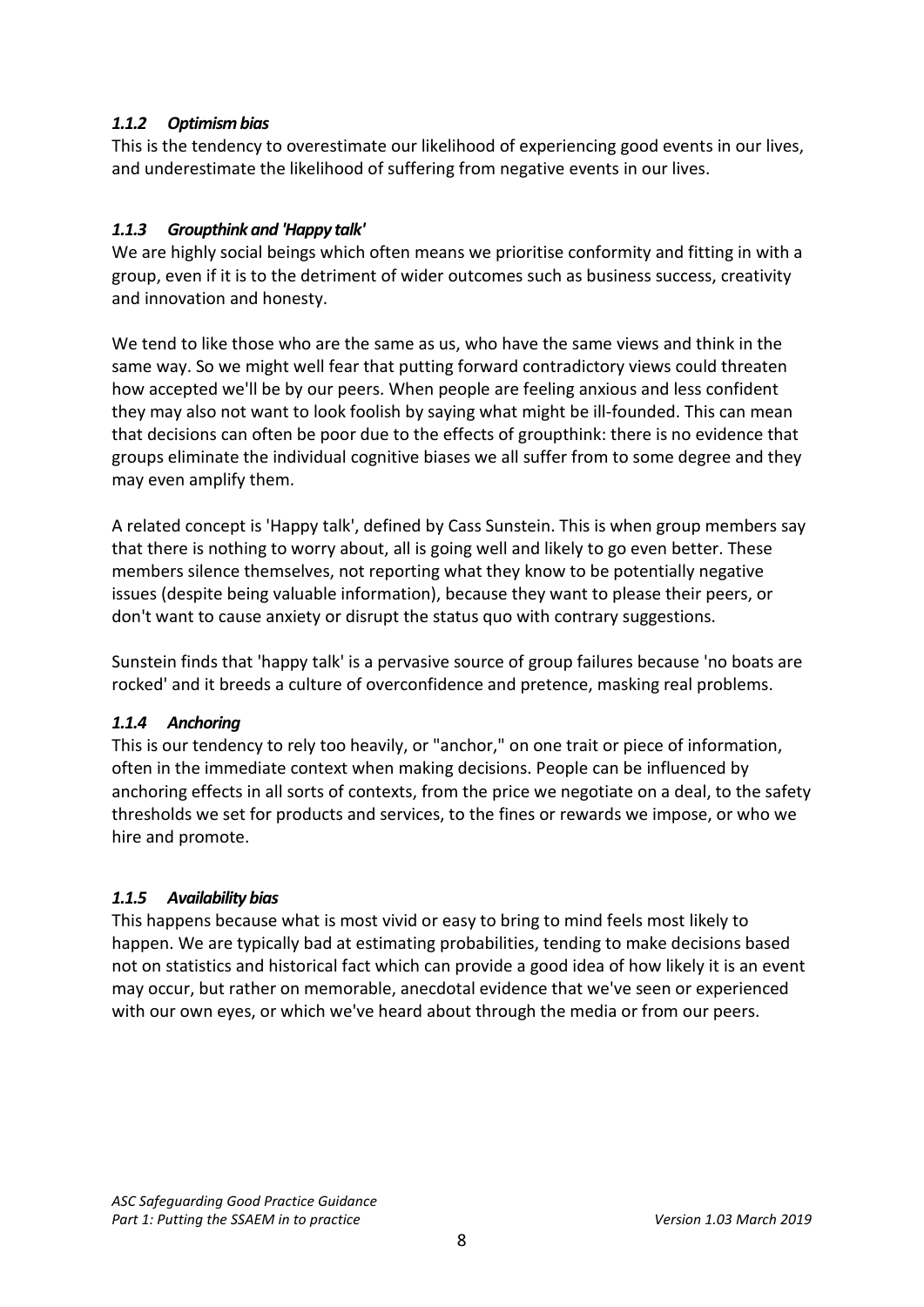# *1.1.2 Optimism bias*

This is the tendency to overestimate our likelihood of experiencing good events in our lives, and underestimate the likelihood of suffering from negative events in our lives.

# *1.1.3 Groupthink and 'Happy talk'*

We are highly social beings which often means we prioritise conformity and fitting in with a group, even if it is to the detriment of wider outcomes such as business success, creativity and innovation and honesty.

We tend to like those who are the same as us, who have the same views and think in the same way. So we might well fear that putting forward contradictory views could threaten how accepted we'll be by our peers. When people are feeling anxious and less confident they may also not want to look foolish by saying what might be ill-founded. This can mean that decisions can often be poor due to the effects of groupthink: there is no evidence that groups eliminate the individual cognitive biases we all suffer from to some degree and they may even amplify them.

A related concept is 'Happy talk', defined by Cass Sunstein. This is when group members say that there is nothing to worry about, all is going well and likely to go even better. These members silence themselves, not reporting what they know to be potentially negative issues (despite being valuable information), because they want to please their peers, or don't want to cause anxiety or disrupt the status quo with contrary suggestions.

Sunstein finds that 'happy talk' is a pervasive source of group failures because 'no boats are rocked' and it breeds a culture of overconfidence and pretence, masking real problems.

### *1.1.4 Anchoring*

This is our tendency to rely too heavily, or "anchor," on one trait or piece of information, often in the immediate context when making decisions. People can be influenced by anchoring effects in all sorts of contexts, from the price we negotiate on a deal, to the safety thresholds we set for products and services, to the fines or rewards we impose, or who we hire and promote.

### *1.1.5 Availability bias*

This happens because what is most vivid or easy to bring to mind feels most likely to happen. We are typically bad at estimating probabilities, tending to make decisions based not on statistics and historical fact which can provide a good idea of how likely it is an event may occur, but rather on memorable, anecdotal evidence that we've seen or experienced with our own eyes, or which we've heard about through the media or from our peers.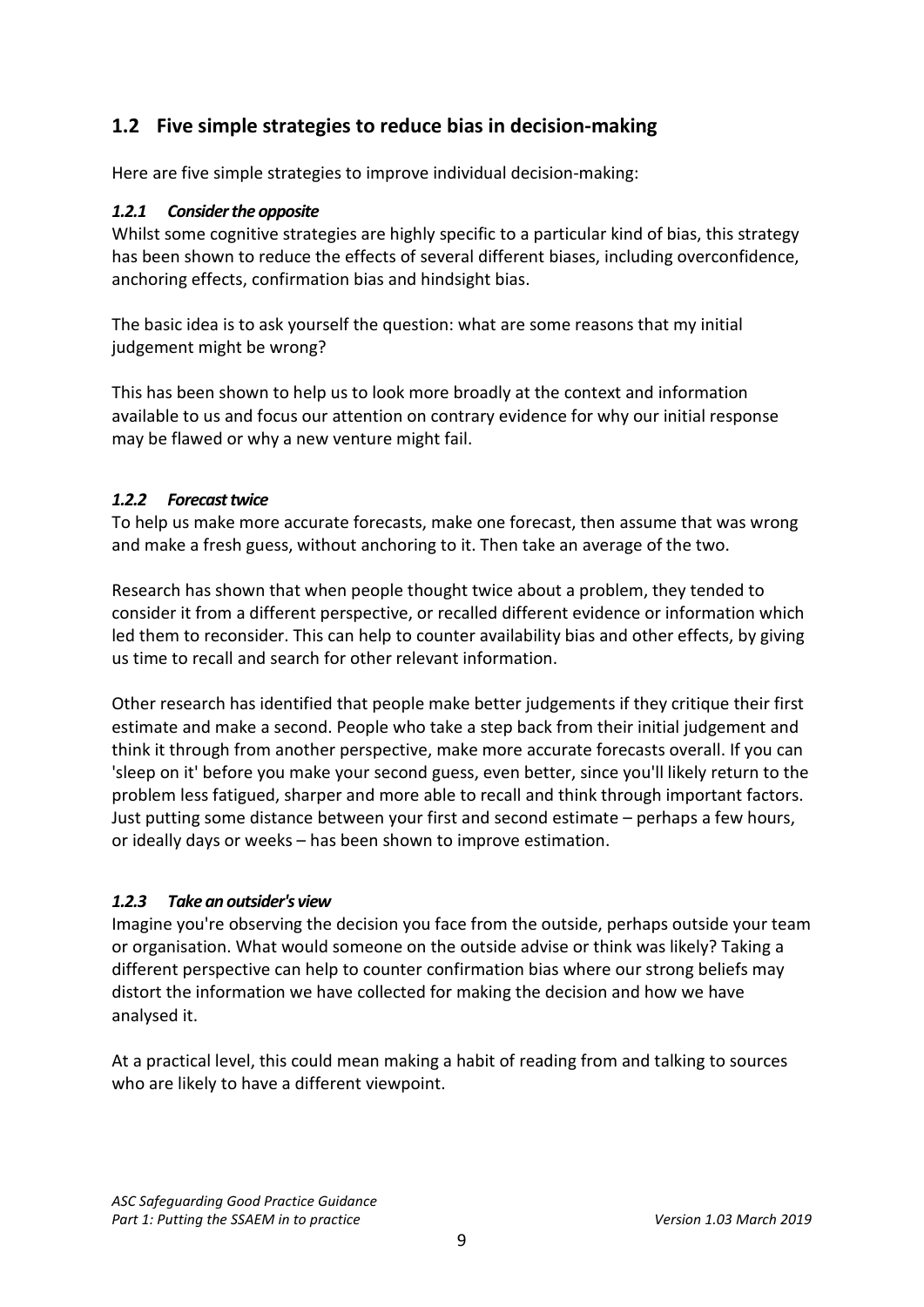# <span id="page-8-0"></span>**1.2 Five simple strategies to reduce bias in decision-making**

Here are five simple strategies to improve individual decision-making:

### *1.2.1 Consider the opposite*

Whilst some cognitive strategies are highly specific to a particular kind of bias, this strategy has been shown to reduce the effects of several different biases, including overconfidence, anchoring effects, confirmation bias and hindsight bias.

The basic idea is to ask yourself the question: what are some reasons that my initial judgement might be wrong?

This has been shown to help us to look more broadly at the context and information available to us and focus our attention on contrary evidence for why our initial response may be flawed or why a new venture might fail.

## *1.2.2 Forecast twice*

To help us make more accurate forecasts, make one forecast, then assume that was wrong and make a fresh guess, without anchoring to it. Then take an average of the two.

Research has shown that when people thought twice about a problem, they tended to consider it from a different perspective, or recalled different evidence or information which led them to reconsider. This can help to counter availability bias and other effects, by giving us time to recall and search for other relevant information.

Other research has identified that people make better judgements if they critique their first estimate and make a second. People who take a step back from their initial judgement and think it through from another perspective, make more accurate forecasts overall. If you can 'sleep on it' before you make your second guess, even better, since you'll likely return to the problem less fatigued, sharper and more able to recall and think through important factors. Just putting some distance between your first and second estimate – perhaps a few hours, or ideally days or weeks – has been shown to improve estimation.

# *1.2.3 Take an outsider's view*

Imagine you're observing the decision you face from the outside, perhaps outside your team or organisation. What would someone on the outside advise or think was likely? Taking a different perspective can help to counter confirmation bias where our strong beliefs may distort the information we have collected for making the decision and how we have analysed it.

At a practical level, this could mean making a habit of reading from and talking to sources who are likely to have a different viewpoint.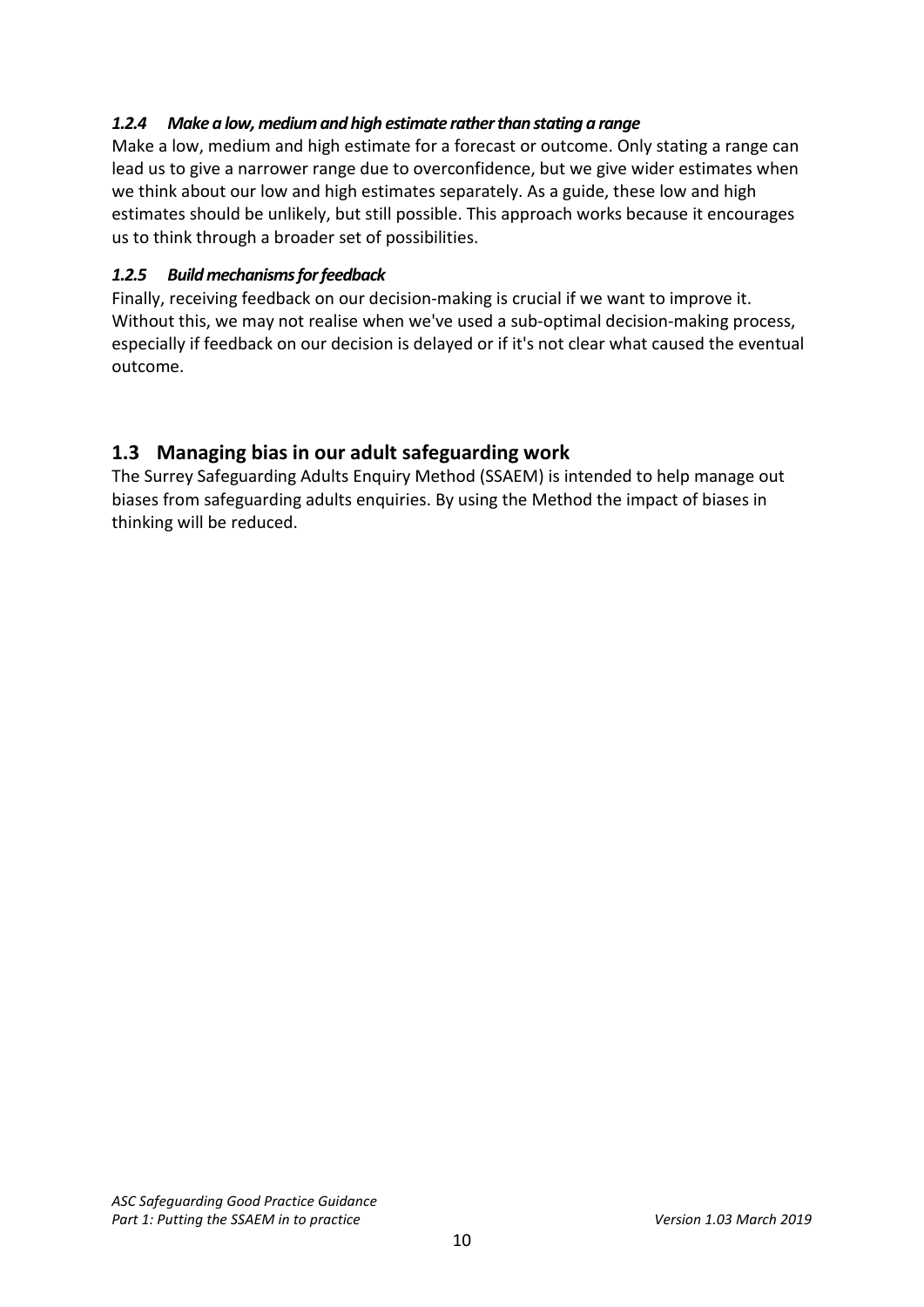# *1.2.4 Make a low, medium and high estimate rather than stating a range*

Make a low, medium and high estimate for a forecast or outcome. Only stating a range can lead us to give a narrower range due to overconfidence, but we give wider estimates when we think about our low and high estimates separately. As a guide, these low and high estimates should be unlikely, but still possible. This approach works because it encourages us to think through a broader set of possibilities.

### *1.2.5 Build mechanisms for feedback*

Finally, receiving feedback on our decision-making is crucial if we want to improve it. Without this, we may not realise when we've used a sub-optimal decision-making process, especially if feedback on our decision is delayed or if it's not clear what caused the eventual outcome.

# <span id="page-9-0"></span>**1.3 Managing bias in our adult safeguarding work**

The Surrey Safeguarding Adults Enquiry Method (SSAEM) is intended to help manage out biases from safeguarding adults enquiries. By using the Method the impact of biases in thinking will be reduced.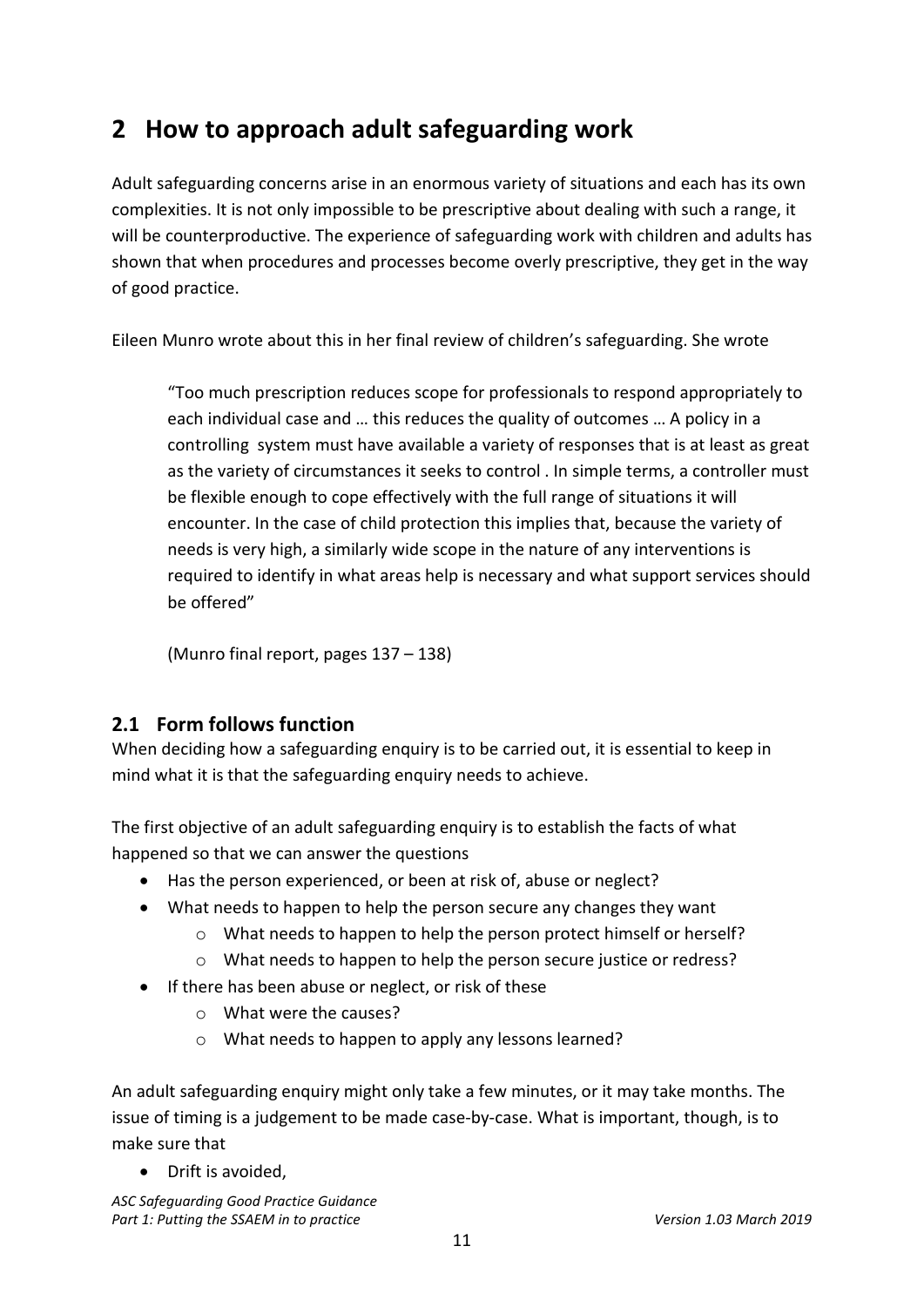# <span id="page-10-0"></span>**2 How to approach adult safeguarding work**

Adult safeguarding concerns arise in an enormous variety of situations and each has its own complexities. It is not only impossible to be prescriptive about dealing with such a range, it will be counterproductive. The experience of safeguarding work with children and adults has shown that when procedures and processes become overly prescriptive, they get in the way of good practice.

Eileen Munro wrote about this in her final review of children's safeguarding. She wrote

"Too much prescription reduces scope for professionals to respond appropriately to each individual case and … this reduces the quality of outcomes … A policy in a controlling system must have available a variety of responses that is at least as great as the variety of circumstances it seeks to control . In simple terms, a controller must be flexible enough to cope effectively with the full range of situations it will encounter. In the case of child protection this implies that, because the variety of needs is very high, a similarly wide scope in the nature of any interventions is required to identify in what areas help is necessary and what support services should be offered"

(Munro final report, pages 137 – 138)

# <span id="page-10-1"></span>**2.1 Form follows function**

When deciding how a safeguarding enquiry is to be carried out, it is essential to keep in mind what it is that the safeguarding enquiry needs to achieve.

The first objective of an adult safeguarding enquiry is to establish the facts of what happened so that we can answer the questions

- Has the person experienced, or been at risk of, abuse or neglect?
- What needs to happen to help the person secure any changes they want
	- o What needs to happen to help the person protect himself or herself?
	- o What needs to happen to help the person secure justice or redress?
- If there has been abuse or neglect, or risk of these
	- o What were the causes?
	- o What needs to happen to apply any lessons learned?

An adult safeguarding enquiry might only take a few minutes, or it may take months. The issue of timing is a judgement to be made case-by-case. What is important, though, is to make sure that

• Drift is avoided,

*ASC Safeguarding Good Practice Guidance* Part 1: Putting the SSAEM in to practice Version 1.03 March 2019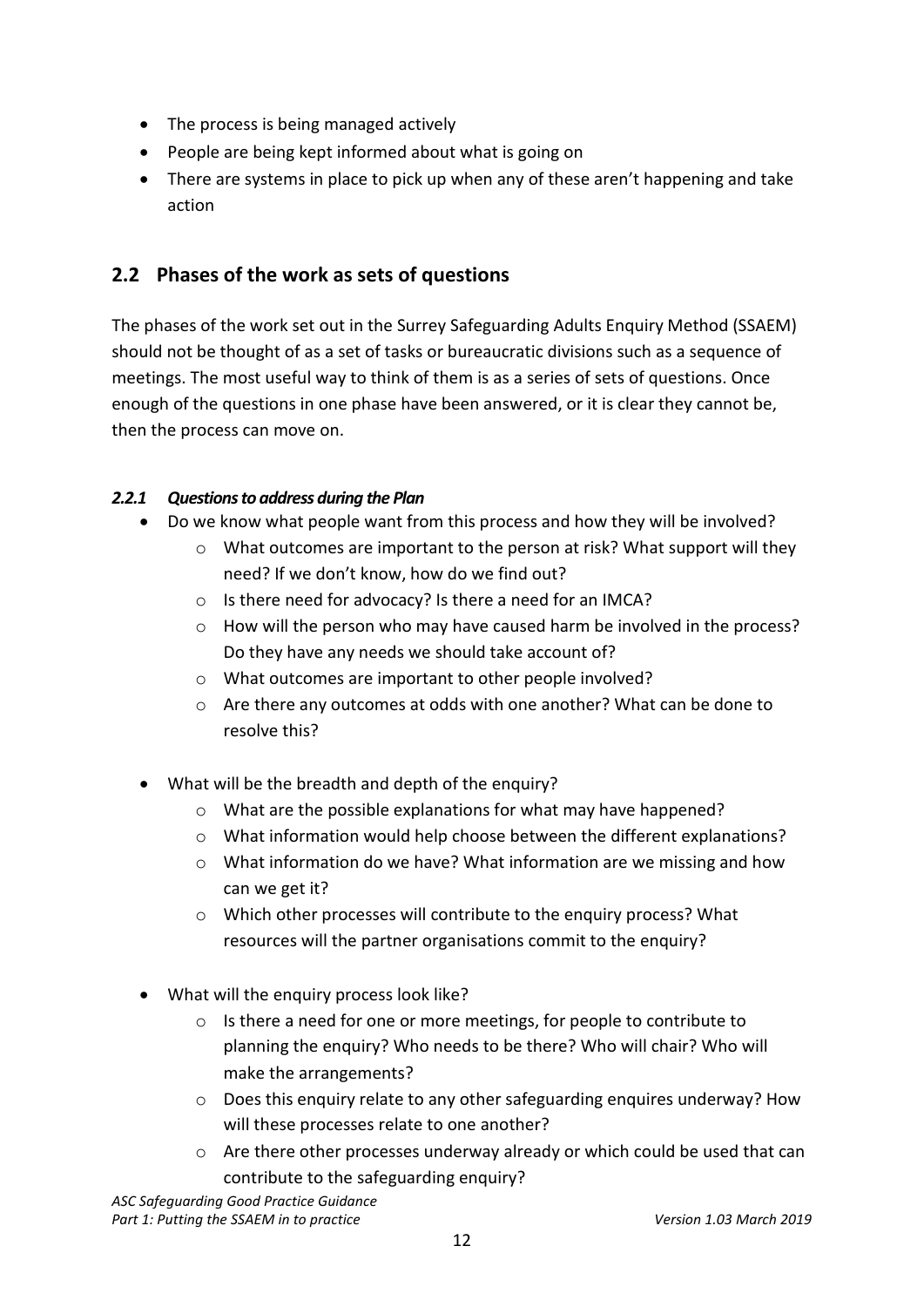- The process is being managed actively
- People are being kept informed about what is going on
- There are systems in place to pick up when any of these aren't happening and take action

# <span id="page-11-0"></span>**2.2 Phases of the work as sets of questions**

The phases of the work set out in the Surrey Safeguarding Adults Enquiry Method (SSAEM) should not be thought of as a set of tasks or bureaucratic divisions such as a sequence of meetings. The most useful way to think of them is as a series of sets of questions. Once enough of the questions in one phase have been answered, or it is clear they cannot be, then the process can move on.

# *2.2.1 Questions to address during the Plan*

- Do we know what people want from this process and how they will be involved?
	- $\circ$  What outcomes are important to the person at risk? What support will they need? If we don't know, how do we find out?
	- o Is there need for advocacy? Is there a need for an IMCA?
	- $\circ$  How will the person who may have caused harm be involved in the process? Do they have any needs we should take account of?
	- o What outcomes are important to other people involved?
	- o Are there any outcomes at odds with one another? What can be done to resolve this?
- What will be the breadth and depth of the enquiry?
	- o What are the possible explanations for what may have happened?
	- $\circ$  What information would help choose between the different explanations?
	- o What information do we have? What information are we missing and how can we get it?
	- o Which other processes will contribute to the enquiry process? What resources will the partner organisations commit to the enquiry?
- What will the enquiry process look like?
	- o Is there a need for one or more meetings, for people to contribute to planning the enquiry? Who needs to be there? Who will chair? Who will make the arrangements?
	- o Does this enquiry relate to any other safeguarding enquires underway? How will these processes relate to one another?
	- o Are there other processes underway already or which could be used that can contribute to the safeguarding enquiry?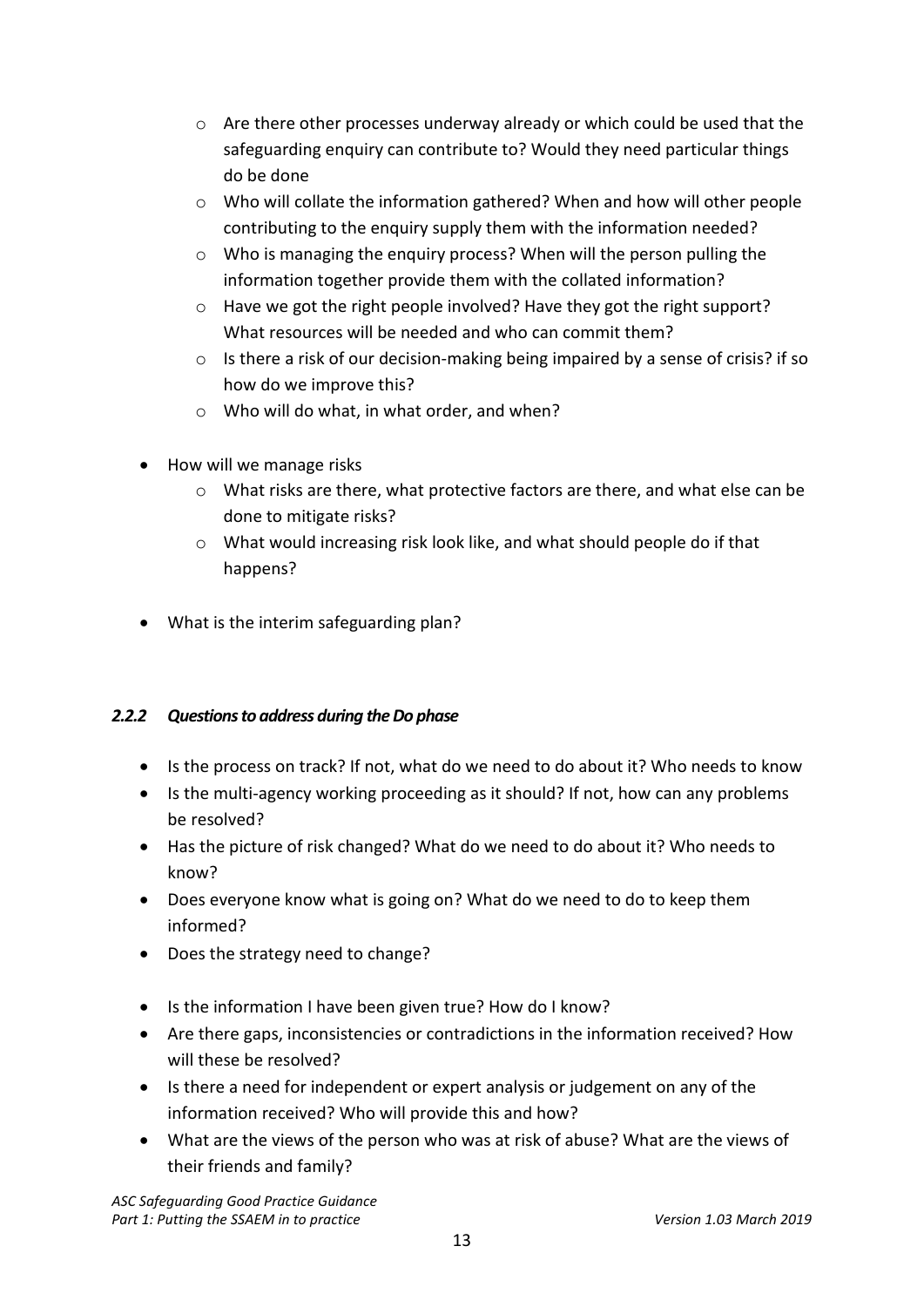- $\circ$  Are there other processes underway already or which could be used that the safeguarding enquiry can contribute to? Would they need particular things do be done
- $\circ$  Who will collate the information gathered? When and how will other people contributing to the enquiry supply them with the information needed?
- o Who is managing the enquiry process? When will the person pulling the information together provide them with the collated information?
- o Have we got the right people involved? Have they got the right support? What resources will be needed and who can commit them?
- $\circ$  Is there a risk of our decision-making being impaired by a sense of crisis? if so how do we improve this?
- o Who will do what, in what order, and when?
- How will we manage risks
	- o What risks are there, what protective factors are there, and what else can be done to mitigate risks?
	- o What would increasing risk look like, and what should people do if that happens?
- What is the interim safeguarding plan?

# *2.2.2 Questions to address during the Do phase*

- Is the process on track? If not, what do we need to do about it? Who needs to know
- Is the multi-agency working proceeding as it should? If not, how can any problems be resolved?
- Has the picture of risk changed? What do we need to do about it? Who needs to know?
- Does everyone know what is going on? What do we need to do to keep them informed?
- Does the strategy need to change?
- Is the information I have been given true? How do I know?
- Are there gaps, inconsistencies or contradictions in the information received? How will these be resolved?
- Is there a need for independent or expert analysis or judgement on any of the information received? Who will provide this and how?
- What are the views of the person who was at risk of abuse? What are the views of their friends and family?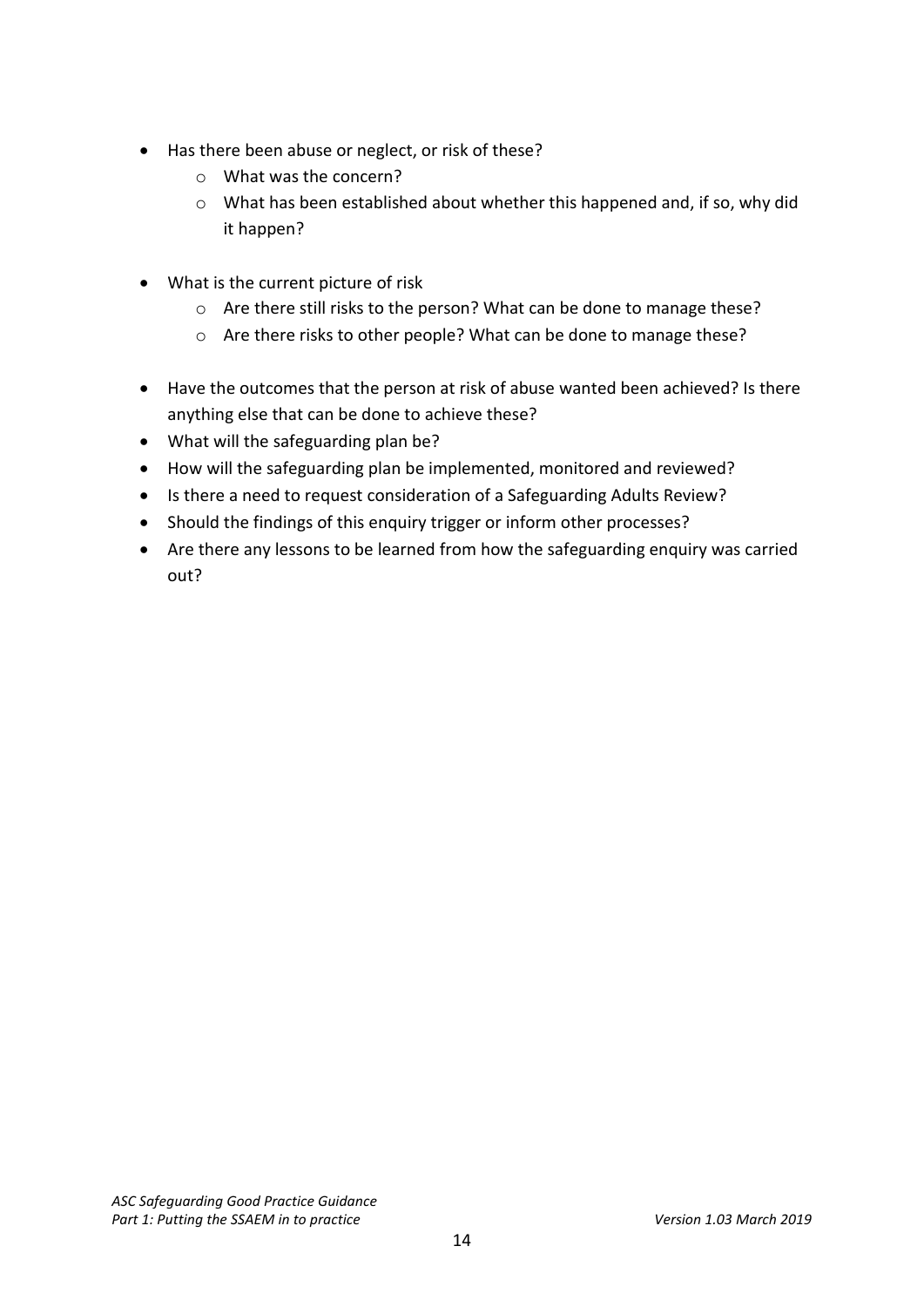- Has there been abuse or neglect, or risk of these?
	- o What was the concern?
	- o What has been established about whether this happened and, if so, why did it happen?
- What is the current picture of risk
	- o Are there still risks to the person? What can be done to manage these?
	- o Are there risks to other people? What can be done to manage these?
- Have the outcomes that the person at risk of abuse wanted been achieved? Is there anything else that can be done to achieve these?
- What will the safeguarding plan be?
- How will the safeguarding plan be implemented, monitored and reviewed?
- Is there a need to request consideration of a Safeguarding Adults Review?
- Should the findings of this enquiry trigger or inform other processes?
- Are there any lessons to be learned from how the safeguarding enquiry was carried out?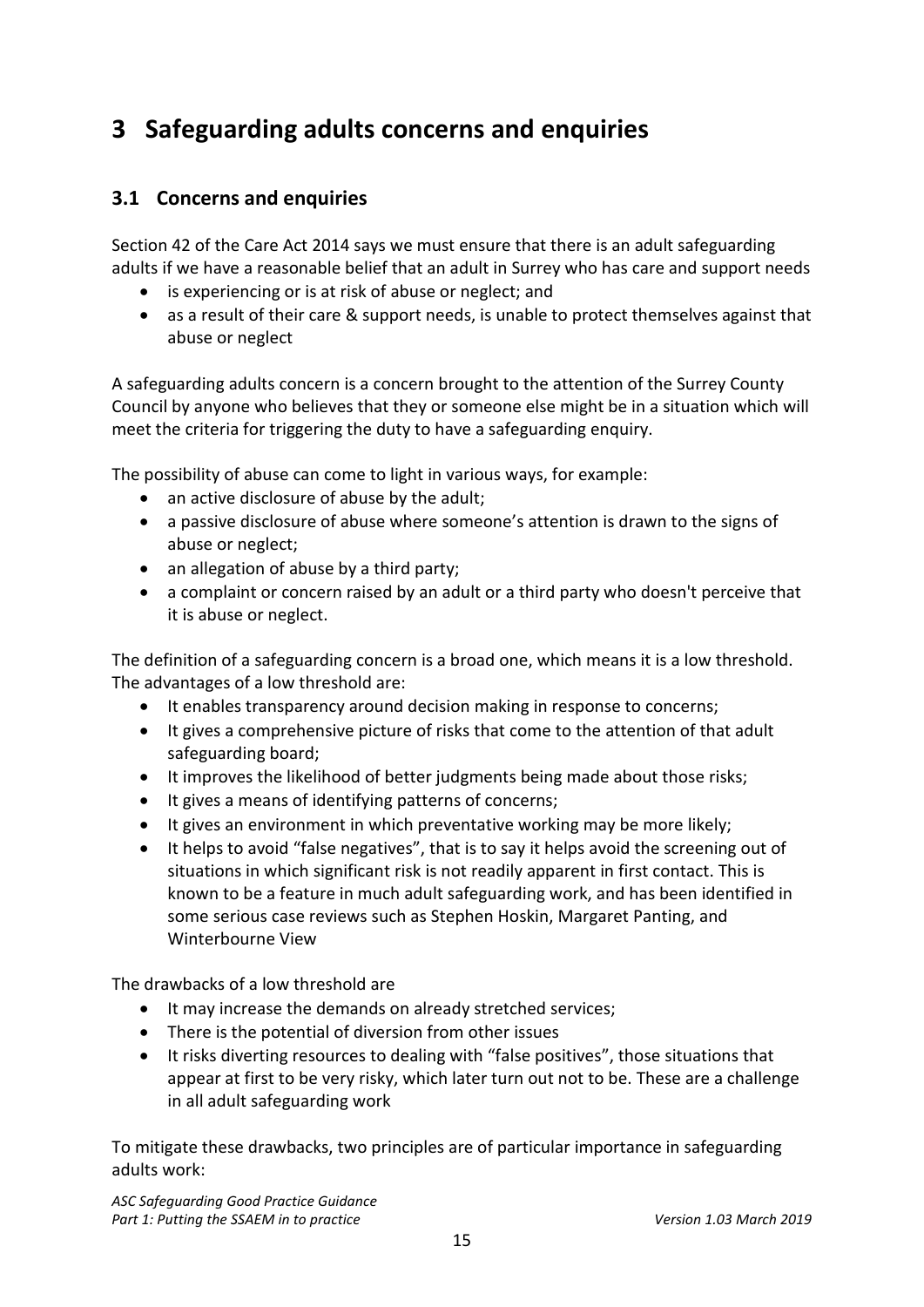# <span id="page-14-0"></span>**3 Safeguarding adults concerns and enquiries**

# <span id="page-14-1"></span>**3.1 Concerns and enquiries**

Section 42 of the Care Act 2014 says we must ensure that there is an adult safeguarding adults if we have a reasonable belief that an adult in Surrey who has care and support needs

- is experiencing or is at risk of abuse or neglect; and
- as a result of their care & support needs, is unable to protect themselves against that abuse or neglect

A safeguarding adults concern is a concern brought to the attention of the Surrey County Council by anyone who believes that they or someone else might be in a situation which will meet the criteria for triggering the duty to have a safeguarding enquiry.

The possibility of abuse can come to light in various ways, for example:

- an active disclosure of abuse by the adult;
- a passive disclosure of abuse where someone's attention is drawn to the signs of abuse or neglect;
- an allegation of abuse by a third party;
- a complaint or concern raised by an adult or a third party who doesn't perceive that it is abuse or neglect.

The definition of a safeguarding concern is a broad one, which means it is a low threshold. The advantages of a low threshold are:

- It enables transparency around decision making in response to concerns;
- It gives a comprehensive picture of risks that come to the attention of that adult safeguarding board;
- It improves the likelihood of better judgments being made about those risks;
- It gives a means of identifying patterns of concerns;
- It gives an environment in which preventative working may be more likely;
- It helps to avoid "false negatives", that is to say it helps avoid the screening out of situations in which significant risk is not readily apparent in first contact. This is known to be a feature in much adult safeguarding work, and has been identified in some serious case reviews such as Stephen Hoskin, Margaret Panting, and Winterbourne View

The drawbacks of a low threshold are

- It may increase the demands on already stretched services;
- There is the potential of diversion from other issues
- It risks diverting resources to dealing with "false positives", those situations that appear at first to be very risky, which later turn out not to be. These are a challenge in all adult safeguarding work

To mitigate these drawbacks, two principles are of particular importance in safeguarding adults work:

*ASC Safeguarding Good Practice Guidance* Part 1: Putting the SSAEM in to practice *Version 1.03 March 2019*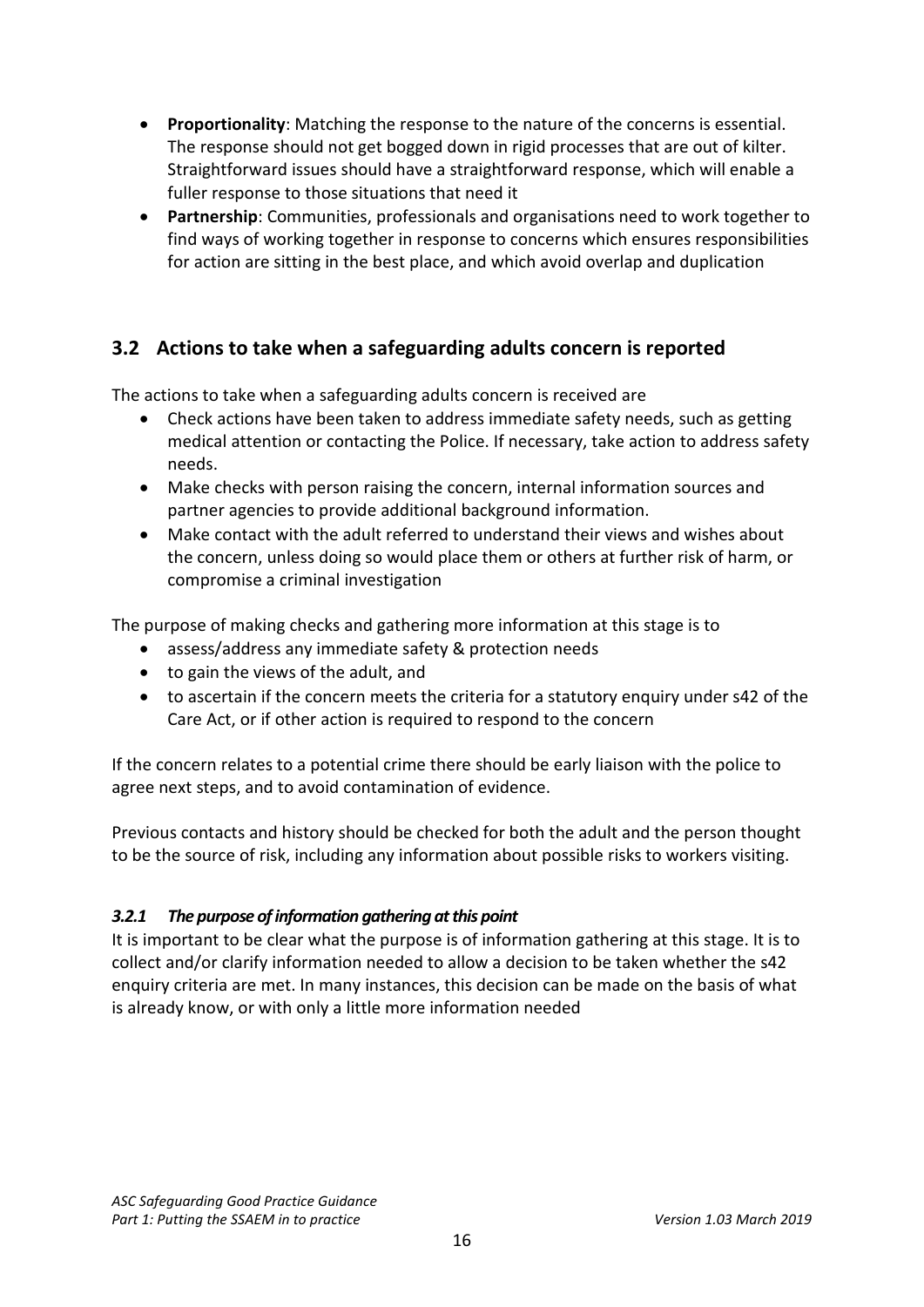- **Proportionality**: Matching the response to the nature of the concerns is essential. The response should not get bogged down in rigid processes that are out of kilter. Straightforward issues should have a straightforward response, which will enable a fuller response to those situations that need it
- **Partnership**: Communities, professionals and organisations need to work together to find ways of working together in response to concerns which ensures responsibilities for action are sitting in the best place, and which avoid overlap and duplication

# <span id="page-15-0"></span>**3.2 Actions to take when a safeguarding adults concern is reported**

The actions to take when a safeguarding adults concern is received are

- Check actions have been taken to address immediate safety needs, such as getting medical attention or contacting the Police. If necessary, take action to address safety needs.
- Make checks with person raising the concern, internal information sources and partner agencies to provide additional background information.
- Make contact with the adult referred to understand their views and wishes about the concern, unless doing so would place them or others at further risk of harm, or compromise a criminal investigation

The purpose of making checks and gathering more information at this stage is to

- assess/address any immediate safety & protection needs
- to gain the views of the adult, and
- to ascertain if the concern meets the criteria for a statutory enquiry under s42 of the Care Act, or if other action is required to respond to the concern

If the concern relates to a potential crime there should be early liaison with the police to agree next steps, and to avoid contamination of evidence.

Previous contacts and history should be checked for both the adult and the person thought to be the source of risk, including any information about possible risks to workers visiting.

### *3.2.1 The purpose of information gathering at this point*

It is important to be clear what the purpose is of information gathering at this stage. It is to collect and/or clarify information needed to allow a decision to be taken whether the s42 enquiry criteria are met. In many instances, this decision can be made on the basis of what is already know, or with only a little more information needed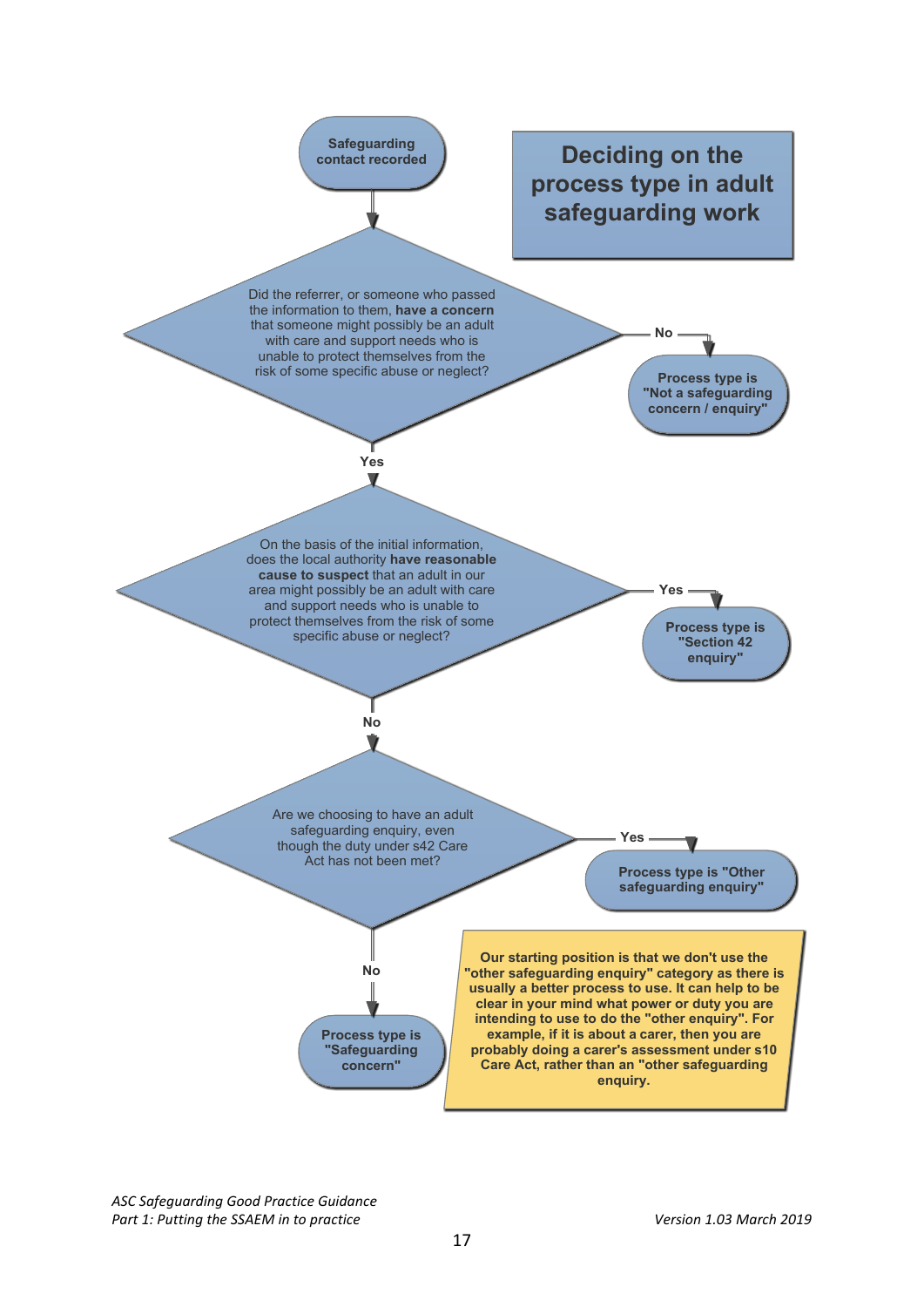

*ASC Safeguarding Good Practice Guidance* Part 1: Putting the SSAEM in to practice Version 1.03 March 2019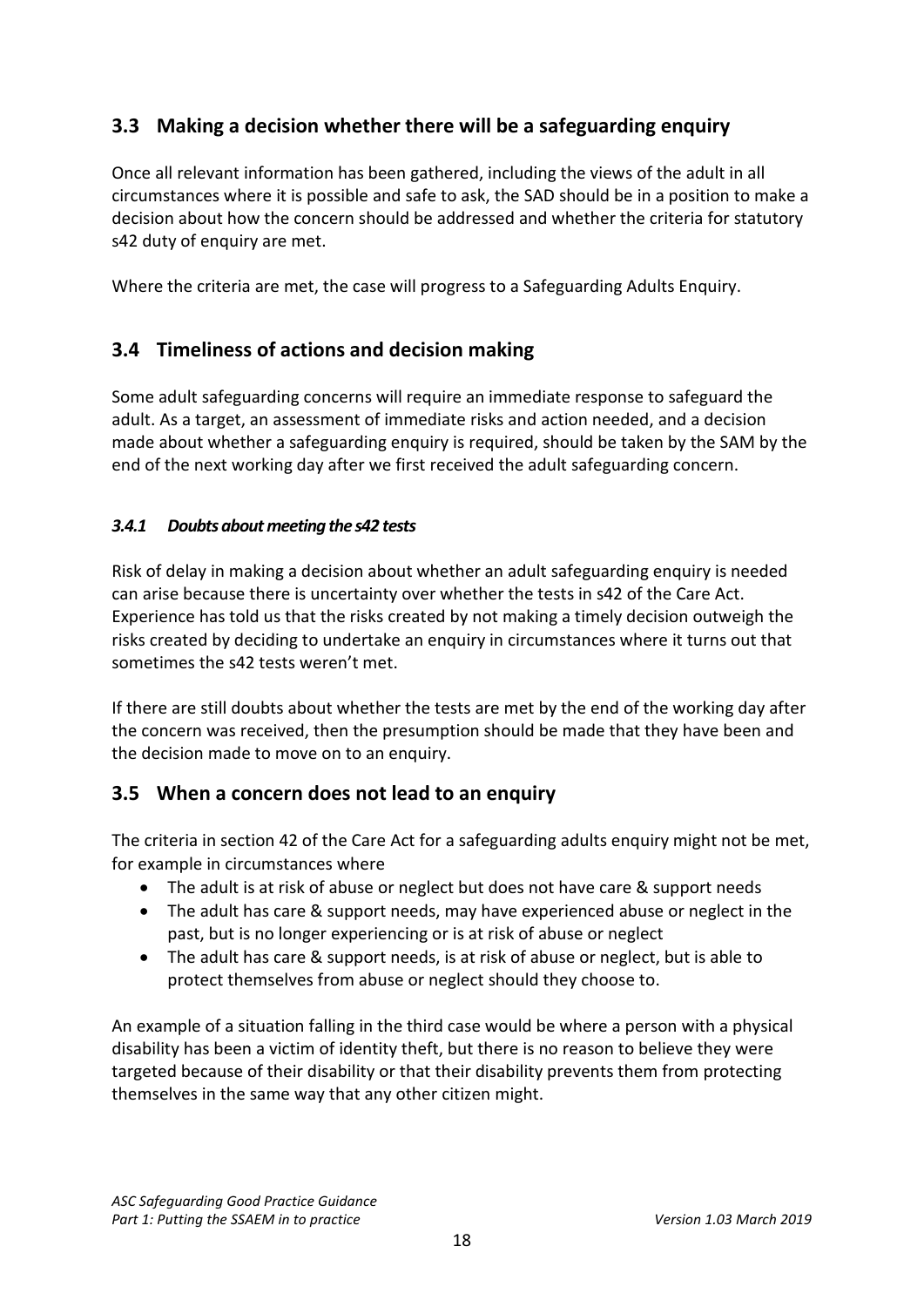# <span id="page-17-0"></span>**3.3 Making a decision whether there will be a safeguarding enquiry**

Once all relevant information has been gathered, including the views of the adult in all circumstances where it is possible and safe to ask, the SAD should be in a position to make a decision about how the concern should be addressed and whether the criteria for statutory s42 duty of enquiry are met.

Where the criteria are met, the case will progress to a Safeguarding Adults Enquiry.

# <span id="page-17-1"></span>**3.4 Timeliness of actions and decision making**

Some adult safeguarding concerns will require an immediate response to safeguard the adult. As a target, an assessment of immediate risks and action needed, and a decision made about whether a safeguarding enquiry is required, should be taken by the SAM by the end of the next working day after we first received the adult safeguarding concern.

## *3.4.1 Doubts about meeting the s42 tests*

Risk of delay in making a decision about whether an adult safeguarding enquiry is needed can arise because there is uncertainty over whether the tests in s42 of the Care Act. Experience has told us that the risks created by not making a timely decision outweigh the risks created by deciding to undertake an enquiry in circumstances where it turns out that sometimes the s42 tests weren't met.

If there are still doubts about whether the tests are met by the end of the working day after the concern was received, then the presumption should be made that they have been and the decision made to move on to an enquiry.

# <span id="page-17-2"></span>**3.5 When a concern does not lead to an enquiry**

The criteria in section 42 of the Care Act for a safeguarding adults enquiry might not be met, for example in circumstances where

- The adult is at risk of abuse or neglect but does not have care & support needs
- The adult has care & support needs, may have experienced abuse or neglect in the past, but is no longer experiencing or is at risk of abuse or neglect
- The adult has care & support needs, is at risk of abuse or neglect, but is able to protect themselves from abuse or neglect should they choose to.

An example of a situation falling in the third case would be where a person with a physical disability has been a victim of identity theft, but there is no reason to believe they were targeted because of their disability or that their disability prevents them from protecting themselves in the same way that any other citizen might.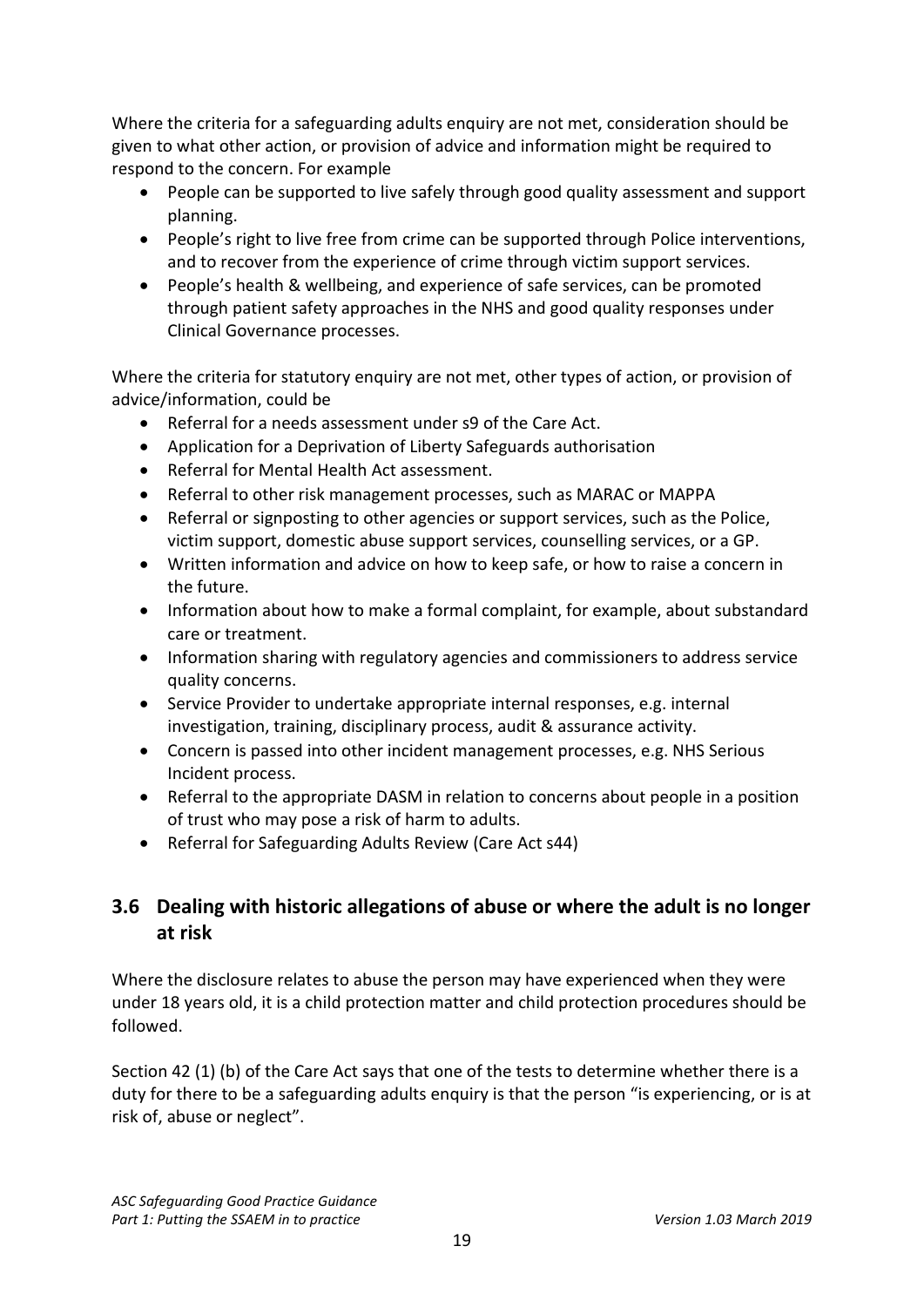Where the criteria for a safeguarding adults enquiry are not met, consideration should be given to what other action, or provision of advice and information might be required to respond to the concern. For example

- People can be supported to live safely through good quality assessment and support planning.
- People's right to live free from crime can be supported through Police interventions, and to recover from the experience of crime through victim support services.
- People's health & wellbeing, and experience of safe services, can be promoted through patient safety approaches in the NHS and good quality responses under Clinical Governance processes.

Where the criteria for statutory enquiry are not met, other types of action, or provision of advice/information, could be

- Referral for a needs assessment under s9 of the Care Act.
- Application for a Deprivation of Liberty Safeguards authorisation
- Referral for Mental Health Act assessment.
- Referral to other risk management processes, such as MARAC or MAPPA
- Referral or signposting to other agencies or support services, such as the Police, victim support, domestic abuse support services, counselling services, or a GP.
- Written information and advice on how to keep safe, or how to raise a concern in the future.
- Information about how to make a formal complaint, for example, about substandard care or treatment.
- Information sharing with regulatory agencies and commissioners to address service quality concerns.
- Service Provider to undertake appropriate internal responses, e.g. internal investigation, training, disciplinary process, audit & assurance activity.
- Concern is passed into other incident management processes, e.g. NHS Serious Incident process.
- Referral to the appropriate DASM in relation to concerns about people in a position of trust who may pose a risk of harm to adults.
- Referral for Safeguarding Adults Review (Care Act s44)

# <span id="page-18-0"></span>**3.6 Dealing with historic allegations of abuse or where the adult is no longer at risk**

Where the disclosure relates to abuse the person may have experienced when they were under 18 years old, it is a child protection matter and child protection procedures should be followed.

Section 42 (1) (b) of the Care Act says that one of the tests to determine whether there is a duty for there to be a safeguarding adults enquiry is that the person "is experiencing, or is at risk of, abuse or neglect".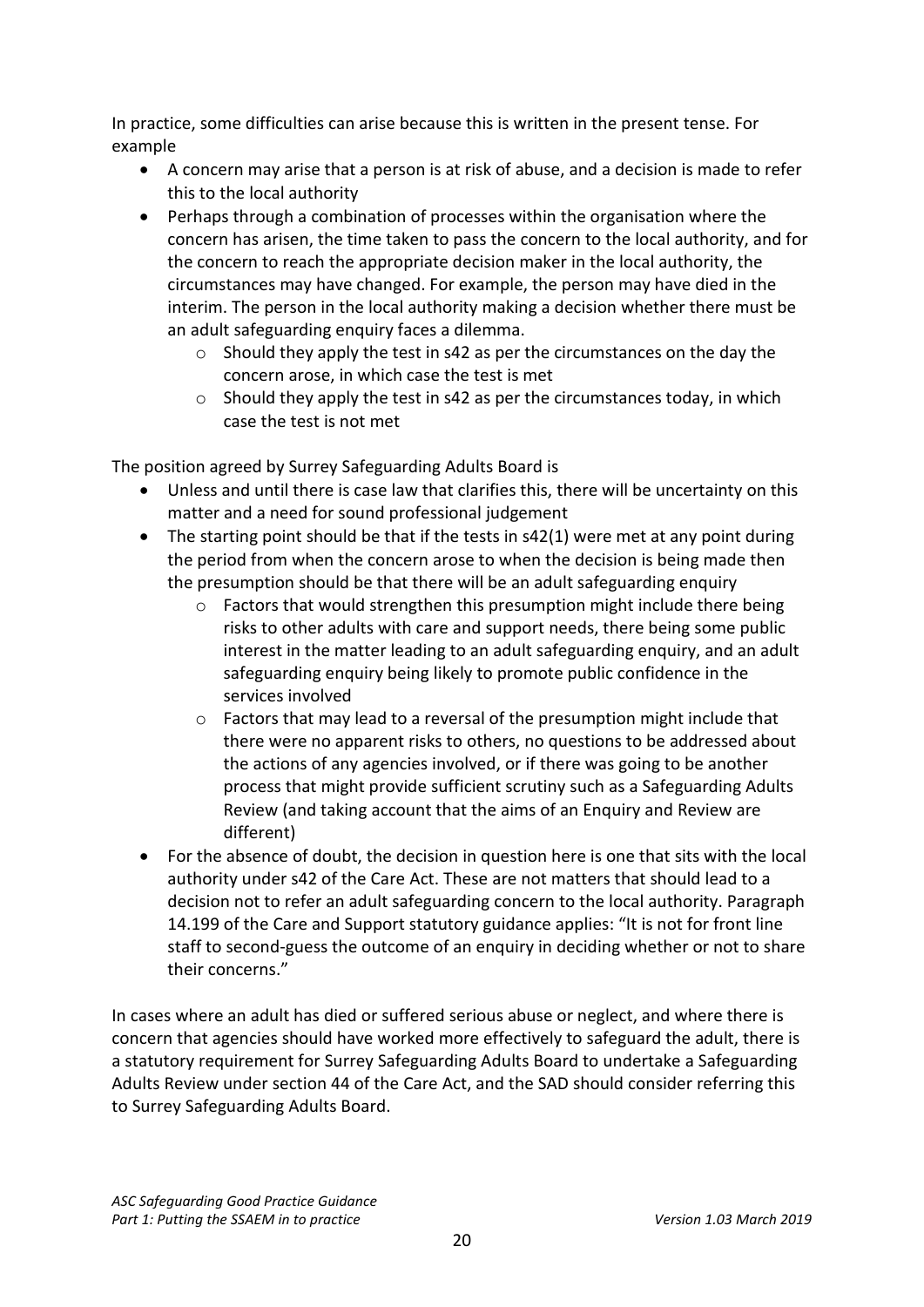In practice, some difficulties can arise because this is written in the present tense. For example

- A concern may arise that a person is at risk of abuse, and a decision is made to refer this to the local authority
- Perhaps through a combination of processes within the organisation where the concern has arisen, the time taken to pass the concern to the local authority, and for the concern to reach the appropriate decision maker in the local authority, the circumstances may have changed. For example, the person may have died in the interim. The person in the local authority making a decision whether there must be an adult safeguarding enquiry faces a dilemma.
	- $\circ$  Should they apply the test in s42 as per the circumstances on the day the concern arose, in which case the test is met
	- o Should they apply the test in s42 as per the circumstances today, in which case the test is not met

The position agreed by Surrey Safeguarding Adults Board is

- Unless and until there is case law that clarifies this, there will be uncertainty on this matter and a need for sound professional judgement
- The starting point should be that if the tests in s42(1) were met at any point during the period from when the concern arose to when the decision is being made then the presumption should be that there will be an adult safeguarding enquiry
	- o Factors that would strengthen this presumption might include there being risks to other adults with care and support needs, there being some public interest in the matter leading to an adult safeguarding enquiry, and an adult safeguarding enquiry being likely to promote public confidence in the services involved
	- $\circ$  Factors that may lead to a reversal of the presumption might include that there were no apparent risks to others, no questions to be addressed about the actions of any agencies involved, or if there was going to be another process that might provide sufficient scrutiny such as a Safeguarding Adults Review (and taking account that the aims of an Enquiry and Review are different)
- For the absence of doubt, the decision in question here is one that sits with the local authority under s42 of the Care Act. These are not matters that should lead to a decision not to refer an adult safeguarding concern to the local authority. Paragraph 14.199 of the Care and Support statutory guidance applies: "It is not for front line staff to second-guess the outcome of an enquiry in deciding whether or not to share their concerns."

In cases where an adult has died or suffered serious abuse or neglect, and where there is concern that agencies should have worked more effectively to safeguard the adult, there is a statutory requirement for Surrey Safeguarding Adults Board to undertake a Safeguarding Adults Review under section 44 of the Care Act, and the SAD should consider referring this to Surrey Safeguarding Adults Board.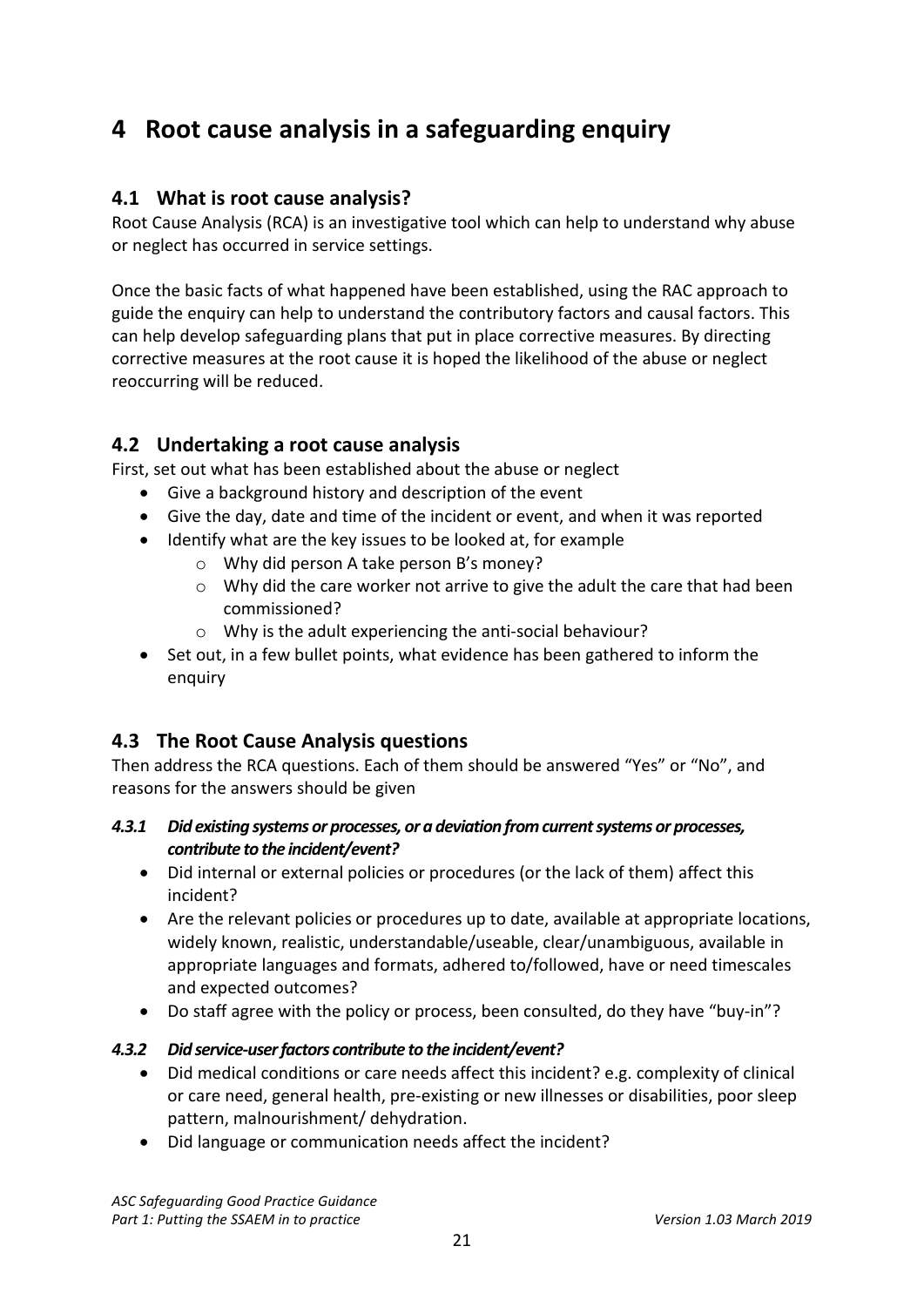# <span id="page-20-0"></span>**4 Root cause analysis in a safeguarding enquiry**

# <span id="page-20-1"></span>**4.1 What is root cause analysis?**

Root Cause Analysis (RCA) is an investigative tool which can help to understand why abuse or neglect has occurred in service settings.

Once the basic facts of what happened have been established, using the RAC approach to guide the enquiry can help to understand the contributory factors and causal factors. This can help develop safeguarding plans that put in place corrective measures. By directing corrective measures at the root cause it is hoped the likelihood of the abuse or neglect reoccurring will be reduced.

# <span id="page-20-2"></span>**4.2 Undertaking a root cause analysis**

First, set out what has been established about the abuse or neglect

- Give a background history and description of the event
- Give the day, date and time of the incident or event, and when it was reported
- Identify what are the key issues to be looked at, for example
	- o Why did person A take person B's money?
	- $\circ$  Why did the care worker not arrive to give the adult the care that had been commissioned?
	- o Why is the adult experiencing the anti-social behaviour?
- Set out, in a few bullet points, what evidence has been gathered to inform the enquiry

# <span id="page-20-3"></span>**4.3 The Root Cause Analysis questions**

Then address the RCA questions. Each of them should be answered "Yes" or "No", and reasons for the answers should be given

## *4.3.1 Did existing systems or processes, or a deviation from current systems or processes, contribute to the incident/event?*

- Did internal or external policies or procedures (or the lack of them) affect this incident?
- Are the relevant policies or procedures up to date, available at appropriate locations, widely known, realistic, understandable/useable, clear/unambiguous, available in appropriate languages and formats, adhered to/followed, have or need timescales and expected outcomes?
- Do staff agree with the policy or process, been consulted, do they have "buy-in"?

# *4.3.2 Did service-user factors contribute to the incident/event?*

- Did medical conditions or care needs affect this incident? e.g. complexity of clinical or care need, general health, pre-existing or new illnesses or disabilities, poor sleep pattern, malnourishment/ dehydration.
- Did language or communication needs affect the incident?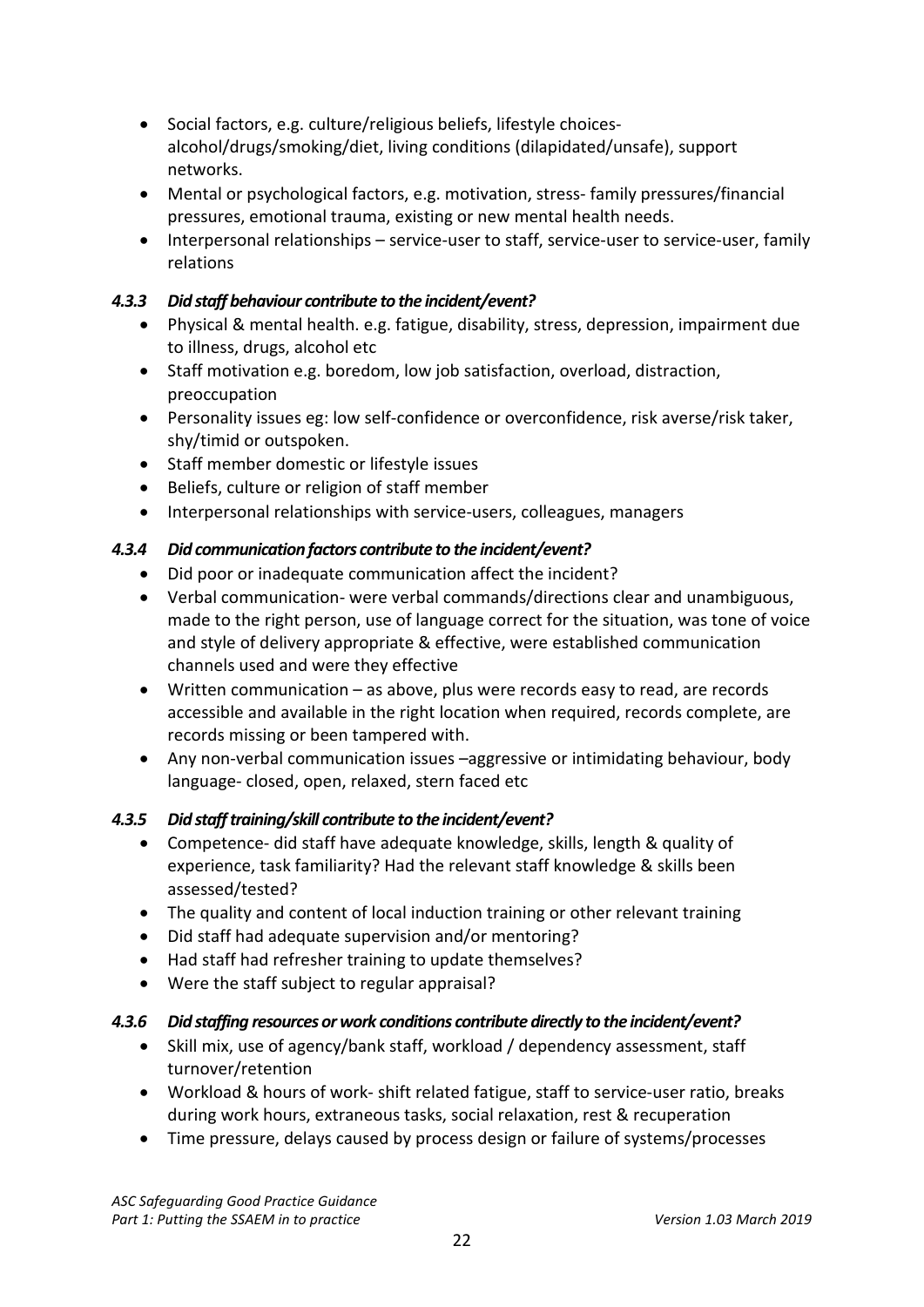- Social factors, e.g. culture/religious beliefs, lifestyle choicesalcohol/drugs/smoking/diet, living conditions (dilapidated/unsafe), support networks.
- Mental or psychological factors, e.g. motivation, stress- family pressures/financial pressures, emotional trauma, existing or new mental health needs.
- Interpersonal relationships service-user to staff, service-user to service-user, family relations

## *4.3.3 Did staff behaviour contribute to the incident/event?*

- Physical & mental health. e.g. fatigue, disability, stress, depression, impairment due to illness, drugs, alcohol etc
- Staff motivation e.g. boredom, low job satisfaction, overload, distraction, preoccupation
- Personality issues eg: low self-confidence or overconfidence, risk averse/risk taker, shy/timid or outspoken.
- Staff member domestic or lifestyle issues
- Beliefs, culture or religion of staff member
- Interpersonal relationships with service-users, colleagues, managers

# *4.3.4 Did communication factors contribute to the incident/event?*

- Did poor or inadequate communication affect the incident?
- Verbal communication- were verbal commands/directions clear and unambiguous, made to the right person, use of language correct for the situation, was tone of voice and style of delivery appropriate & effective, were established communication channels used and were they effective
- Written communication as above, plus were records easy to read, are records accessible and available in the right location when required, records complete, are records missing or been tampered with.
- Any non-verbal communication issues –aggressive or intimidating behaviour, body language- closed, open, relaxed, stern faced etc

# *4.3.5 Did staff training/skill contribute to the incident/event?*

- Competence- did staff have adequate knowledge, skills, length & quality of experience, task familiarity? Had the relevant staff knowledge & skills been assessed/tested?
- The quality and content of local induction training or other relevant training
- Did staff had adequate supervision and/or mentoring?
- Had staff had refresher training to update themselves?
- Were the staff subject to regular appraisal?

# *4.3.6 Did staffing resources or work conditions contribute directly to the incident/event?*

- Skill mix, use of agency/bank staff, workload / dependency assessment, staff turnover/retention
- Workload & hours of work- shift related fatigue, staff to service-user ratio, breaks during work hours, extraneous tasks, social relaxation, rest & recuperation
- Time pressure, delays caused by process design or failure of systems/processes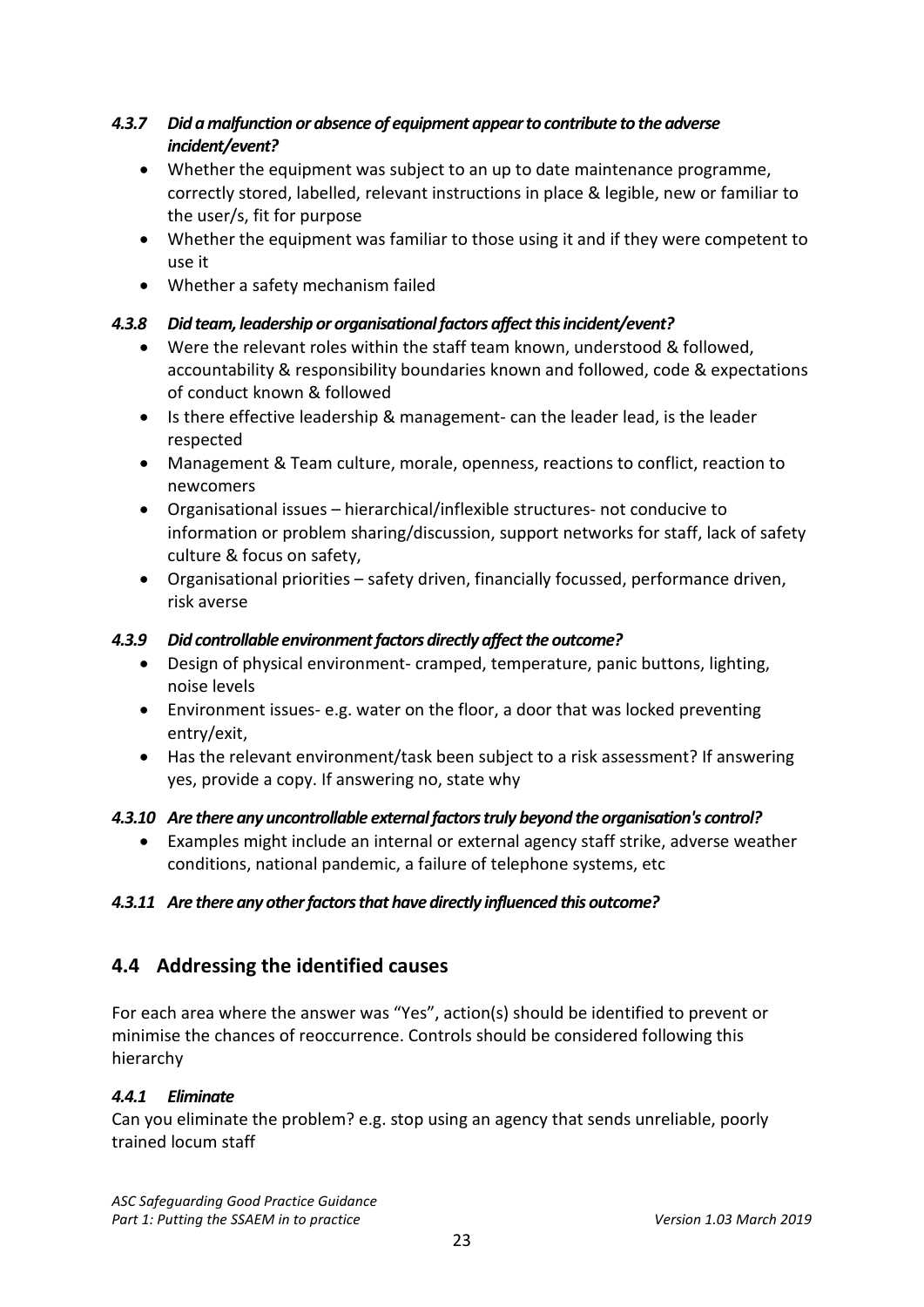# *4.3.7 Did a malfunction or absence of equipment appear to contribute to the adverse incident/event?*

- Whether the equipment was subject to an up to date maintenance programme, correctly stored, labelled, relevant instructions in place & legible, new or familiar to the user/s, fit for purpose
- Whether the equipment was familiar to those using it and if they were competent to use it
- Whether a safety mechanism failed

# *4.3.8 Did team, leadership or organisational factors affect this incident/event?*

- Were the relevant roles within the staff team known, understood & followed, accountability & responsibility boundaries known and followed, code & expectations of conduct known & followed
- Is there effective leadership & management- can the leader lead, is the leader respected
- Management & Team culture, morale, openness, reactions to conflict, reaction to newcomers
- Organisational issues hierarchical/inflexible structures- not conducive to information or problem sharing/discussion, support networks for staff, lack of safety culture & focus on safety,
- Organisational priorities safety driven, financially focussed, performance driven, risk averse

# *4.3.9 Did controllable environment factors directly affect the outcome?*

- Design of physical environment- cramped, temperature, panic buttons, lighting, noise levels
- Environment issues- e.g. water on the floor, a door that was locked preventing entry/exit,
- Has the relevant environment/task been subject to a risk assessment? If answering yes, provide a copy. If answering no, state why

# *4.3.10 Are there any uncontrollable external factors truly beyond the organisation's control?*

• Examples might include an internal or external agency staff strike, adverse weather conditions, national pandemic, a failure of telephone systems, etc

# *4.3.11 Are there any other factors that have directly influenced this outcome?*

# <span id="page-22-0"></span>**4.4 Addressing the identified causes**

For each area where the answer was "Yes", action(s) should be identified to prevent or minimise the chances of reoccurrence. Controls should be considered following this hierarchy

# *4.4.1 Eliminate*

Can you eliminate the problem? e.g. stop using an agency that sends unreliable, poorly trained locum staff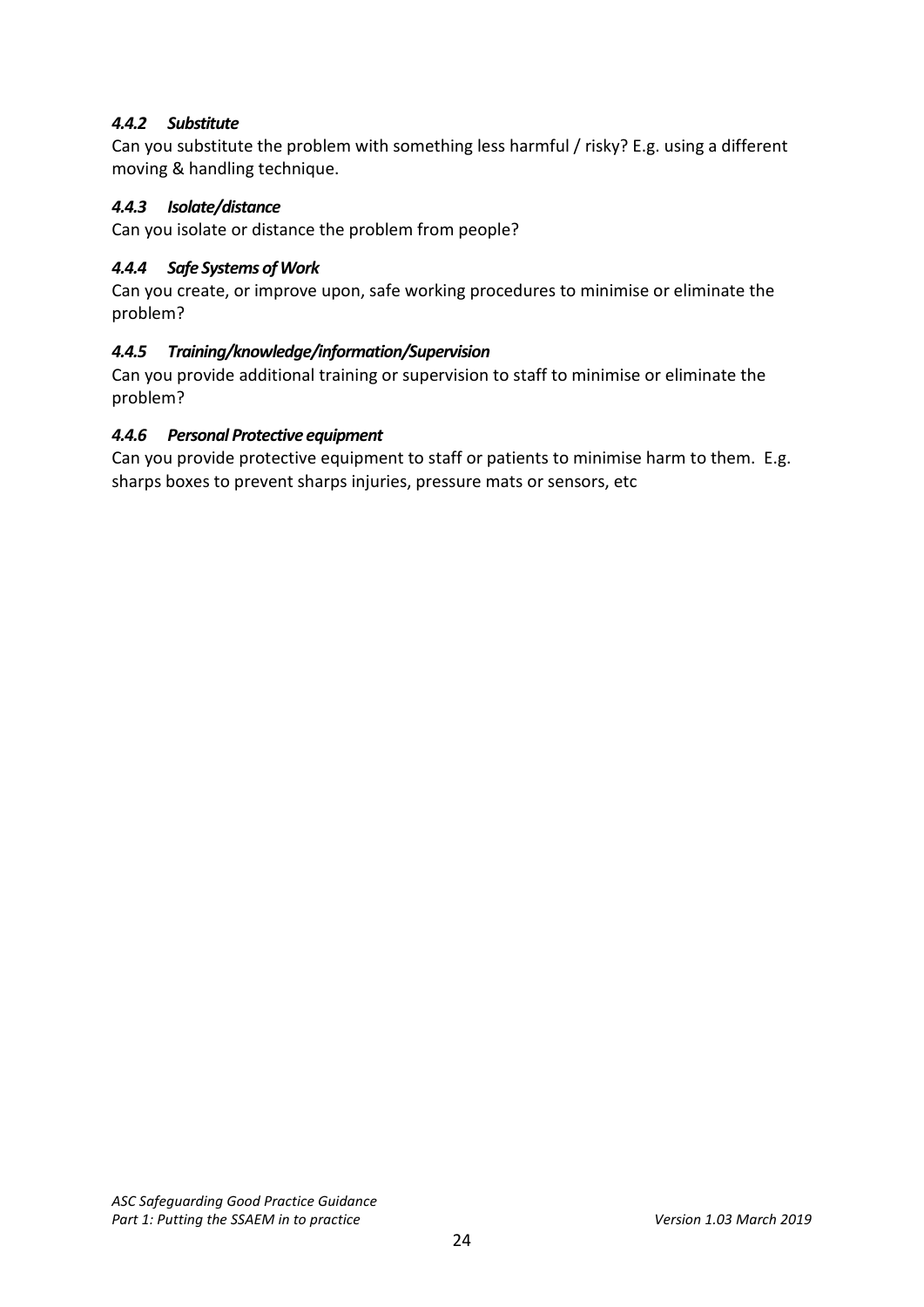## *4.4.2 Substitute*

Can you substitute the problem with something less harmful / risky? E.g. using a different moving & handling technique.

### *4.4.3 Isolate/distance*

Can you isolate or distance the problem from people?

#### *4.4.4 Safe Systems of Work*

Can you create, or improve upon, safe working procedures to minimise or eliminate the problem?

#### *4.4.5 Training/knowledge/information/Supervision*

Can you provide additional training or supervision to staff to minimise or eliminate the problem?

#### *4.4.6 Personal Protective equipment*

Can you provide protective equipment to staff or patients to minimise harm to them. E.g. sharps boxes to prevent sharps injuries, pressure mats or sensors, etc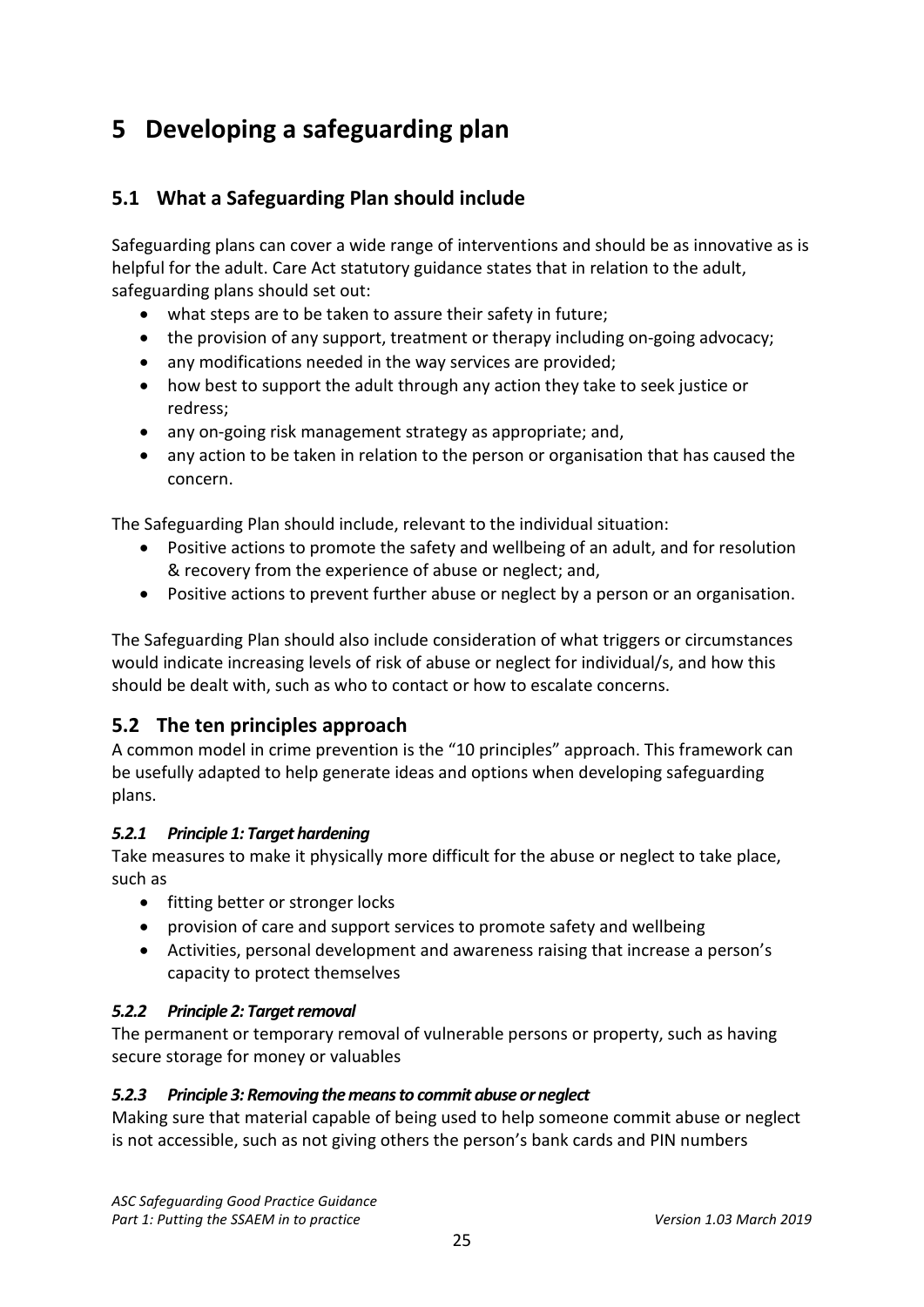# <span id="page-24-0"></span>**5 Developing a safeguarding plan**

# <span id="page-24-1"></span>**5.1 What a Safeguarding Plan should include**

Safeguarding plans can cover a wide range of interventions and should be as innovative as is helpful for the adult. Care Act statutory guidance states that in relation to the adult, safeguarding plans should set out:

- what steps are to be taken to assure their safety in future;
- the provision of any support, treatment or therapy including on-going advocacy;
- any modifications needed in the way services are provided;
- how best to support the adult through any action they take to seek justice or redress;
- any on-going risk management strategy as appropriate; and,
- any action to be taken in relation to the person or organisation that has caused the concern.

The Safeguarding Plan should include, relevant to the individual situation:

- Positive actions to promote the safety and wellbeing of an adult, and for resolution & recovery from the experience of abuse or neglect; and,
- Positive actions to prevent further abuse or neglect by a person or an organisation.

The Safeguarding Plan should also include consideration of what triggers or circumstances would indicate increasing levels of risk of abuse or neglect for individual/s, and how this should be dealt with, such as who to contact or how to escalate concerns.

# <span id="page-24-2"></span>**5.2 The ten principles approach**

A common model in crime prevention is the "10 principles" approach. This framework can be usefully adapted to help generate ideas and options when developing safeguarding plans.

### *5.2.1 Principle 1: Target hardening*

Take measures to make it physically more difficult for the abuse or neglect to take place, such as

- fitting better or stronger locks
- provision of care and support services to promote safety and wellbeing
- Activities, personal development and awareness raising that increase a person's capacity to protect themselves

### *5.2.2 Principle 2: Target removal*

The permanent or temporary removal of vulnerable persons or property, such as having secure storage for money or valuables

### *5.2.3 Principle 3: Removing the means to commit abuse or neglect*

Making sure that material capable of being used to help someone commit abuse or neglect is not accessible, such as not giving others the person's bank cards and PIN numbers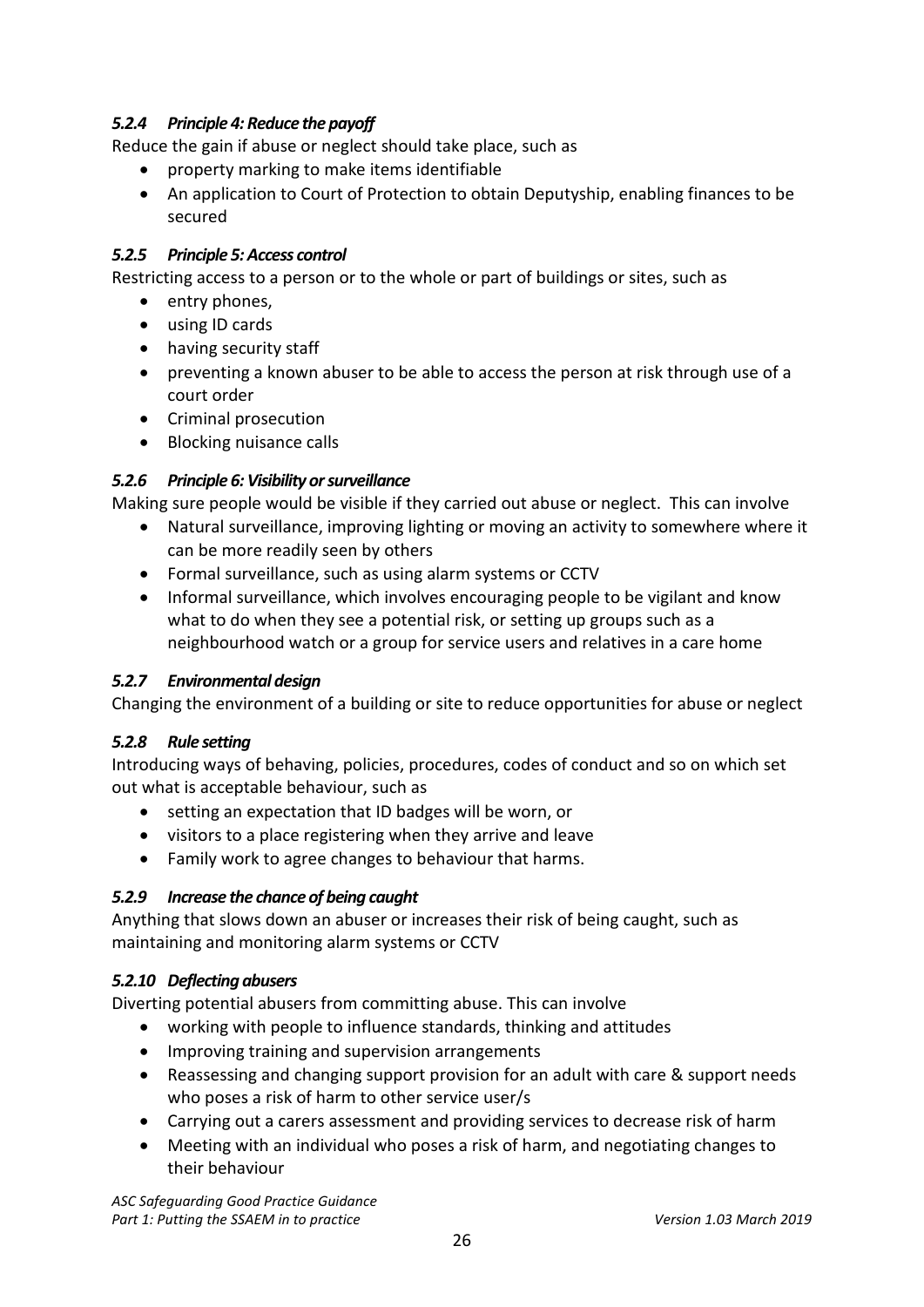# *5.2.4 Principle 4: Reduce the payoff*

Reduce the gain if abuse or neglect should take place, such as

- property marking to make items identifiable
- An application to Court of Protection to obtain Deputyship, enabling finances to be secured

#### *5.2.5 Principle 5: Access control*

Restricting access to a person or to the whole or part of buildings or sites, such as

- entry phones,
- using ID cards
- having security staff
- preventing a known abuser to be able to access the person at risk through use of a court order
- Criminal prosecution
- Blocking nuisance calls

### *5.2.6 Principle 6: Visibility or surveillance*

Making sure people would be visible if they carried out abuse or neglect. This can involve

- Natural surveillance, improving lighting or moving an activity to somewhere where it can be more readily seen by others
- Formal surveillance, such as using alarm systems or CCTV
- Informal surveillance, which involves encouraging people to be vigilant and know what to do when they see a potential risk, or setting up groups such as a neighbourhood watch or a group for service users and relatives in a care home

### *5.2.7 Environmental design*

Changing the environment of a building or site to reduce opportunities for abuse or neglect

#### *5.2.8 Rule setting*

Introducing ways of behaving, policies, procedures, codes of conduct and so on which set out what is acceptable behaviour, such as

- setting an expectation that ID badges will be worn, or
- visitors to a place registering when they arrive and leave
- Family work to agree changes to behaviour that harms.

### *5.2.9 Increase the chance of being caught*

Anything that slows down an abuser or increases their risk of being caught, such as maintaining and monitoring alarm systems or CCTV

### *5.2.10 Deflecting abusers*

Diverting potential abusers from committing abuse. This can involve

- working with people to influence standards, thinking and attitudes
- Improving training and supervision arrangements
- Reassessing and changing support provision for an adult with care & support needs who poses a risk of harm to other service user/s
- Carrying out a carers assessment and providing services to decrease risk of harm
- Meeting with an individual who poses a risk of harm, and negotiating changes to their behaviour

*ASC Safeguarding Good Practice Guidance* Part 1: Putting the SSAEM in to practice *Version 1.03 March 2019*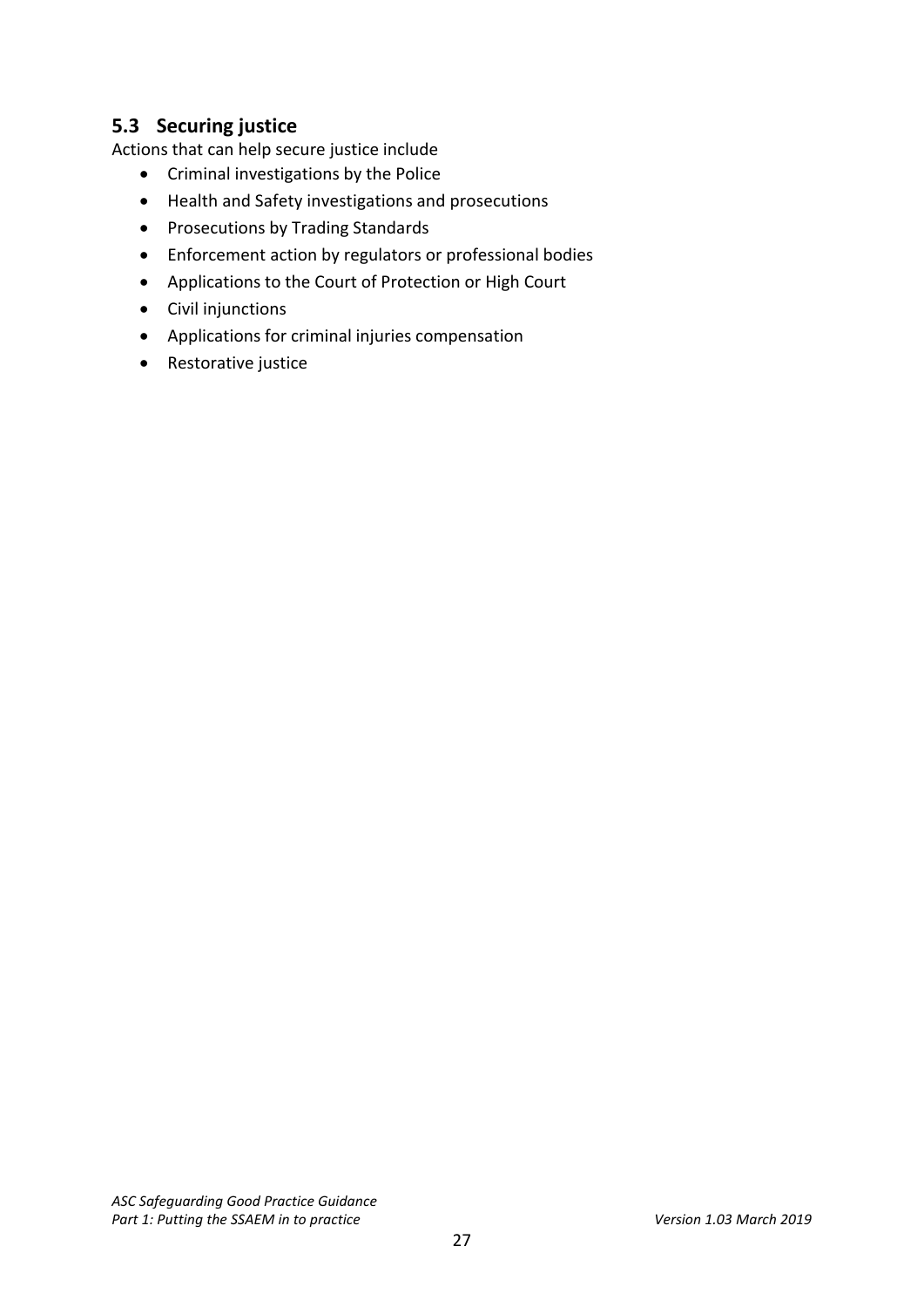# <span id="page-26-0"></span>**5.3 Securing justice**

Actions that can help secure justice include

- Criminal investigations by the Police
- Health and Safety investigations and prosecutions
- Prosecutions by Trading Standards
- Enforcement action by regulators or professional bodies
- Applications to the Court of Protection or High Court
- Civil injunctions
- Applications for criminal injuries compensation
- Restorative justice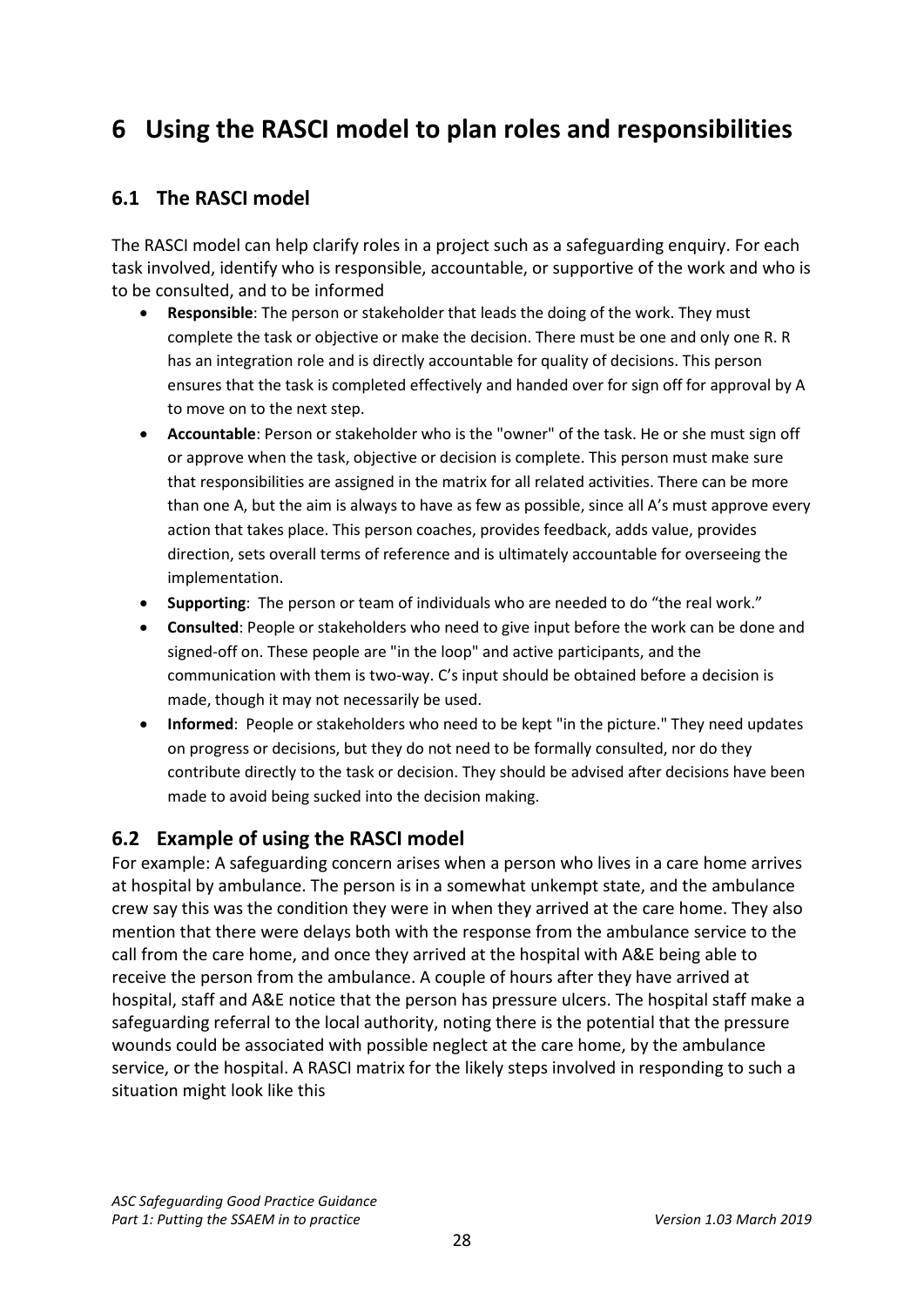# <span id="page-27-0"></span>**6 Using the RASCI model to plan roles and responsibilities**

# <span id="page-27-1"></span>**6.1 The RASCI model**

The RASCI model can help clarify roles in a project such as a safeguarding enquiry. For each task involved, identify who is responsible, accountable, or supportive of the work and who is to be consulted, and to be informed

- **Responsible**: The person or stakeholder that leads the doing of the work. They must complete the task or objective or make the decision. There must be one and only one R. R has an integration role and is directly accountable for quality of decisions. This person ensures that the task is completed effectively and handed over for sign off for approval by A to move on to the next step.
- **Accountable**: Person or stakeholder who is the "owner" of the task. He or she must sign off or approve when the task, objective or decision is complete. This person must make sure that responsibilities are assigned in the matrix for all related activities. There can be more than one A, but the aim is always to have as few as possible, since all A's must approve every action that takes place. This person coaches, provides feedback, adds value, provides direction, sets overall terms of reference and is ultimately accountable for overseeing the implementation.
- **Supporting**: The person or team of individuals who are needed to do "the real work."
- **Consulted**: People or stakeholders who need to give input before the work can be done and signed-off on. These people are "in the loop" and active participants, and the communication with them is two-way. C's input should be obtained before a decision is made, though it may not necessarily be used.
- **Informed**: People or stakeholders who need to be kept "in the picture." They need updates on progress or decisions, but they do not need to be formally consulted, nor do they contribute directly to the task or decision. They should be advised after decisions have been made to avoid being sucked into the decision making.

# <span id="page-27-2"></span>**6.2 Example of using the RASCI model**

For example: A safeguarding concern arises when a person who lives in a care home arrives at hospital by ambulance. The person is in a somewhat unkempt state, and the ambulance crew say this was the condition they were in when they arrived at the care home. They also mention that there were delays both with the response from the ambulance service to the call from the care home, and once they arrived at the hospital with A&E being able to receive the person from the ambulance. A couple of hours after they have arrived at hospital, staff and A&E notice that the person has pressure ulcers. The hospital staff make a safeguarding referral to the local authority, noting there is the potential that the pressure wounds could be associated with possible neglect at the care home, by the ambulance service, or the hospital. A RASCI matrix for the likely steps involved in responding to such a situation might look like this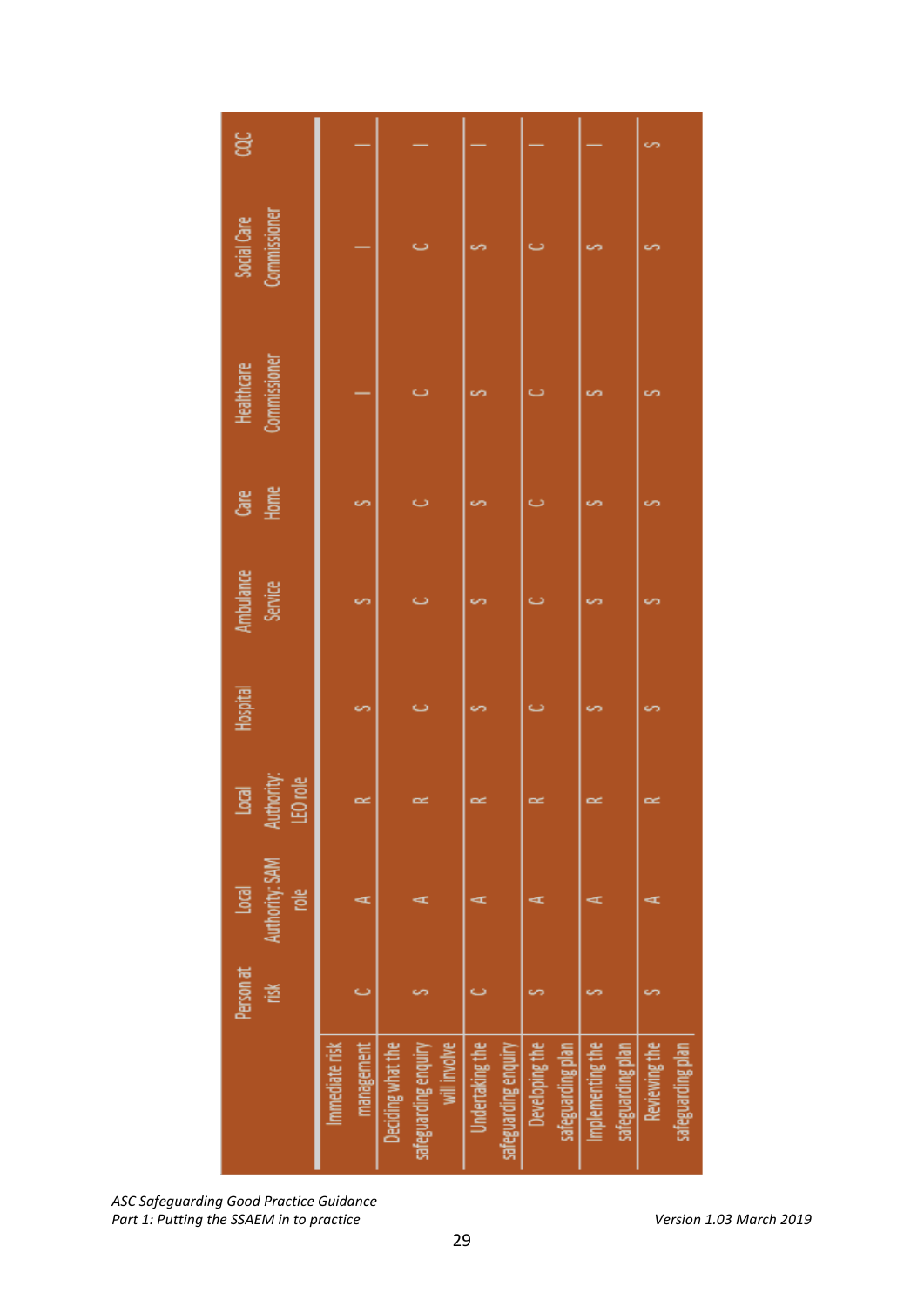| ğ                                  |                              |                                                           |                                         |                                     |                                       | cn                                 |
|------------------------------------|------------------------------|-----------------------------------------------------------|-----------------------------------------|-------------------------------------|---------------------------------------|------------------------------------|
| Commissioner<br>Social Care        |                              |                                                           | cn                                      |                                     | cn                                    | cn                                 |
| Commissioner<br>Healthcare         |                              |                                                           |                                         |                                     |                                       |                                    |
| Home<br>ළි                         | S                            | ت                                                         |                                         | Ō                                   |                                       | ທ                                  |
| Ambulance<br>Service               | S                            | ت                                                         |                                         |                                     |                                       |                                    |
| Hospital                           | S                            | ت                                                         | S                                       | Ö                                   |                                       | s                                  |
| LEO role<br>Authority:<br><b>g</b> | $\approx$                    | $\approx$                                                 | $\approx$                               | $\approx$                           | $\approx$                             | $\approx$                          |
| Authority: SAM<br><b>g</b><br>흥    | Œ                            | Œ                                                         | ⊄                                       | Œ                                   | ⊄                                     | ď                                  |
| <b>Person</b> at<br>道              | ت                            |                                                           |                                         | cn                                  |                                       | cn                                 |
|                                    | Immediate risk<br>management | Deciding what the<br>will involve<br>safeguarding enquiry | Undertaking the<br>safeguarding enquiry | Developing the<br>safeguarding plan | Implementing the<br>safeguarding plan | Reviewing the<br>safeguarding plan |

*ASC Safeguarding Good Practice Guidance* Part 1: Putting the SSAEM in to practice Version 1.03 March 2019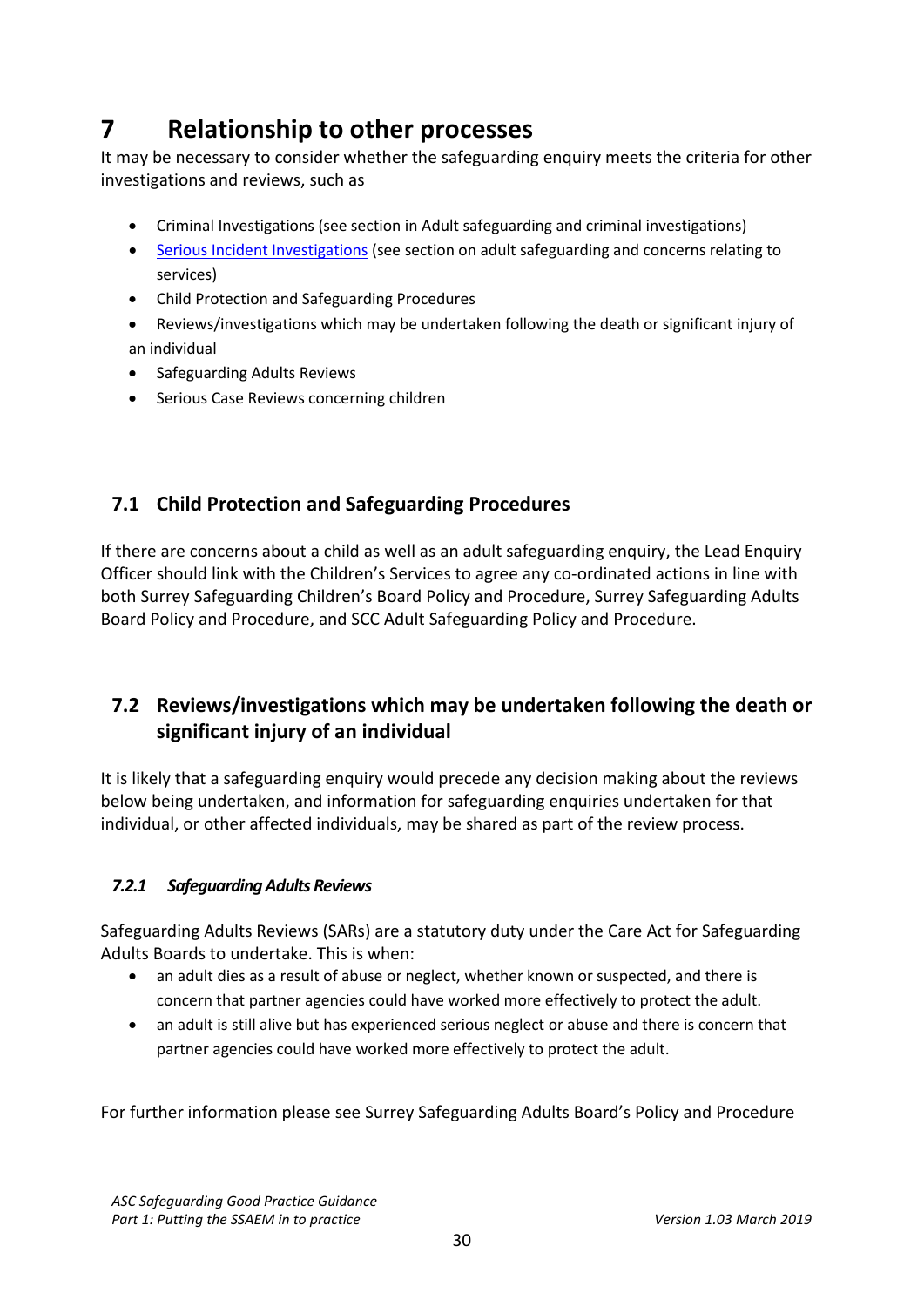# <span id="page-29-0"></span>**7 Relationship to other processes**

It may be necessary to consider whether the safeguarding enquiry meets the criteria for other investigations and reviews, such as

- Criminal Investigations (see section in Adult safeguarding and criminal investigations)
- [Serious Incident Investigations](https://improvement.nhs.uk/resources/serious-incident-framework/) (see section on adult safeguarding and concerns relating to services)
- Child Protection and Safeguarding Procedures
- Reviews/investigations which may be undertaken following the death or significant injury of an individual
- Safeguarding Adults Reviews
- Serious Case Reviews concerning children

# <span id="page-29-1"></span>**7.1 Child Protection and Safeguarding Procedures**

If there are concerns about a child as well as an adult safeguarding enquiry, the Lead Enquiry Officer should link with the Children's Services to agree any co-ordinated actions in line with both Surrey Safeguarding Children's Board Policy and Procedure, Surrey Safeguarding Adults Board Policy and Procedure, and SCC Adult Safeguarding Policy and Procedure.

# <span id="page-29-2"></span>**7.2 Reviews/investigations which may be undertaken following the death or significant injury of an individual**

It is likely that a safeguarding enquiry would precede any decision making about the reviews below being undertaken, and information for safeguarding enquiries undertaken for that individual, or other affected individuals, may be shared as part of the review process.

# *7.2.1 Safeguarding Adults Reviews*

Safeguarding Adults Reviews (SARs) are a statutory duty under the Care Act for Safeguarding Adults Boards to undertake. This is when:

- an adult dies as a result of abuse or neglect, whether known or suspected, and there is concern that partner agencies could have worked more effectively to protect the adult.
- an adult is still alive but has experienced serious neglect or abuse and there is concern that partner agencies could have worked more effectively to protect the adult.

For further information please see Surrey Safeguarding Adults Board's Policy and Procedure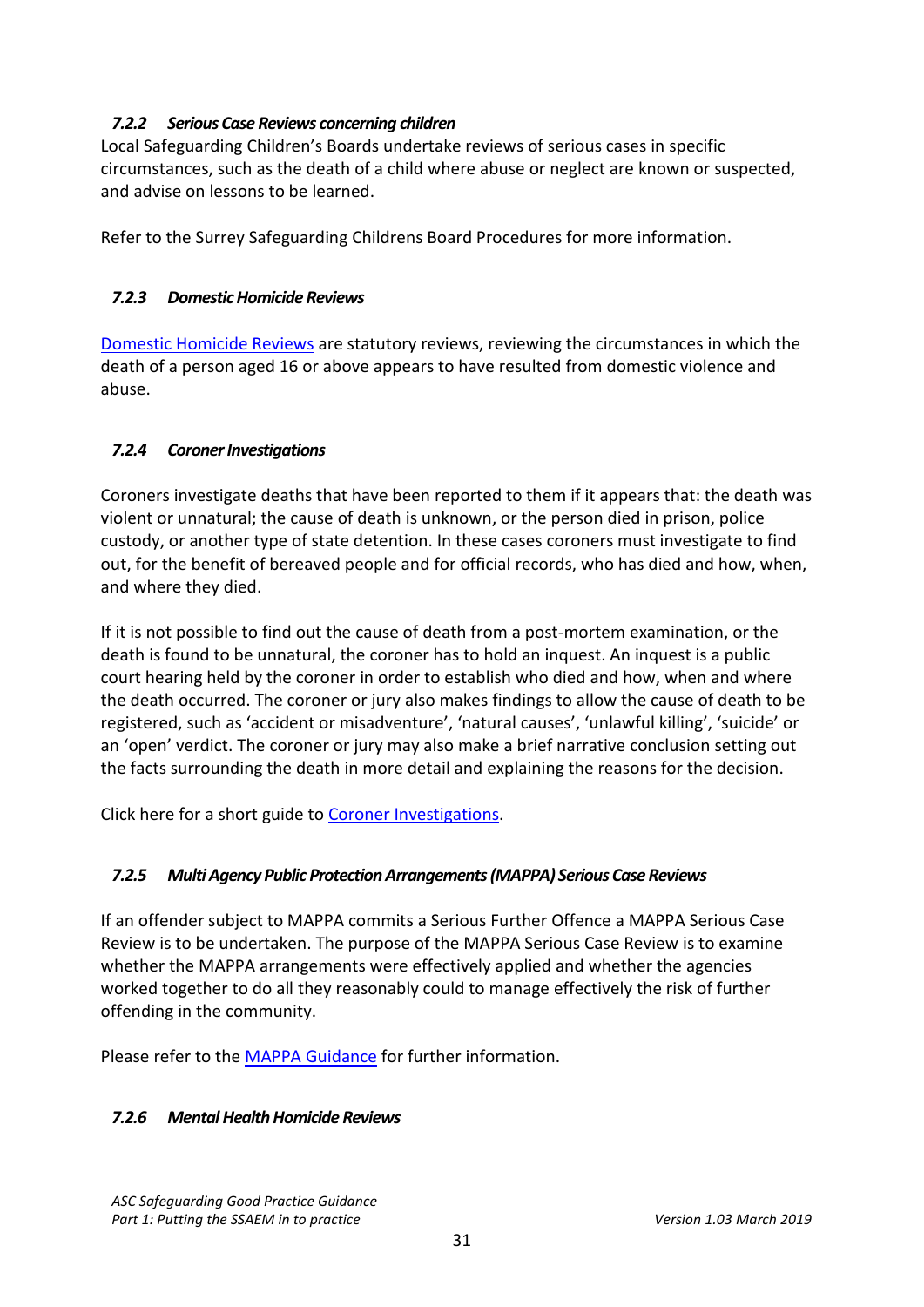## *7.2.2 Serious Case Reviews concerning children*

Local Safeguarding Children's Boards undertake reviews of serious cases in specific circumstances, such as the death of a child where abuse or neglect are known or suspected, and advise on lessons to be learned.

Refer to the Surrey Safeguarding Childrens Board Procedures for more information.

## *7.2.3 Domestic Homicide Reviews*

[Domestic Homicide Reviews](https://www.gov.uk/government/collections/domestic-homicide-review) are statutory reviews, reviewing the circumstances in which the death of a person aged 16 or above appears to have resulted from domestic violence and abuse.

# *7.2.4 Coroner Investigations*

Coroners investigate deaths that have been reported to them if it appears that: the death was violent or unnatural; the cause of death is unknown, or the person died in prison, police custody, or another type of state detention. In these cases coroners must investigate to find out, for the benefit of bereaved people and for official records, who has died and how, when, and where they died.

If it is not possible to find out the cause of death from a post-mortem examination, or the death is found to be unnatural, the coroner has to hold an inquest. An inquest is a public court hearing held by the coroner in order to establish who died and how, when and where the death occurred. The coroner or jury also makes findings to allow the cause of death to be registered, such as 'accident or misadventure', 'natural causes', 'unlawful killing', 'suicide' or an 'open' verdict. The coroner or jury may also make a brief narrative conclusion setting out the facts surrounding the death in more detail and explaining the reasons for the decision.

Click here for a short guide to [Coroner Investigations.](https://www.coronersociety.org.uk/_img/pics/pdf_1503323567.pdf)

# *7.2.5 Multi Agency Public Protection Arrangements (MAPPA) Serious Case Reviews*

If an offender subject to MAPPA commits a Serious Further Offence a MAPPA Serious Case Review is to be undertaken. The purpose of the MAPPA Serious Case Review is to examine whether the MAPPA arrangements were effectively applied and whether the agencies worked together to do all they reasonably could to manage effectively the risk of further offending in the community.

Please refer to th[e MAPPA Guidance](https://www.justice.gov.uk/downloads/offenders/mappa/mappa-guidance-2012-part1.pdf) for further information.

### *7.2.6 Mental Health Homicide Reviews*

*ASC Safeguarding Good Practice Guidance* Part 1: Putting the SSAEM in to practice *Version 1.03 March 2019*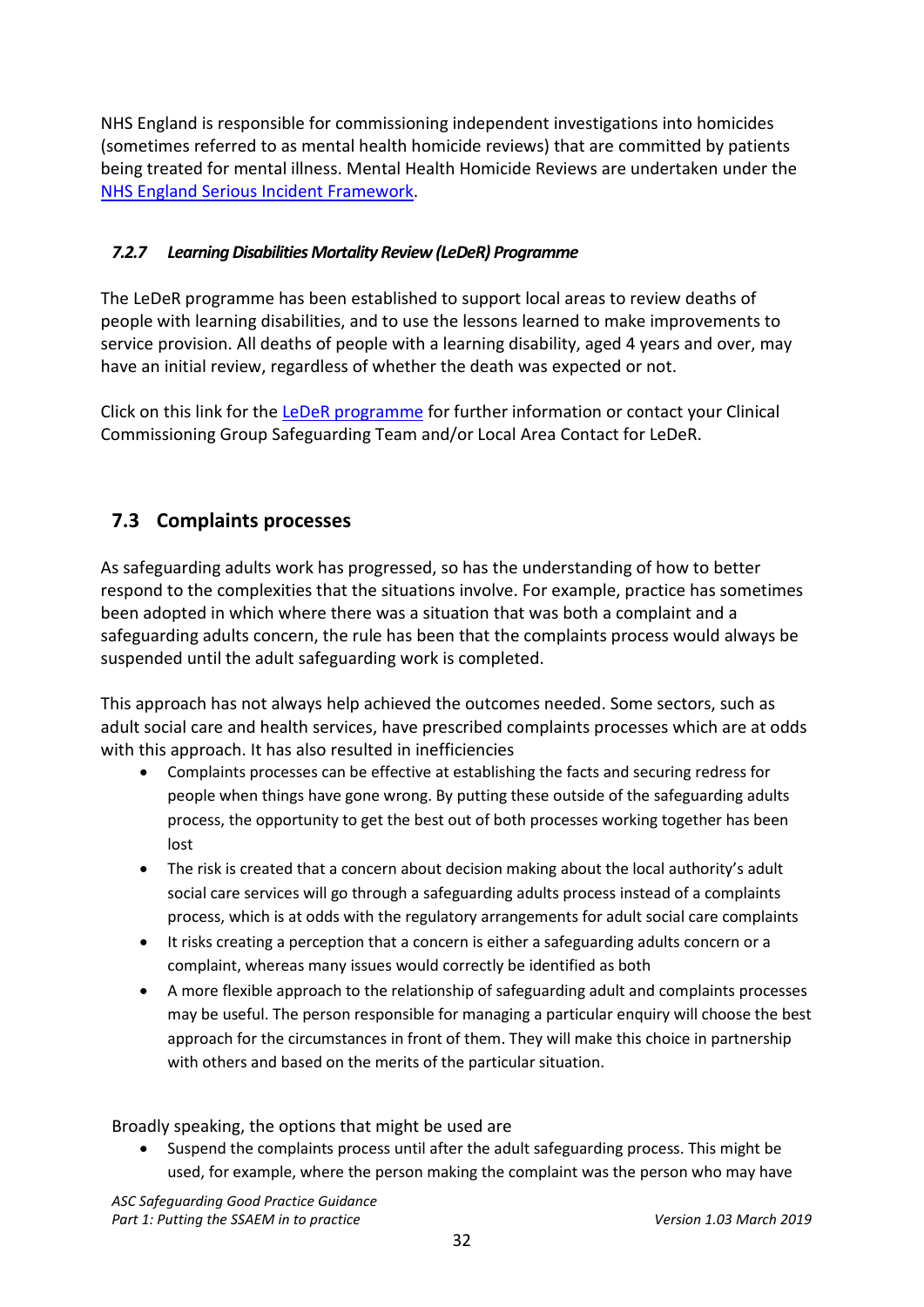NHS England is responsible for commissioning independent investigations into homicides (sometimes referred to as mental health homicide reviews) that are committed by patients being treated for mental illness. Mental Health Homicide Reviews are undertaken under the [NHS England Serious Incident Framework.](https://improvement.nhs.uk/resources/serious-incident-framework/)

# *7.2.7 Learning Disabilities Mortality Review (LeDeR) Programme*

The LeDeR programme has been established to support local areas to review deaths of people with learning disabilities, and to use the lessons learned to make improvements to service provision. All deaths of people with a learning disability, aged 4 years and over, may have an initial review, regardless of whether the death was expected or not.

Click on this link for the **LeDeR** programme for further information or contact your Clinical Commissioning Group Safeguarding Team and/or Local Area Contact for LeDeR.

# <span id="page-31-0"></span>**7.3 Complaints processes**

As safeguarding adults work has progressed, so has the understanding of how to better respond to the complexities that the situations involve. For example, practice has sometimes been adopted in which where there was a situation that was both a complaint and a safeguarding adults concern, the rule has been that the complaints process would always be suspended until the adult safeguarding work is completed.

This approach has not always help achieved the outcomes needed. Some sectors, such as adult social care and health services, have prescribed complaints processes which are at odds with this approach. It has also resulted in inefficiencies

- Complaints processes can be effective at establishing the facts and securing redress for people when things have gone wrong. By putting these outside of the safeguarding adults process, the opportunity to get the best out of both processes working together has been lost
- The risk is created that a concern about decision making about the local authority's adult social care services will go through a safeguarding adults process instead of a complaints process, which is at odds with the regulatory arrangements for adult social care complaints
- It risks creating a perception that a concern is either a safeguarding adults concern or a complaint, whereas many issues would correctly be identified as both
- A more flexible approach to the relationship of safeguarding adult and complaints processes may be useful. The person responsible for managing a particular enquiry will choose the best approach for the circumstances in front of them. They will make this choice in partnership with others and based on the merits of the particular situation.

Broadly speaking, the options that might be used are

• Suspend the complaints process until after the adult safeguarding process. This might be used, for example, where the person making the complaint was the person who may have

*ASC Safeguarding Good Practice Guidance* Part 1: Putting the SSAEM in to practice *Version 1.03 March 2019*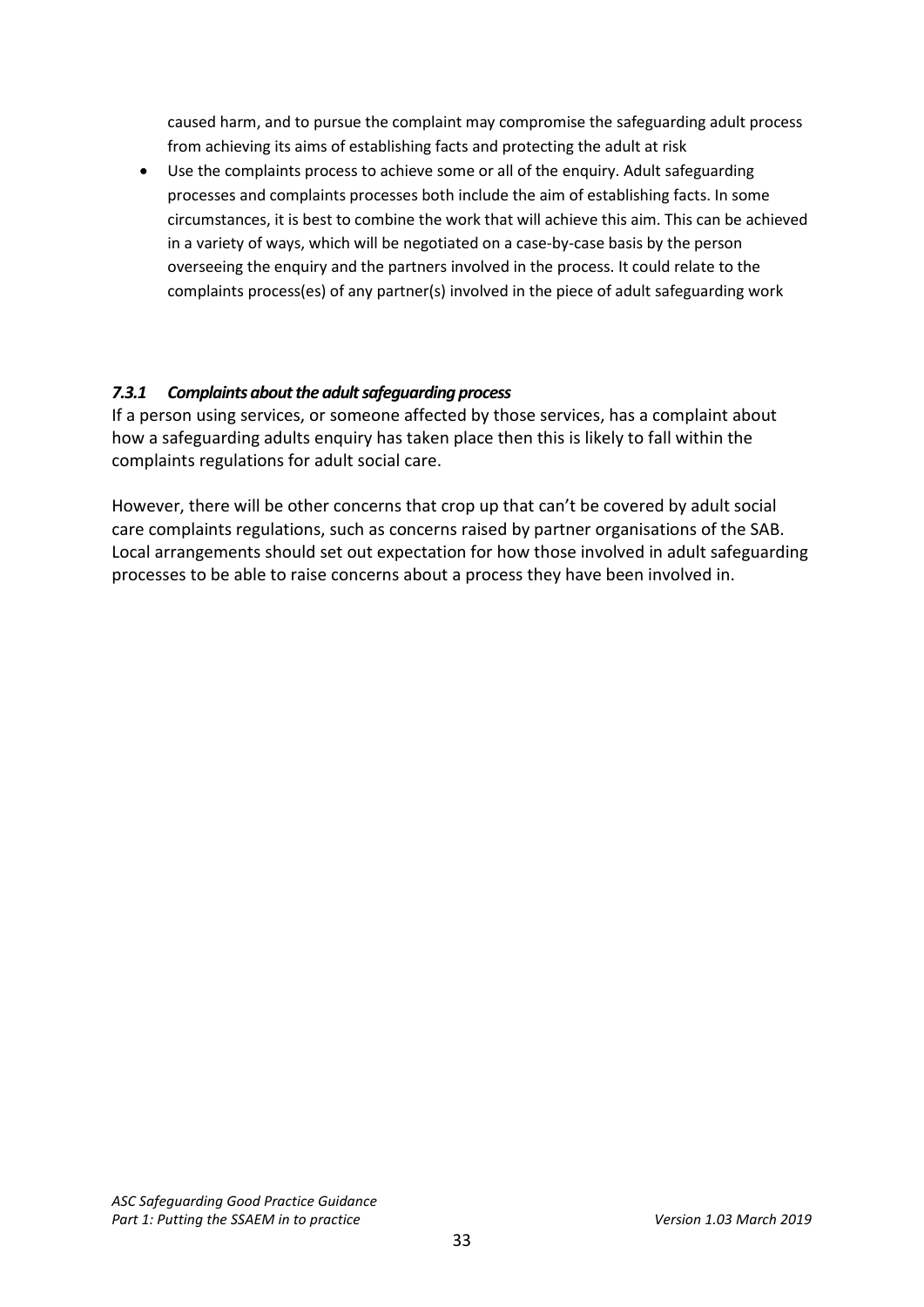caused harm, and to pursue the complaint may compromise the safeguarding adult process from achieving its aims of establishing facts and protecting the adult at risk

• Use the complaints process to achieve some or all of the enquiry. Adult safeguarding processes and complaints processes both include the aim of establishing facts. In some circumstances, it is best to combine the work that will achieve this aim. This can be achieved in a variety of ways, which will be negotiated on a case-by-case basis by the person overseeing the enquiry and the partners involved in the process. It could relate to the complaints process(es) of any partner(s) involved in the piece of adult safeguarding work

# *7.3.1 Complaints about the adult safeguarding process*

If a person using services, or someone affected by those services, has a complaint about how a safeguarding adults enquiry has taken place then this is likely to fall within the complaints regulations for adult social care.

However, there will be other concerns that crop up that can't be covered by adult social care complaints regulations, such as concerns raised by partner organisations of the SAB. Local arrangements should set out expectation for how those involved in adult safeguarding processes to be able to raise concerns about a process they have been involved in.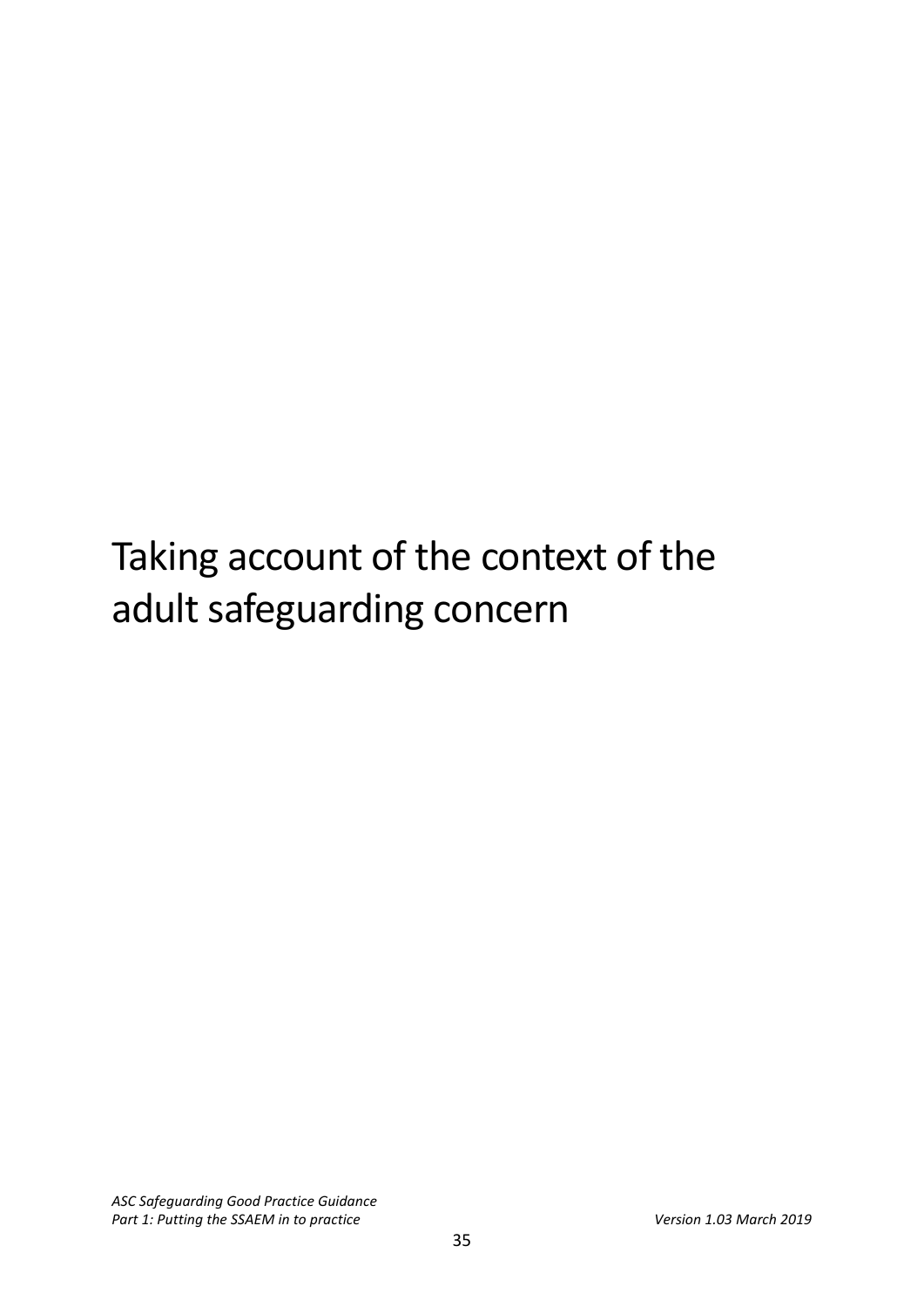# Taking account of the context of the adult safeguarding concern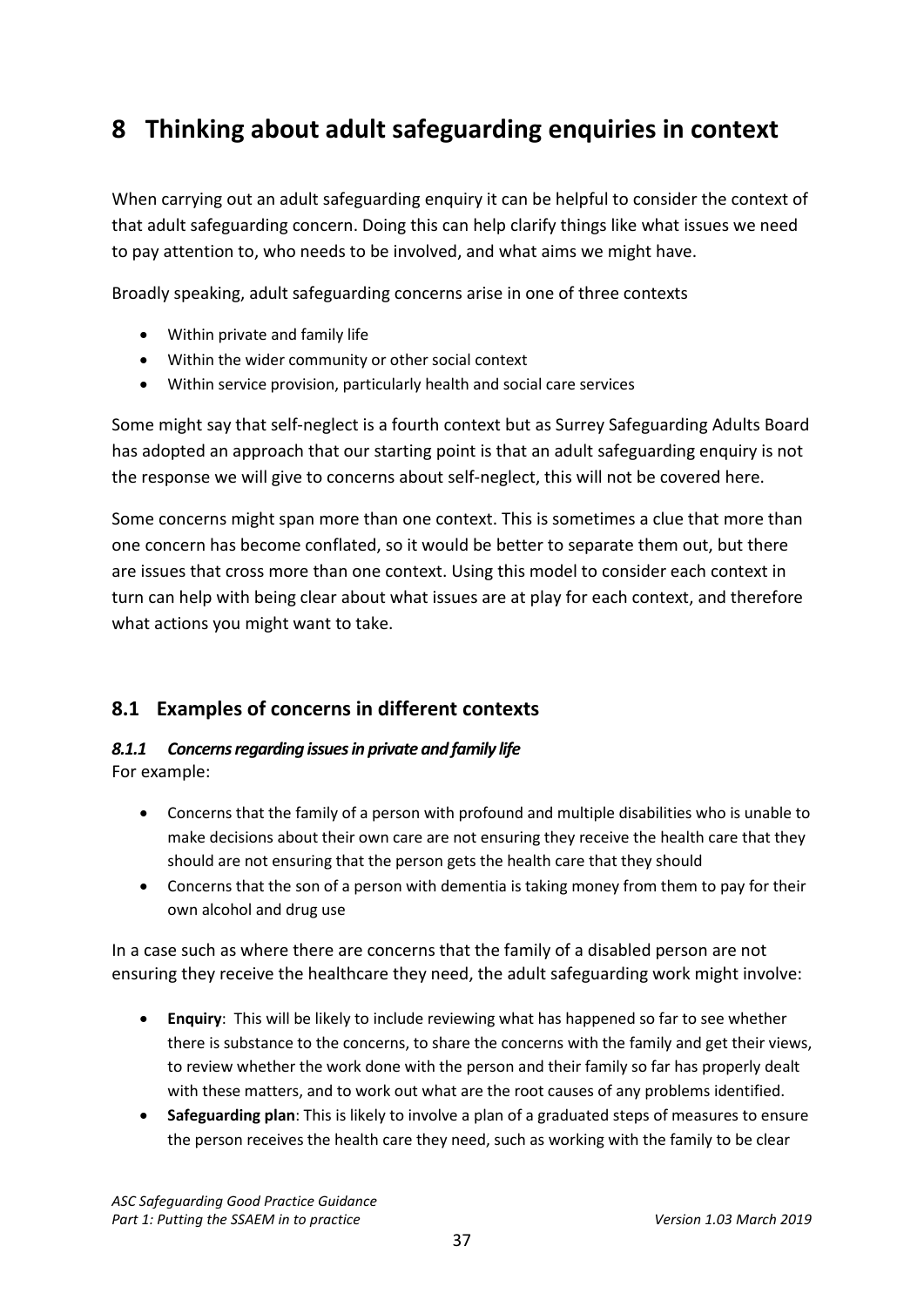# <span id="page-36-0"></span>**8 Thinking about adult safeguarding enquiries in context**

When carrying out an adult safeguarding enquiry it can be helpful to consider the context of that adult safeguarding concern. Doing this can help clarify things like what issues we need to pay attention to, who needs to be involved, and what aims we might have.

Broadly speaking, adult safeguarding concerns arise in one of three contexts

- Within private and family life
- Within the wider community or other social context
- Within service provision, particularly health and social care services

Some might say that self-neglect is a fourth context but as Surrey Safeguarding Adults Board has adopted an approach that our starting point is that an adult safeguarding enquiry is not the response we will give to concerns about self-neglect, this will not be covered here.

Some concerns might span more than one context. This is sometimes a clue that more than one concern has become conflated, so it would be better to separate them out, but there are issues that cross more than one context. Using this model to consider each context in turn can help with being clear about what issues are at play for each context, and therefore what actions you might want to take.

# <span id="page-36-1"></span>**8.1 Examples of concerns in different contexts**

#### *8.1.1 Concerns regarding issues in private and family life* For example:

- Concerns that the family of a person with profound and multiple disabilities who is unable to make decisions about their own care are not ensuring they receive the health care that they should are not ensuring that the person gets the health care that they should
- Concerns that the son of a person with dementia is taking money from them to pay for their own alcohol and drug use

In a case such as where there are concerns that the family of a disabled person are not ensuring they receive the healthcare they need, the adult safeguarding work might involve:

- **Enquiry**: This will be likely to include reviewing what has happened so far to see whether there is substance to the concerns, to share the concerns with the family and get their views, to review whether the work done with the person and their family so far has properly dealt with these matters, and to work out what are the root causes of any problems identified.
- **Safeguarding plan**: This is likely to involve a plan of a graduated steps of measures to ensure the person receives the health care they need, such as working with the family to be clear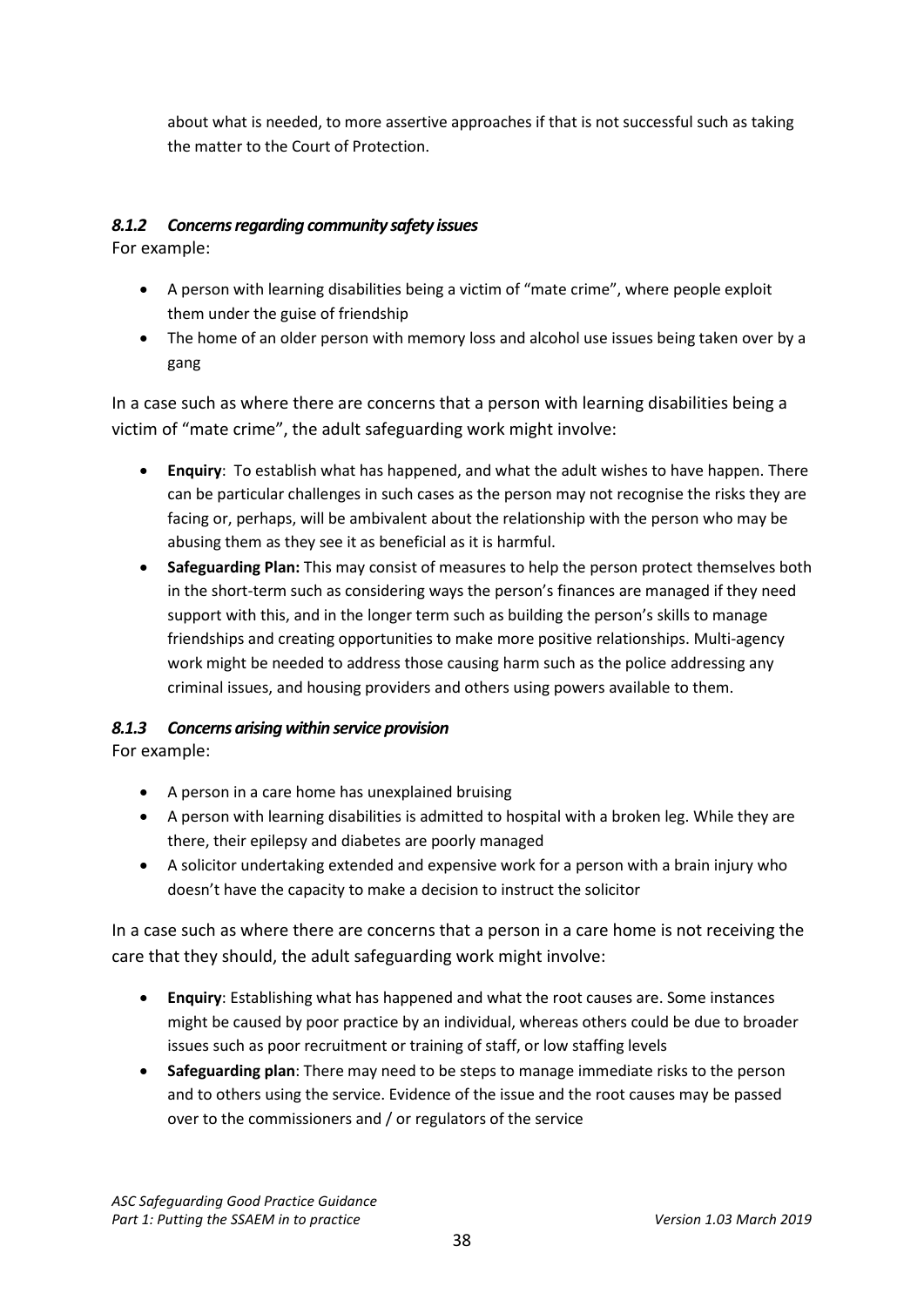about what is needed, to more assertive approaches if that is not successful such as taking the matter to the Court of Protection.

# *8.1.2 Concerns regarding community safety issues*

For example:

- A person with learning disabilities being a victim of "mate crime", where people exploit them under the guise of friendship
- The home of an older person with memory loss and alcohol use issues being taken over by a gang

In a case such as where there are concerns that a person with learning disabilities being a victim of "mate crime", the adult safeguarding work might involve:

- **Enquiry**: To establish what has happened, and what the adult wishes to have happen. There can be particular challenges in such cases as the person may not recognise the risks they are facing or, perhaps, will be ambivalent about the relationship with the person who may be abusing them as they see it as beneficial as it is harmful.
- **Safeguarding Plan:** This may consist of measures to help the person protect themselves both in the short-term such as considering ways the person's finances are managed if they need support with this, and in the longer term such as building the person's skills to manage friendships and creating opportunities to make more positive relationships. Multi-agency work might be needed to address those causing harm such as the police addressing any criminal issues, and housing providers and others using powers available to them.

# *8.1.3 Concerns arising within service provision*

For example:

- A person in a care home has unexplained bruising
- A person with learning disabilities is admitted to hospital with a broken leg. While they are there, their epilepsy and diabetes are poorly managed
- A solicitor undertaking extended and expensive work for a person with a brain injury who doesn't have the capacity to make a decision to instruct the solicitor

In a case such as where there are concerns that a person in a care home is not receiving the care that they should, the adult safeguarding work might involve:

- **Enquiry**: Establishing what has happened and what the root causes are. Some instances might be caused by poor practice by an individual, whereas others could be due to broader issues such as poor recruitment or training of staff, or low staffing levels
- **Safeguarding plan**: There may need to be steps to manage immediate risks to the person and to others using the service. Evidence of the issue and the root causes may be passed over to the commissioners and / or regulators of the service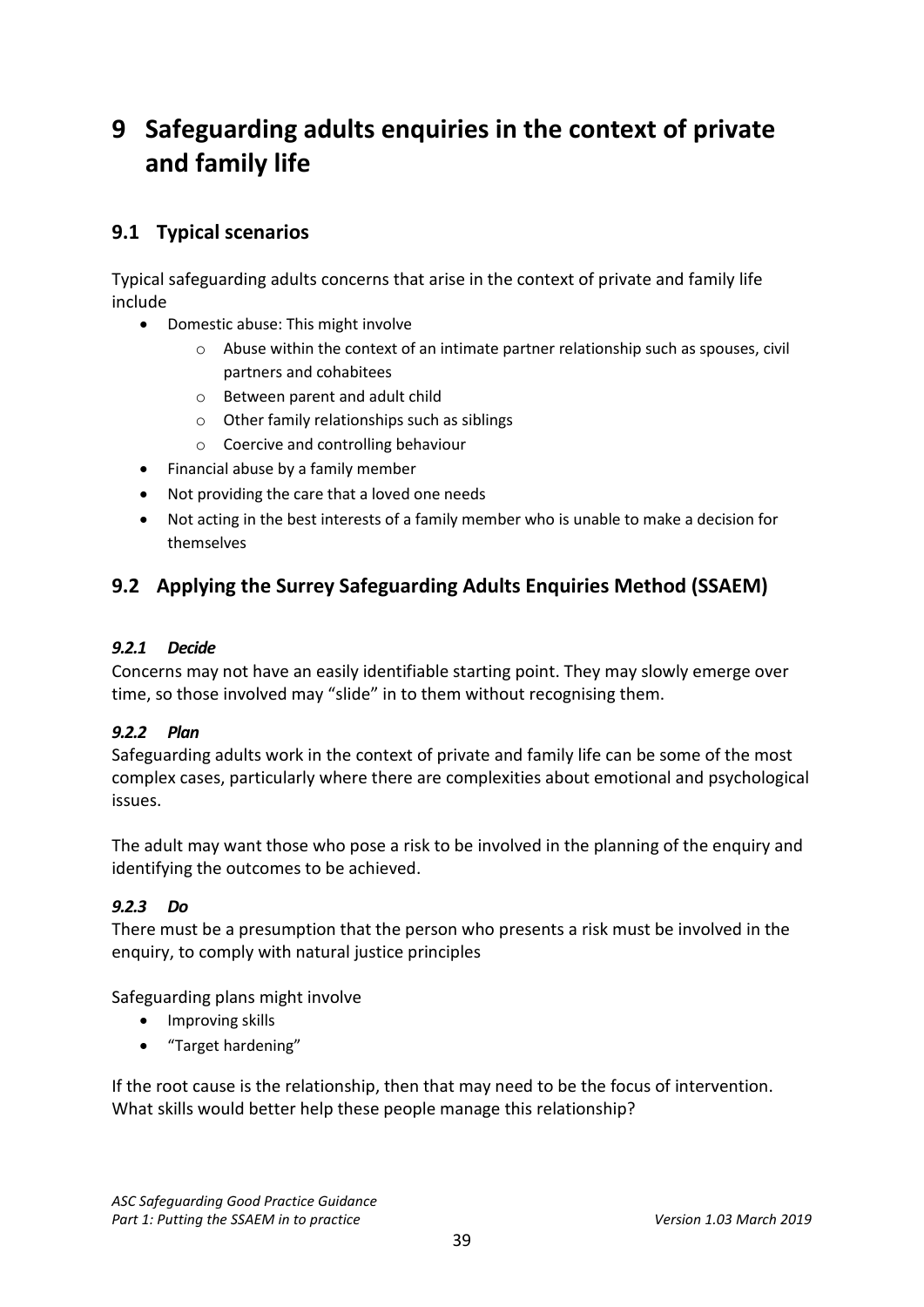# <span id="page-38-0"></span>**9 Safeguarding adults enquiries in the context of private and family life**

# <span id="page-38-1"></span>**9.1 Typical scenarios**

Typical safeguarding adults concerns that arise in the context of private and family life include

- Domestic abuse: This might involve
	- $\circ$  Abuse within the context of an intimate partner relationship such as spouses, civil partners and cohabitees
	- o Between parent and adult child
	- o Other family relationships such as siblings
	- o Coercive and controlling behaviour
- Financial abuse by a family member
- Not providing the care that a loved one needs
- Not acting in the best interests of a family member who is unable to make a decision for themselves

# <span id="page-38-2"></span>**9.2 Applying the Surrey Safeguarding Adults Enquiries Method (SSAEM)**

#### *9.2.1 Decide*

Concerns may not have an easily identifiable starting point. They may slowly emerge over time, so those involved may "slide" in to them without recognising them.

### *9.2.2 Plan*

Safeguarding adults work in the context of private and family life can be some of the most complex cases, particularly where there are complexities about emotional and psychological issues.

The adult may want those who pose a risk to be involved in the planning of the enquiry and identifying the outcomes to be achieved.

### *9.2.3 Do*

There must be a presumption that the person who presents a risk must be involved in the enquiry, to comply with natural justice principles

Safeguarding plans might involve

- Improving skills
- "Target hardening"

If the root cause is the relationship, then that may need to be the focus of intervention. What skills would better help these people manage this relationship?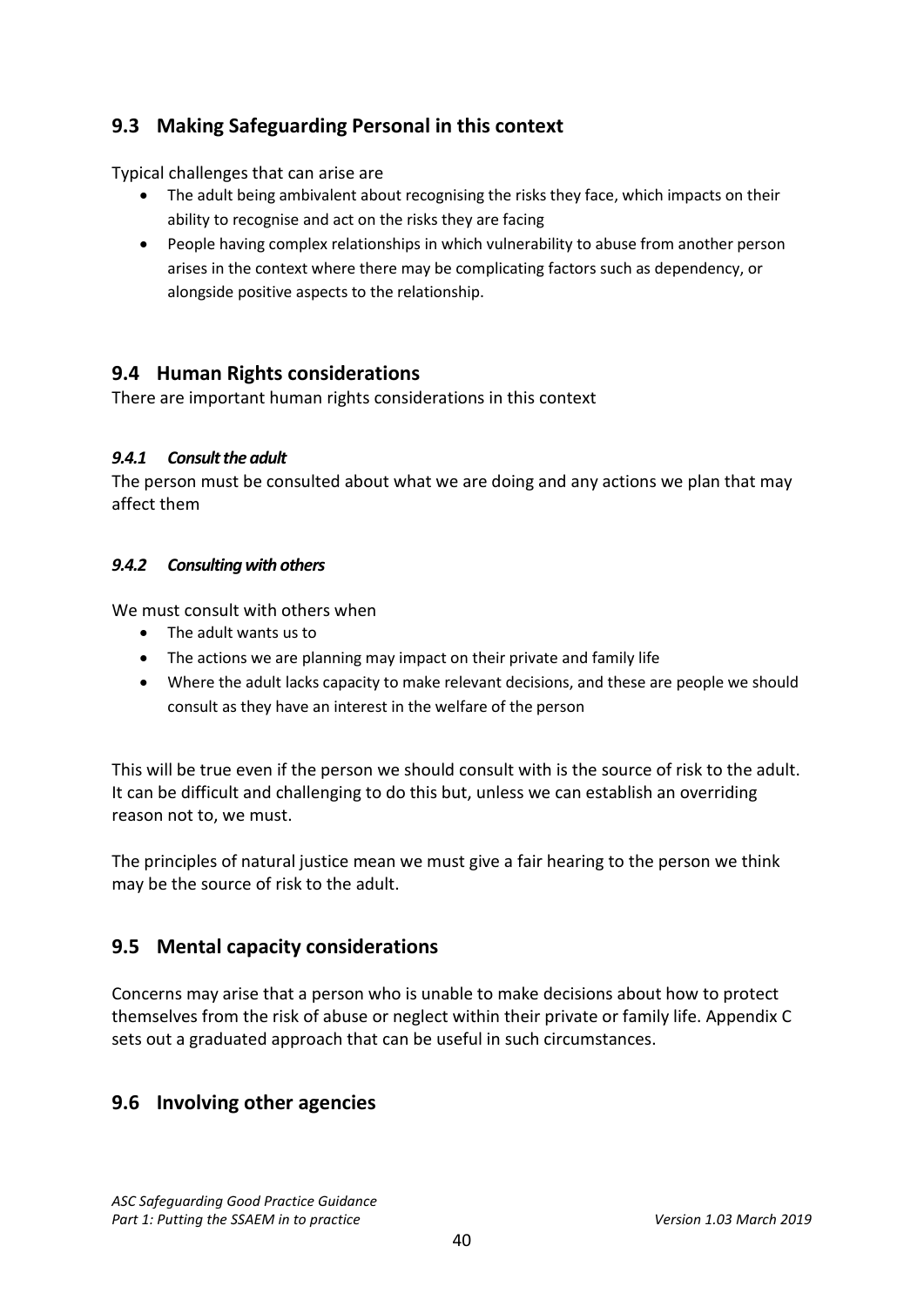# <span id="page-39-0"></span>**9.3 Making Safeguarding Personal in this context**

Typical challenges that can arise are

- The adult being ambivalent about recognising the risks they face, which impacts on their ability to recognise and act on the risks they are facing
- People having complex relationships in which vulnerability to abuse from another person arises in the context where there may be complicating factors such as dependency, or alongside positive aspects to the relationship.

# <span id="page-39-1"></span>**9.4 Human Rights considerations**

There are important human rights considerations in this context

### *9.4.1 Consult the adult*

The person must be consulted about what we are doing and any actions we plan that may affect them

### *9.4.2 Consulting with others*

We must consult with others when

- The adult wants us to
- The actions we are planning may impact on their private and family life
- Where the adult lacks capacity to make relevant decisions, and these are people we should consult as they have an interest in the welfare of the person

This will be true even if the person we should consult with is the source of risk to the adult. It can be difficult and challenging to do this but, unless we can establish an overriding reason not to, we must.

The principles of natural justice mean we must give a fair hearing to the person we think may be the source of risk to the adult.

# <span id="page-39-2"></span>**9.5 Mental capacity considerations**

Concerns may arise that a person who is unable to make decisions about how to protect themselves from the risk of abuse or neglect within their private or family life. Appendix C sets out a graduated approach that can be useful in such circumstances.

# <span id="page-39-3"></span>**9.6 Involving other agencies**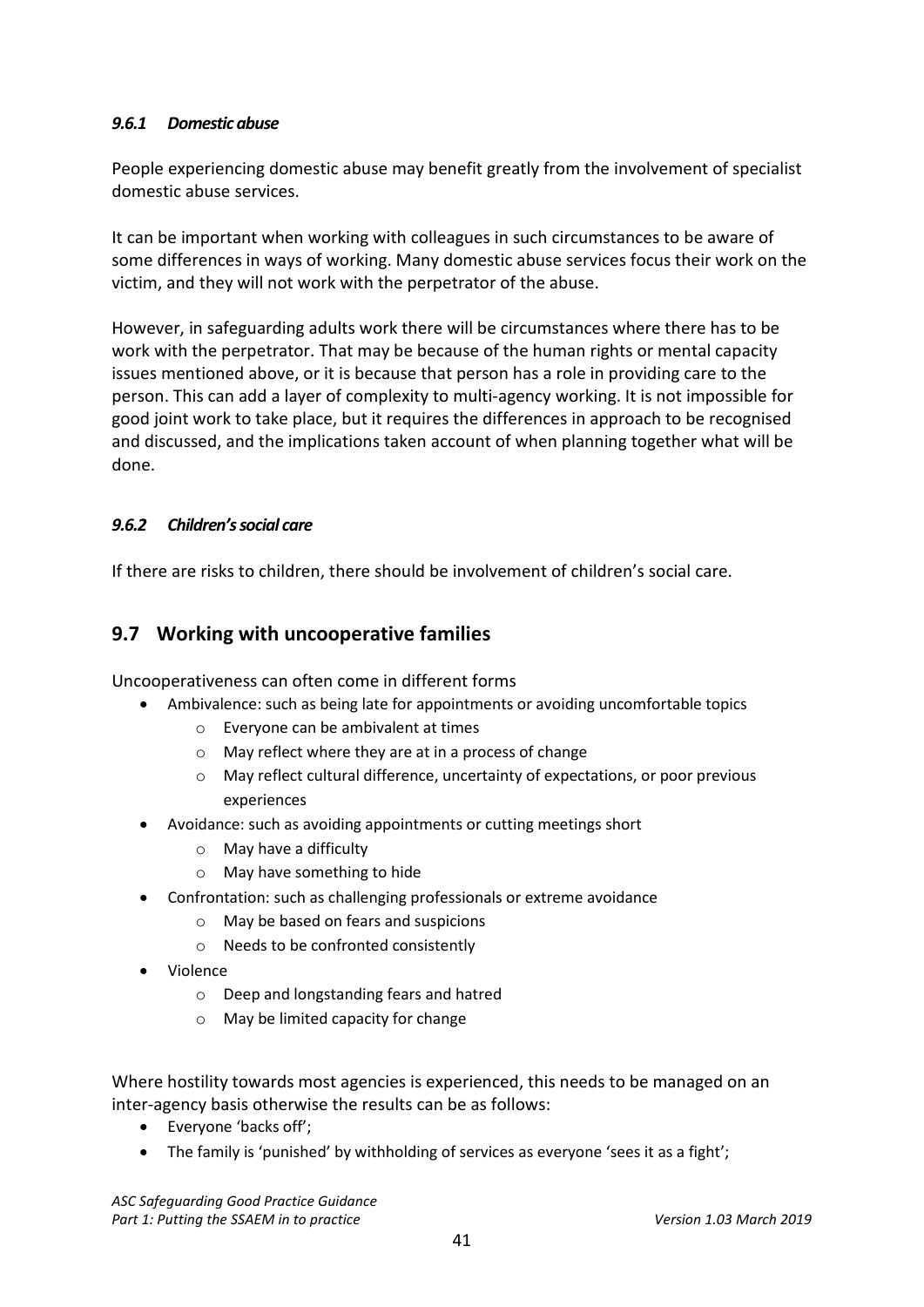### *9.6.1 Domestic abuse*

People experiencing domestic abuse may benefit greatly from the involvement of specialist domestic abuse services.

It can be important when working with colleagues in such circumstances to be aware of some differences in ways of working. Many domestic abuse services focus their work on the victim, and they will not work with the perpetrator of the abuse.

However, in safeguarding adults work there will be circumstances where there has to be work with the perpetrator. That may be because of the human rights or mental capacity issues mentioned above, or it is because that person has a role in providing care to the person. This can add a layer of complexity to multi-agency working. It is not impossible for good joint work to take place, but it requires the differences in approach to be recognised and discussed, and the implications taken account of when planning together what will be done.

#### *9.6.2 Children's social care*

If there are risks to children, there should be involvement of children's social care.

# <span id="page-40-0"></span>**9.7 Working with uncooperative families**

Uncooperativeness can often come in different forms

- Ambivalence: such as being late for appointments or avoiding uncomfortable topics
	- o Everyone can be ambivalent at times
	- o May reflect where they are at in a process of change
	- $\circ$  May reflect cultural difference, uncertainty of expectations, or poor previous experiences
- Avoidance: such as avoiding appointments or cutting meetings short
	- o May have a difficulty
	- o May have something to hide
- Confrontation: such as challenging professionals or extreme avoidance
	- o May be based on fears and suspicions
	- o Needs to be confronted consistently
- Violence
	- o Deep and longstanding fears and hatred
	- o May be limited capacity for change

Where hostility towards most agencies is experienced, this needs to be managed on an inter-agency basis otherwise the results can be as follows:

- Everyone 'backs off';
- The family is 'punished' by withholding of services as everyone 'sees it as a fight';

*ASC Safeguarding Good Practice Guidance* Part 1: Putting the SSAEM in to practice Version 1.03 March 2019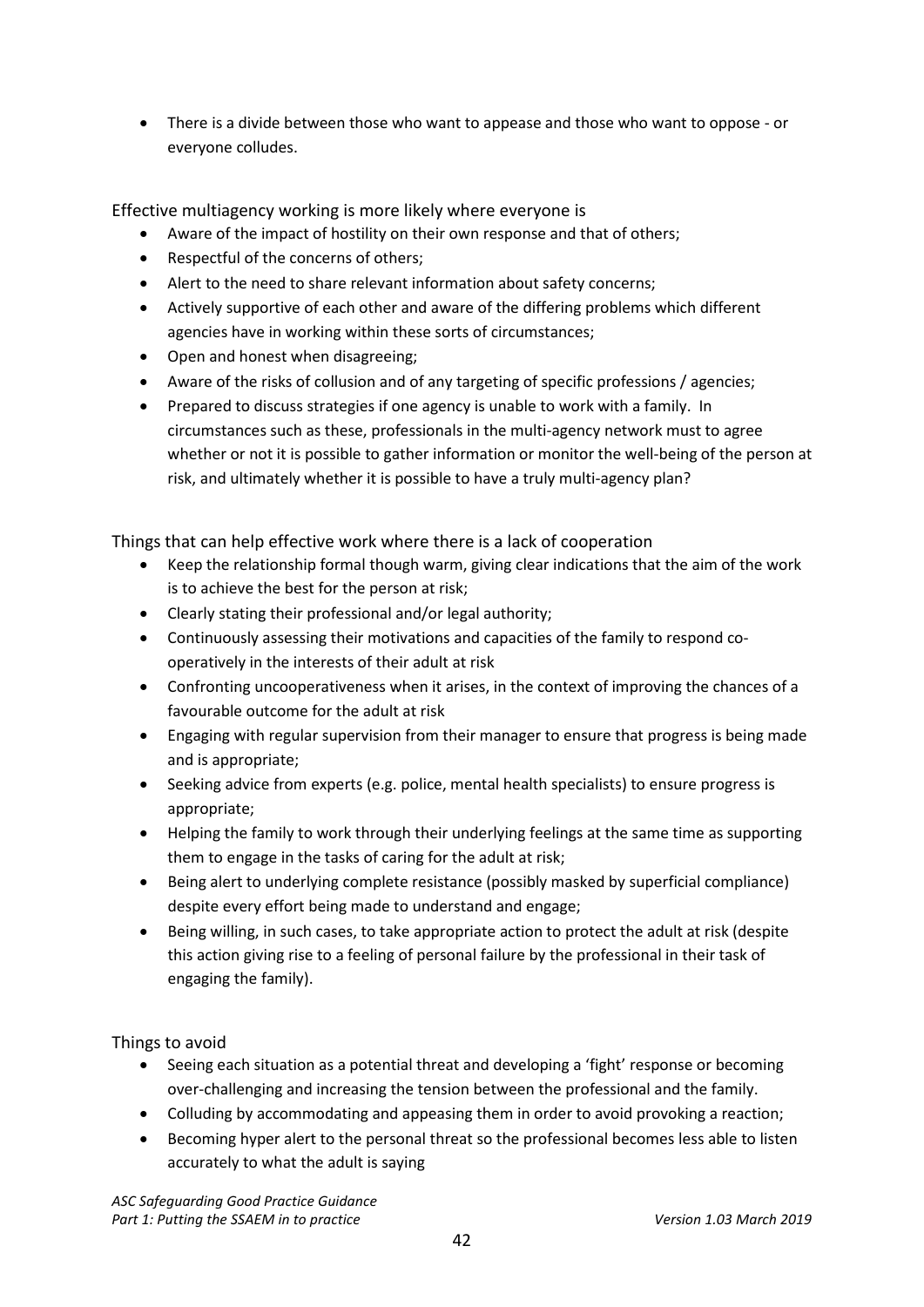• There is a divide between those who want to appease and those who want to oppose - or everyone colludes.

Effective multiagency working is more likely where everyone is

- Aware of the impact of hostility on their own response and that of others;
- Respectful of the concerns of others;
- Alert to the need to share relevant information about safety concerns;
- Actively supportive of each other and aware of the differing problems which different agencies have in working within these sorts of circumstances;
- Open and honest when disagreeing;
- Aware of the risks of collusion and of any targeting of specific professions / agencies;
- Prepared to discuss strategies if one agency is unable to work with a family. In circumstances such as these, professionals in the multi-agency network must to agree whether or not it is possible to gather information or monitor the well-being of the person at risk, and ultimately whether it is possible to have a truly multi-agency plan?

Things that can help effective work where there is a lack of cooperation

- Keep the relationship formal though warm, giving clear indications that the aim of the work is to achieve the best for the person at risk;
- Clearly stating their professional and/or legal authority;
- Continuously assessing their motivations and capacities of the family to respond cooperatively in the interests of their adult at risk
- Confronting uncooperativeness when it arises, in the context of improving the chances of a favourable outcome for the adult at risk
- Engaging with regular supervision from their manager to ensure that progress is being made and is appropriate;
- Seeking advice from experts (e.g. police, mental health specialists) to ensure progress is appropriate;
- Helping the family to work through their underlying feelings at the same time as supporting them to engage in the tasks of caring for the adult at risk;
- Being alert to underlying complete resistance (possibly masked by superficial compliance) despite every effort being made to understand and engage;
- Being willing, in such cases, to take appropriate action to protect the adult at risk (despite this action giving rise to a feeling of personal failure by the professional in their task of engaging the family).

Things to avoid

- Seeing each situation as a potential threat and developing a 'fight' response or becoming over-challenging and increasing the tension between the professional and the family.
- Colluding by accommodating and appeasing them in order to avoid provoking a reaction;
- Becoming hyper alert to the personal threat so the professional becomes less able to listen accurately to what the adult is saying

*ASC Safeguarding Good Practice Guidance* Part 1: Putting the SSAEM in to practice *Version 1.03 March 2019*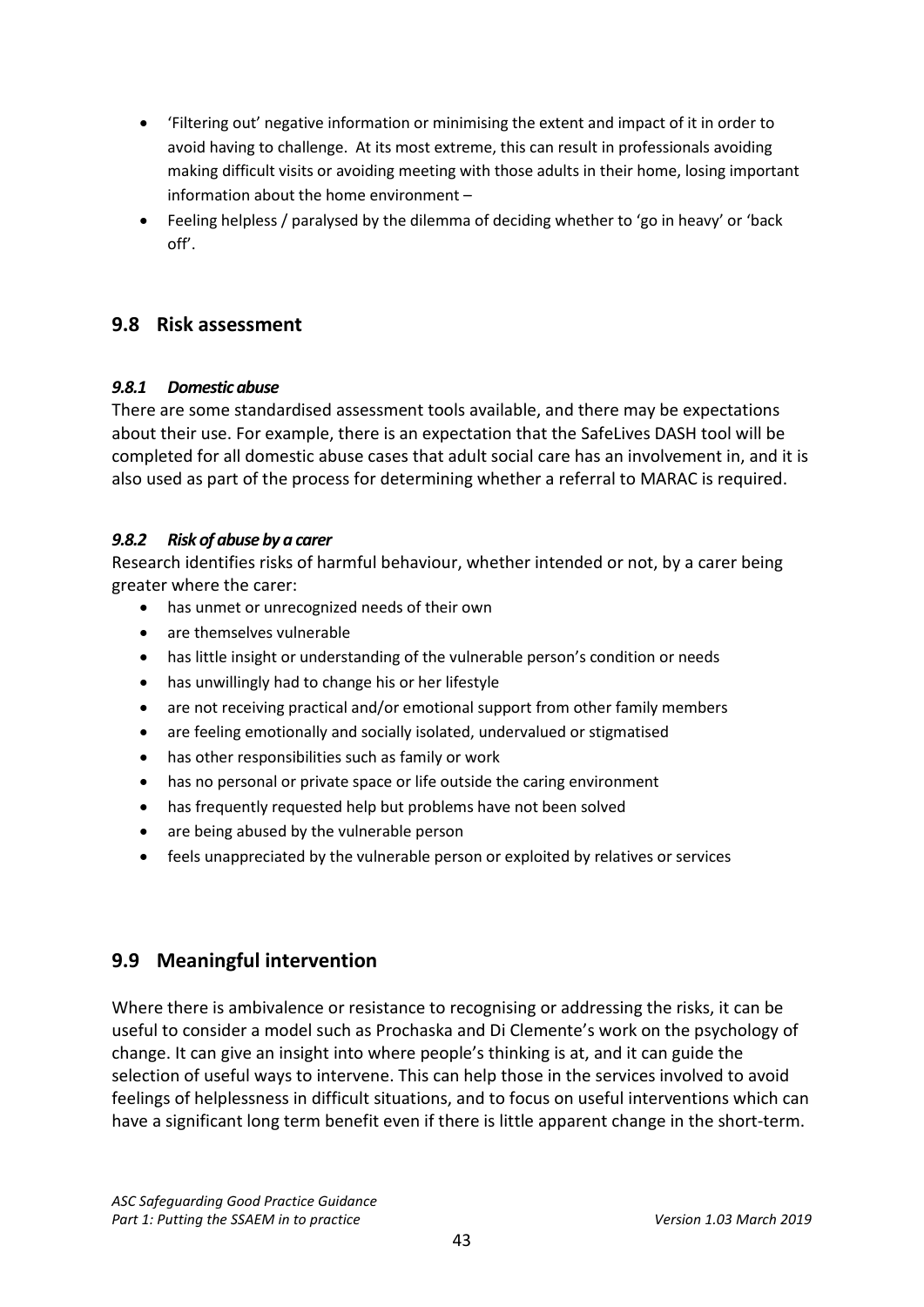- 'Filtering out' negative information or minimising the extent and impact of it in order to avoid having to challenge. At its most extreme, this can result in professionals avoiding making difficult visits or avoiding meeting with those adults in their home, losing important information about the home environment –
- Feeling helpless / paralysed by the dilemma of deciding whether to 'go in heavy' or 'back off'.

# <span id="page-42-0"></span>**9.8 Risk assessment**

### *9.8.1 Domestic abuse*

There are some standardised assessment tools available, and there may be expectations about their use. For example, there is an expectation that the SafeLives DASH tool will be completed for all domestic abuse cases that adult social care has an involvement in, and it is also used as part of the process for determining whether a referral to MARAC is required.

## *9.8.2 Risk of abuse by a carer*

Research identifies risks of harmful behaviour, whether intended or not, by a carer being greater where the carer:

- has unmet or unrecognized needs of their own
- are themselves vulnerable
- has little insight or understanding of the vulnerable person's condition or needs
- has unwillingly had to change his or her lifestyle
- are not receiving practical and/or emotional support from other family members
- are feeling emotionally and socially isolated, undervalued or stigmatised
- has other responsibilities such as family or work
- has no personal or private space or life outside the caring environment
- has frequently requested help but problems have not been solved
- are being abused by the vulnerable person
- feels unappreciated by the vulnerable person or exploited by relatives or services

# <span id="page-42-1"></span>**9.9 Meaningful intervention**

Where there is ambivalence or resistance to recognising or addressing the risks, it can be useful to consider a model such as Prochaska and Di Clemente's work on the psychology of change. It can give an insight into where people's thinking is at, and it can guide the selection of useful ways to intervene. This can help those in the services involved to avoid feelings of helplessness in difficult situations, and to focus on useful interventions which can have a significant long term benefit even if there is little apparent change in the short-term.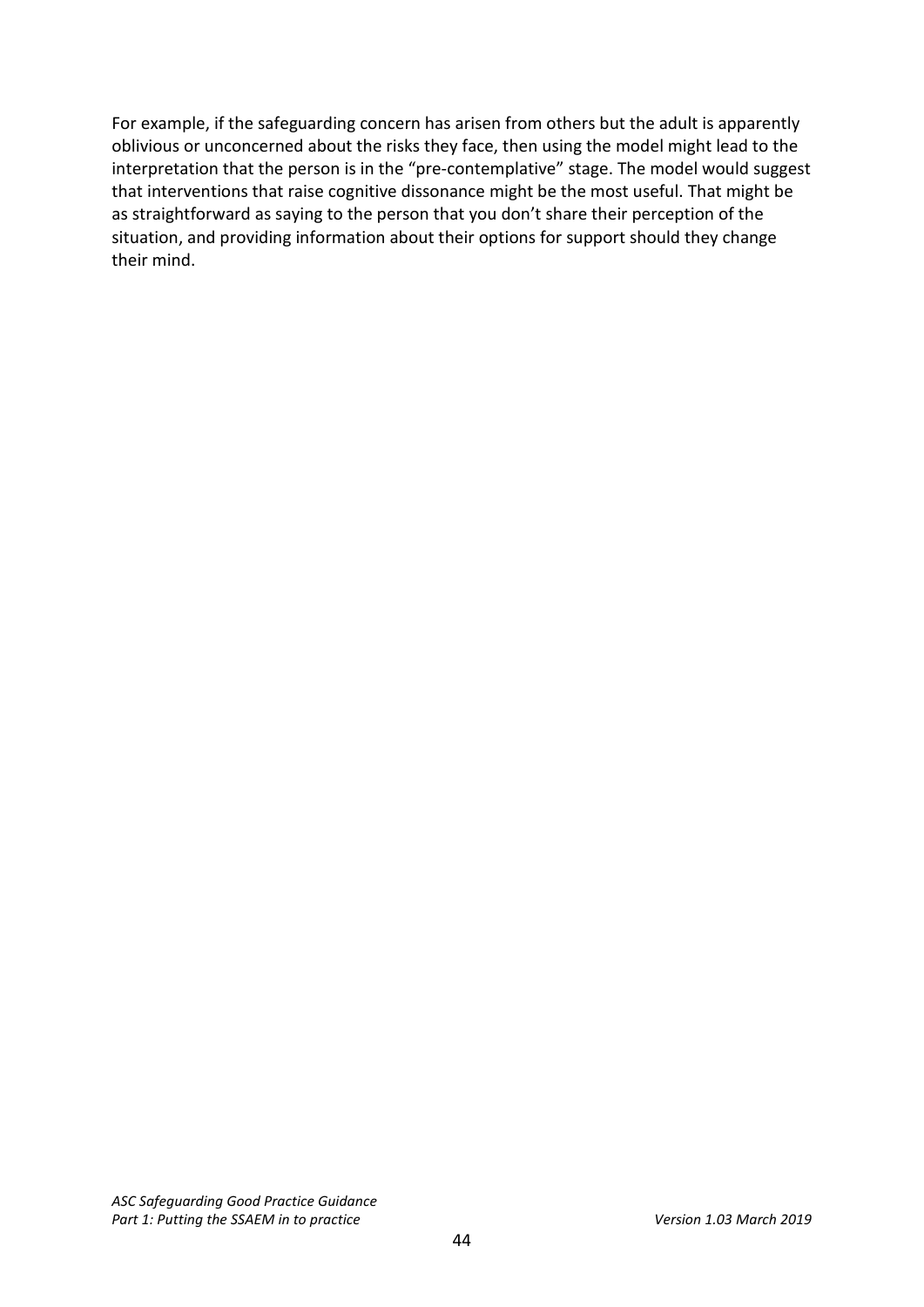For example, if the safeguarding concern has arisen from others but the adult is apparently oblivious or unconcerned about the risks they face, then using the model might lead to the interpretation that the person is in the "pre-contemplative" stage. The model would suggest that interventions that raise cognitive dissonance might be the most useful. That might be as straightforward as saying to the person that you don't share their perception of the situation, and providing information about their options for support should they change their mind.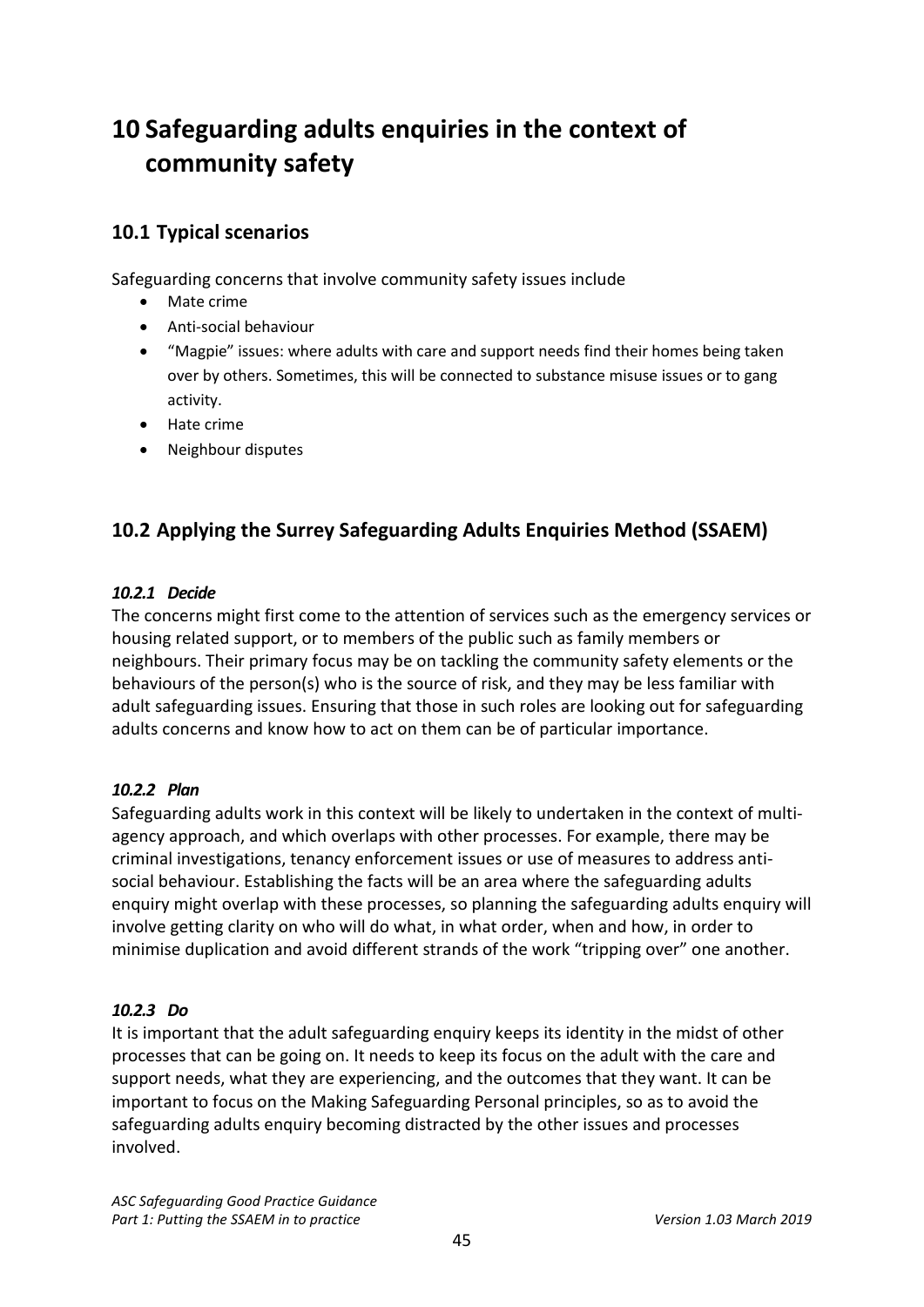# <span id="page-44-0"></span>**10 Safeguarding adults enquiries in the context of community safety**

# <span id="page-44-1"></span>**10.1 Typical scenarios**

Safeguarding concerns that involve community safety issues include

- Mate crime
- Anti-social behaviour
- "Magpie" issues: where adults with care and support needs find their homes being taken over by others. Sometimes, this will be connected to substance misuse issues or to gang activity.
- Hate crime
- Neighbour disputes

# <span id="page-44-2"></span>**10.2 Applying the Surrey Safeguarding Adults Enquiries Method (SSAEM)**

### *10.2.1 Decide*

The concerns might first come to the attention of services such as the emergency services or housing related support, or to members of the public such as family members or neighbours. Their primary focus may be on tackling the community safety elements or the behaviours of the person(s) who is the source of risk, and they may be less familiar with adult safeguarding issues. Ensuring that those in such roles are looking out for safeguarding adults concerns and know how to act on them can be of particular importance.

### *10.2.2 Plan*

Safeguarding adults work in this context will be likely to undertaken in the context of multiagency approach, and which overlaps with other processes. For example, there may be criminal investigations, tenancy enforcement issues or use of measures to address antisocial behaviour. Establishing the facts will be an area where the safeguarding adults enquiry might overlap with these processes, so planning the safeguarding adults enquiry will involve getting clarity on who will do what, in what order, when and how, in order to minimise duplication and avoid different strands of the work "tripping over" one another.

### *10.2.3 Do*

It is important that the adult safeguarding enquiry keeps its identity in the midst of other processes that can be going on. It needs to keep its focus on the adult with the care and support needs, what they are experiencing, and the outcomes that they want. It can be important to focus on the Making Safeguarding Personal principles, so as to avoid the safeguarding adults enquiry becoming distracted by the other issues and processes involved.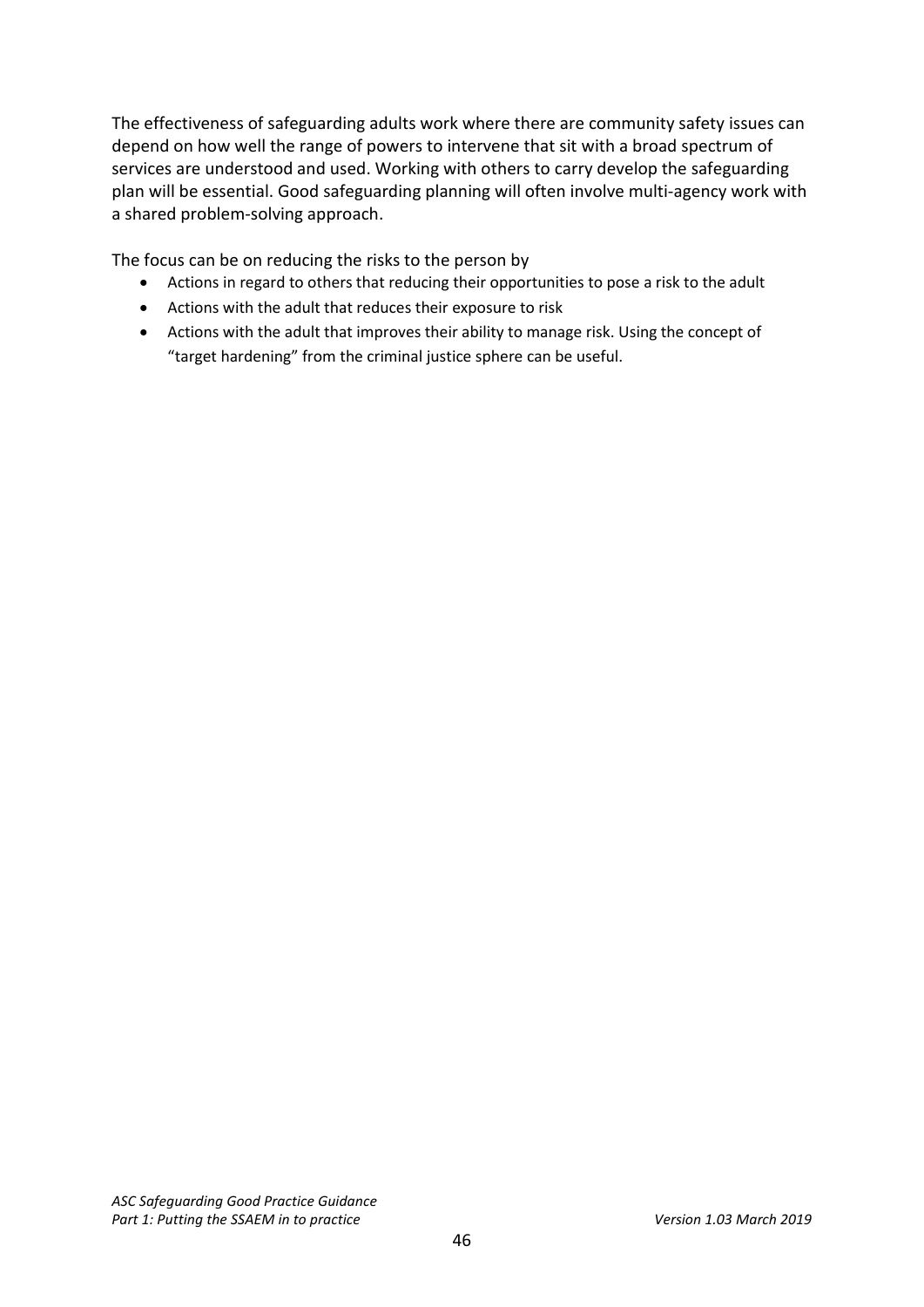The effectiveness of safeguarding adults work where there are community safety issues can depend on how well the range of powers to intervene that sit with a broad spectrum of services are understood and used. Working with others to carry develop the safeguarding plan will be essential. Good safeguarding planning will often involve multi-agency work with a shared problem-solving approach.

The focus can be on reducing the risks to the person by

- Actions in regard to others that reducing their opportunities to pose a risk to the adult
- Actions with the adult that reduces their exposure to risk
- Actions with the adult that improves their ability to manage risk. Using the concept of "target hardening" from the criminal justice sphere can be useful.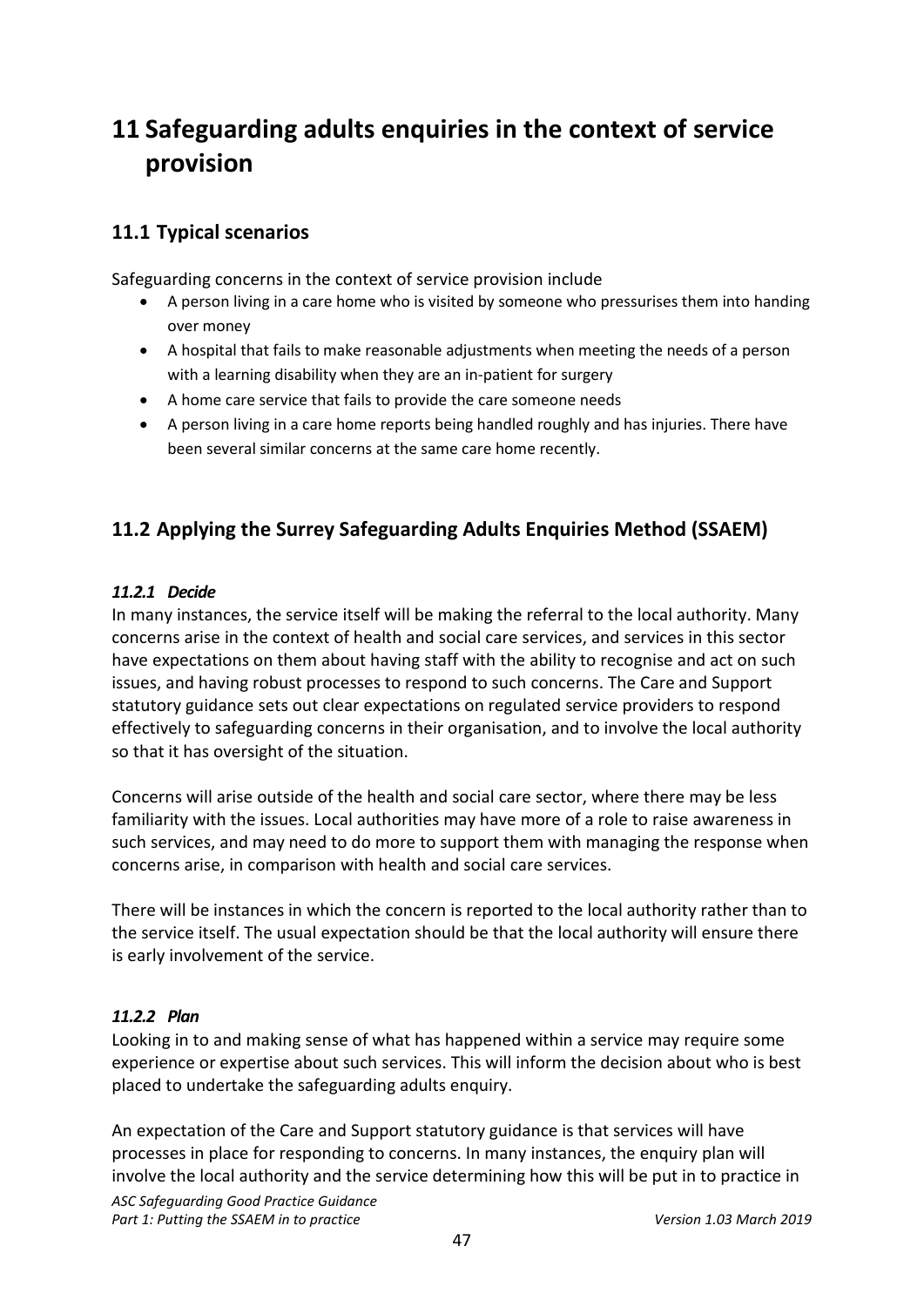# <span id="page-46-0"></span>**11 Safeguarding adults enquiries in the context of service provision**

# <span id="page-46-1"></span>**11.1 Typical scenarios**

Safeguarding concerns in the context of service provision include

- A person living in a care home who is visited by someone who pressurises them into handing over money
- A hospital that fails to make reasonable adjustments when meeting the needs of a person with a learning disability when they are an in-patient for surgery
- A home care service that fails to provide the care someone needs
- A person living in a care home reports being handled roughly and has injuries. There have been several similar concerns at the same care home recently.

# <span id="page-46-2"></span>**11.2 Applying the Surrey Safeguarding Adults Enquiries Method (SSAEM)**

### *11.2.1 Decide*

In many instances, the service itself will be making the referral to the local authority. Many concerns arise in the context of health and social care services, and services in this sector have expectations on them about having staff with the ability to recognise and act on such issues, and having robust processes to respond to such concerns. The Care and Support statutory guidance sets out clear expectations on regulated service providers to respond effectively to safeguarding concerns in their organisation, and to involve the local authority so that it has oversight of the situation.

Concerns will arise outside of the health and social care sector, where there may be less familiarity with the issues. Local authorities may have more of a role to raise awareness in such services, and may need to do more to support them with managing the response when concerns arise, in comparison with health and social care services.

There will be instances in which the concern is reported to the local authority rather than to the service itself. The usual expectation should be that the local authority will ensure there is early involvement of the service.

### *11.2.2 Plan*

Looking in to and making sense of what has happened within a service may require some experience or expertise about such services. This will inform the decision about who is best placed to undertake the safeguarding adults enquiry.

*ASC Safeguarding Good Practice Guidance* Part 1: Putting the SSAEM in to practice *Version 1.03 March 2019* An expectation of the Care and Support statutory guidance is that services will have processes in place for responding to concerns. In many instances, the enquiry plan will involve the local authority and the service determining how this will be put in to practice in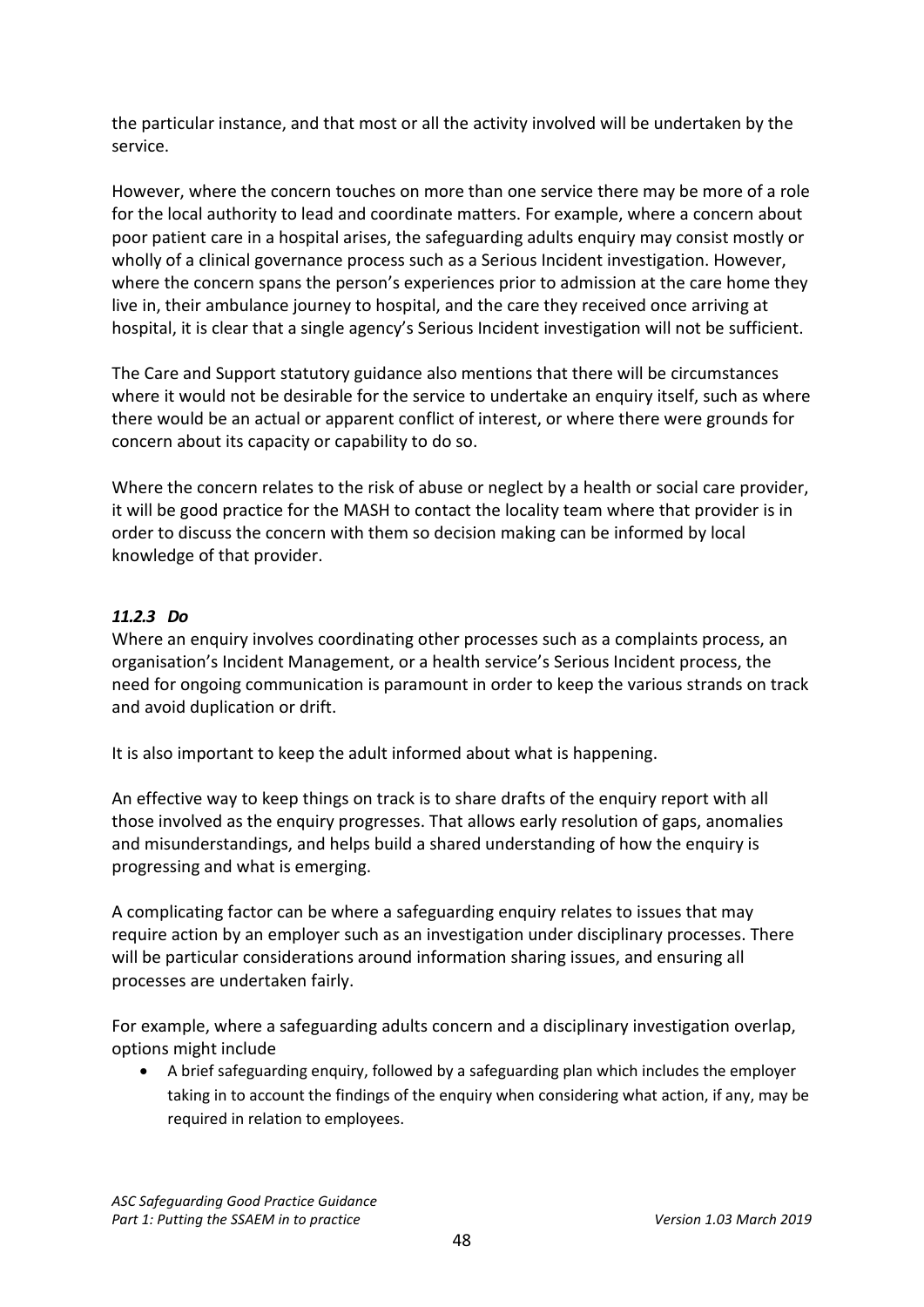the particular instance, and that most or all the activity involved will be undertaken by the service.

However, where the concern touches on more than one service there may be more of a role for the local authority to lead and coordinate matters. For example, where a concern about poor patient care in a hospital arises, the safeguarding adults enquiry may consist mostly or wholly of a clinical governance process such as a Serious Incident investigation. However, where the concern spans the person's experiences prior to admission at the care home they live in, their ambulance journey to hospital, and the care they received once arriving at hospital, it is clear that a single agency's Serious Incident investigation will not be sufficient.

The Care and Support statutory guidance also mentions that there will be circumstances where it would not be desirable for the service to undertake an enquiry itself, such as where there would be an actual or apparent conflict of interest, or where there were grounds for concern about its capacity or capability to do so.

Where the concern relates to the risk of abuse or neglect by a health or social care provider, it will be good practice for the MASH to contact the locality team where that provider is in order to discuss the concern with them so decision making can be informed by local knowledge of that provider.

## *11.2.3 Do*

Where an enquiry involves coordinating other processes such as a complaints process, an organisation's Incident Management, or a health service's Serious Incident process, the need for ongoing communication is paramount in order to keep the various strands on track and avoid duplication or drift.

It is also important to keep the adult informed about what is happening.

An effective way to keep things on track is to share drafts of the enquiry report with all those involved as the enquiry progresses. That allows early resolution of gaps, anomalies and misunderstandings, and helps build a shared understanding of how the enquiry is progressing and what is emerging.

A complicating factor can be where a safeguarding enquiry relates to issues that may require action by an employer such as an investigation under disciplinary processes. There will be particular considerations around information sharing issues, and ensuring all processes are undertaken fairly.

For example, where a safeguarding adults concern and a disciplinary investigation overlap, options might include

• A brief safeguarding enquiry, followed by a safeguarding plan which includes the employer taking in to account the findings of the enquiry when considering what action, if any, may be required in relation to employees.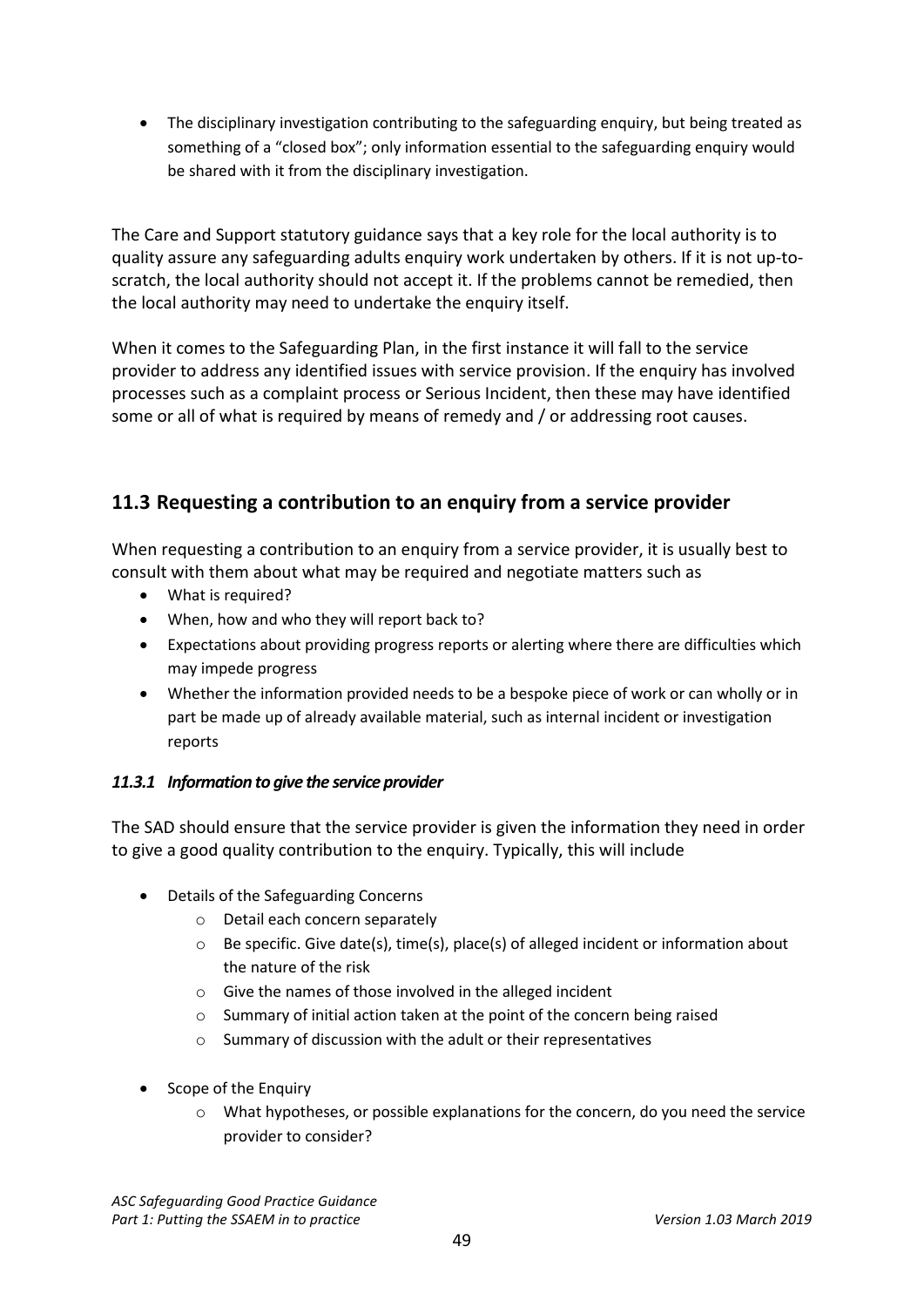• The disciplinary investigation contributing to the safeguarding enquiry, but being treated as something of a "closed box"; only information essential to the safeguarding enquiry would be shared with it from the disciplinary investigation.

The Care and Support statutory guidance says that a key role for the local authority is to quality assure any safeguarding adults enquiry work undertaken by others. If it is not up-toscratch, the local authority should not accept it. If the problems cannot be remedied, then the local authority may need to undertake the enquiry itself.

When it comes to the Safeguarding Plan, in the first instance it will fall to the service provider to address any identified issues with service provision. If the enquiry has involved processes such as a complaint process or Serious Incident, then these may have identified some or all of what is required by means of remedy and / or addressing root causes.

# <span id="page-48-0"></span>**11.3 Requesting a contribution to an enquiry from a service provider**

When requesting a contribution to an enquiry from a service provider, it is usually best to consult with them about what may be required and negotiate matters such as

- What is required?
- When, how and who they will report back to?
- Expectations about providing progress reports or alerting where there are difficulties which may impede progress
- Whether the information provided needs to be a bespoke piece of work or can wholly or in part be made up of already available material, such as internal incident or investigation reports

### *11.3.1 Information to give the service provider*

The SAD should ensure that the service provider is given the information they need in order to give a good quality contribution to the enquiry. Typically, this will include

- Details of the Safeguarding Concerns
	- o Detail each concern separately
	- $\circ$  Be specific. Give date(s), time(s), place(s) of alleged incident or information about the nature of the risk
	- o Give the names of those involved in the alleged incident
	- o Summary of initial action taken at the point of the concern being raised
	- o Summary of discussion with the adult or their representatives
- Scope of the Enquiry
	- $\circ$  What hypotheses, or possible explanations for the concern, do you need the service provider to consider?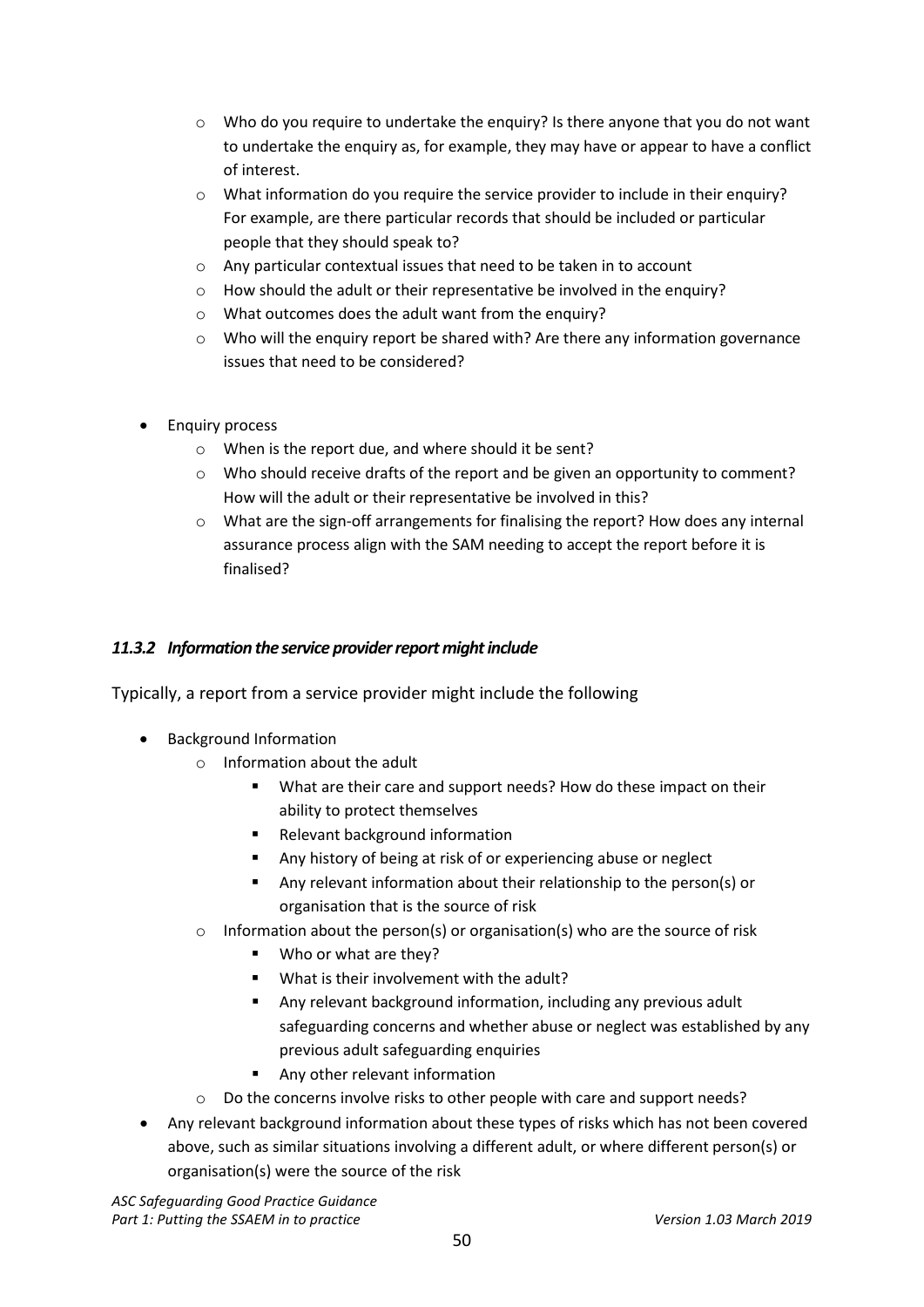- $\circ$  Who do you require to undertake the enquiry? Is there anyone that you do not want to undertake the enquiry as, for example, they may have or appear to have a conflict of interest.
- o What information do you require the service provider to include in their enquiry? For example, are there particular records that should be included or particular people that they should speak to?
- o Any particular contextual issues that need to be taken in to account
- o How should the adult or their representative be involved in the enquiry?
- o What outcomes does the adult want from the enquiry?
- $\circ$  Who will the enquiry report be shared with? Are there any information governance issues that need to be considered?
- Enquiry process
	- o When is the report due, and where should it be sent?
	- $\circ$  Who should receive drafts of the report and be given an opportunity to comment? How will the adult or their representative be involved in this?
	- o What are the sign-off arrangements for finalising the report? How does any internal assurance process align with the SAM needing to accept the report before it is finalised?

#### *11.3.2 Information the service provider report might include*

Typically, a report from a service provider might include the following

- Background Information
	- o Information about the adult
		- What are their care and support needs? How do these impact on their ability to protect themselves
		- **Relevant background information**
		- Any history of being at risk of or experiencing abuse or neglect
		- Any relevant information about their relationship to the person(s) or organisation that is the source of risk
	- o Information about the person(s) or organisation(s) who are the source of risk
		- Who or what are they?
		- What is their involvement with the adult?
		- Any relevant background information, including any previous adult safeguarding concerns and whether abuse or neglect was established by any previous adult safeguarding enquiries
		- Any other relevant information
	- $\circ$  Do the concerns involve risks to other people with care and support needs?
- Any relevant background information about these types of risks which has not been covered above, such as similar situations involving a different adult, or where different person(s) or organisation(s) were the source of the risk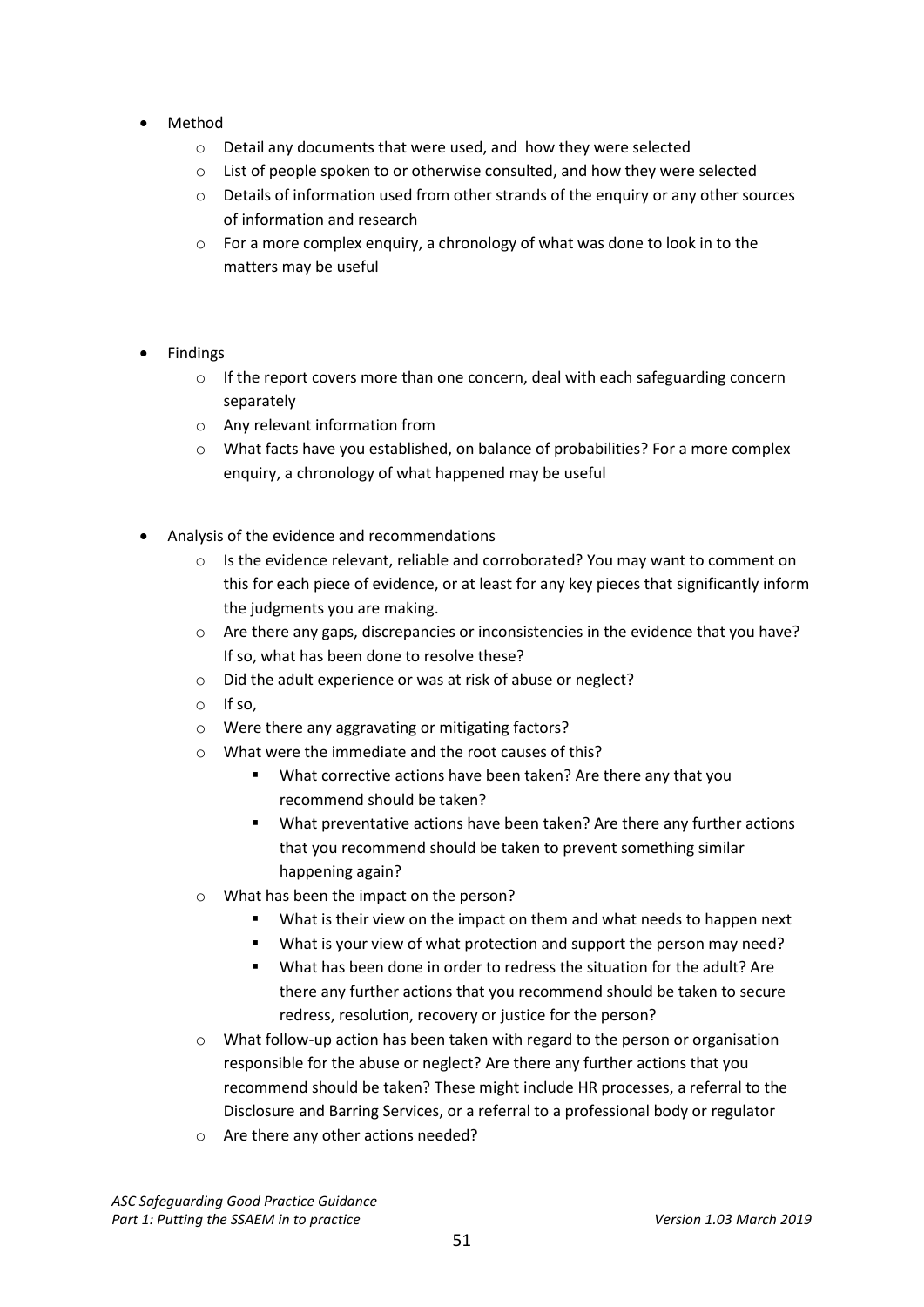- Method
	- o Detail any documents that were used, and how they were selected
	- o List of people spoken to or otherwise consulted, and how they were selected
	- o Details of information used from other strands of the enquiry or any other sources of information and research
	- o For a more complex enquiry, a chronology of what was done to look in to the matters may be useful
- **Findings** 
	- $\circ$  If the report covers more than one concern, deal with each safeguarding concern separately
	- o Any relevant information from
	- o What facts have you established, on balance of probabilities? For a more complex enquiry, a chronology of what happened may be useful
- Analysis of the evidence and recommendations
	- o Is the evidence relevant, reliable and corroborated? You may want to comment on this for each piece of evidence, or at least for any key pieces that significantly inform the judgments you are making.
	- o Are there any gaps, discrepancies or inconsistencies in the evidence that you have? If so, what has been done to resolve these?
	- o Did the adult experience or was at risk of abuse or neglect?
	- o If so,
	- o Were there any aggravating or mitigating factors?
	- o What were the immediate and the root causes of this?
		- What corrective actions have been taken? Are there any that you recommend should be taken?
		- What preventative actions have been taken? Are there any further actions that you recommend should be taken to prevent something similar happening again?
	- o What has been the impact on the person?
		- What is their view on the impact on them and what needs to happen next
		- What is your view of what protection and support the person may need?
		- What has been done in order to redress the situation for the adult? Are there any further actions that you recommend should be taken to secure redress, resolution, recovery or justice for the person?
	- $\circ$  What follow-up action has been taken with regard to the person or organisation responsible for the abuse or neglect? Are there any further actions that you recommend should be taken? These might include HR processes, a referral to the Disclosure and Barring Services, or a referral to a professional body or regulator
	- o Are there any other actions needed?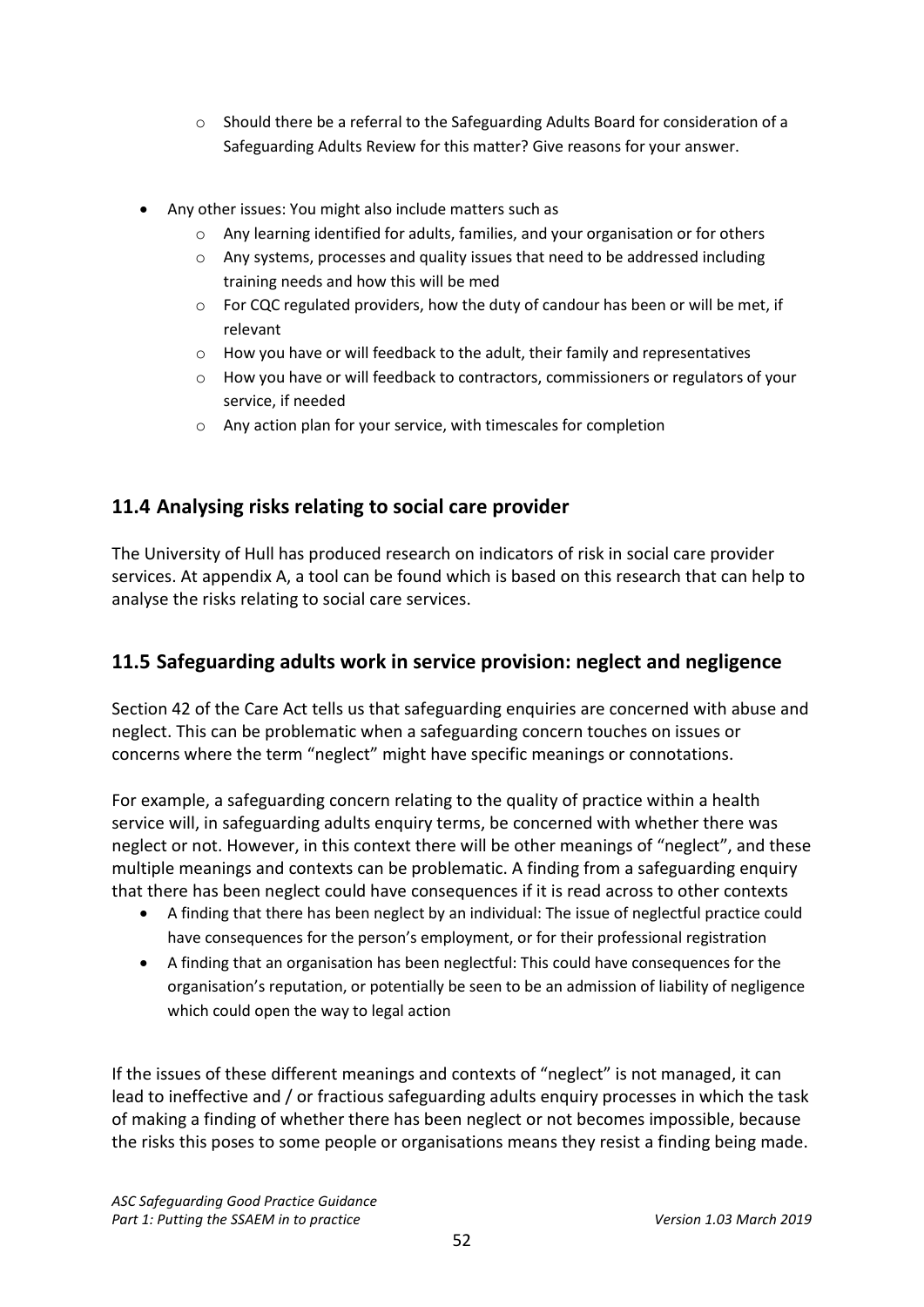- o Should there be a referral to the Safeguarding Adults Board for consideration of a Safeguarding Adults Review for this matter? Give reasons for your answer.
- Any other issues: You might also include matters such as
	- $\circ$  Any learning identified for adults, families, and your organisation or for others
	- o Any systems, processes and quality issues that need to be addressed including training needs and how this will be med
	- $\circ$  For CQC regulated providers, how the duty of candour has been or will be met, if relevant
	- o How you have or will feedback to the adult, their family and representatives
	- o How you have or will feedback to contractors, commissioners or regulators of your service, if needed
	- o Any action plan for your service, with timescales for completion

# <span id="page-51-0"></span>**11.4 Analysing risks relating to social care provider**

The University of Hull has produced research on indicators of risk in social care provider services. At appendix A, a tool can be found which is based on this research that can help to analyse the risks relating to social care services.

# <span id="page-51-1"></span>**11.5 Safeguarding adults work in service provision: neglect and negligence**

Section 42 of the Care Act tells us that safeguarding enquiries are concerned with abuse and neglect. This can be problematic when a safeguarding concern touches on issues or concerns where the term "neglect" might have specific meanings or connotations.

For example, a safeguarding concern relating to the quality of practice within a health service will, in safeguarding adults enquiry terms, be concerned with whether there was neglect or not. However, in this context there will be other meanings of "neglect", and these multiple meanings and contexts can be problematic. A finding from a safeguarding enquiry that there has been neglect could have consequences if it is read across to other contexts

- A finding that there has been neglect by an individual: The issue of neglectful practice could have consequences for the person's employment, or for their professional registration
- A finding that an organisation has been neglectful: This could have consequences for the organisation's reputation, or potentially be seen to be an admission of liability of negligence which could open the way to legal action

If the issues of these different meanings and contexts of "neglect" is not managed, it can lead to ineffective and / or fractious safeguarding adults enquiry processes in which the task of making a finding of whether there has been neglect or not becomes impossible, because the risks this poses to some people or organisations means they resist a finding being made.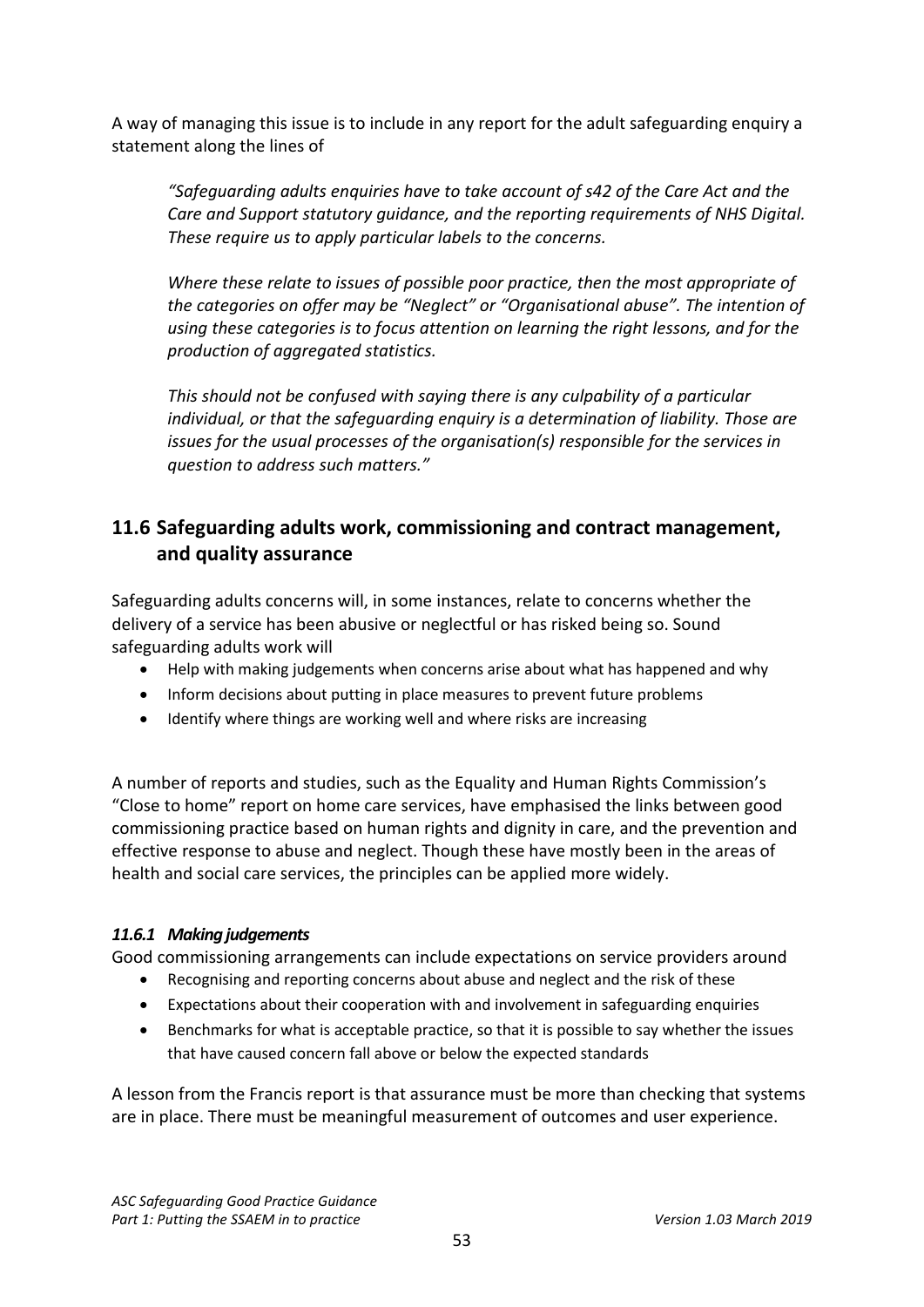A way of managing this issue is to include in any report for the adult safeguarding enquiry a statement along the lines of

*"Safeguarding adults enquiries have to take account of s42 of the Care Act and the Care and Support statutory guidance, and the reporting requirements of NHS Digital. These require us to apply particular labels to the concerns.* 

*Where these relate to issues of possible poor practice, then the most appropriate of the categories on offer may be "Neglect" or "Organisational abuse". The intention of using these categories is to focus attention on learning the right lessons, and for the production of aggregated statistics.* 

*This should not be confused with saying there is any culpability of a particular individual, or that the safeguarding enquiry is a determination of liability. Those are issues for the usual processes of the organisation(s) responsible for the services in question to address such matters."*

# <span id="page-52-0"></span>**11.6 Safeguarding adults work, commissioning and contract management, and quality assurance**

Safeguarding adults concerns will, in some instances, relate to concerns whether the delivery of a service has been abusive or neglectful or has risked being so. Sound safeguarding adults work will

- Help with making judgements when concerns arise about what has happened and why
- Inform decisions about putting in place measures to prevent future problems
- Identify where things are working well and where risks are increasing

A number of reports and studies, such as the Equality and Human Rights Commission's "Close to home" report on home care services, have emphasised the links between good commissioning practice based on human rights and dignity in care, and the prevention and effective response to abuse and neglect. Though these have mostly been in the areas of health and social care services, the principles can be applied more widely.

# *11.6.1 Making judgements*

Good commissioning arrangements can include expectations on service providers around

- Recognising and reporting concerns about abuse and neglect and the risk of these
- Expectations about their cooperation with and involvement in safeguarding enquiries
- Benchmarks for what is acceptable practice, so that it is possible to say whether the issues that have caused concern fall above or below the expected standards

A lesson from the Francis report is that assurance must be more than checking that systems are in place. There must be meaningful measurement of outcomes and user experience.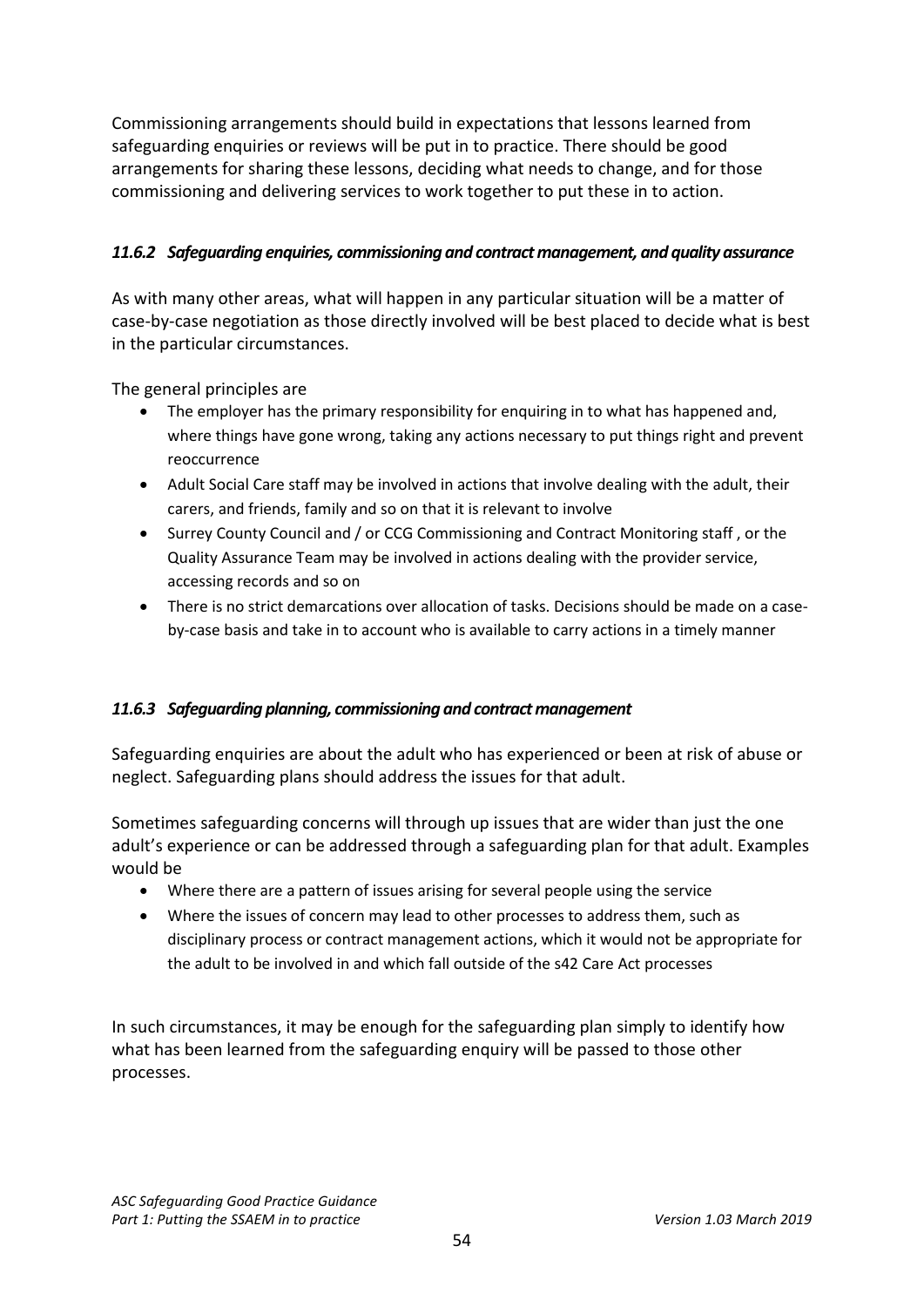Commissioning arrangements should build in expectations that lessons learned from safeguarding enquiries or reviews will be put in to practice. There should be good arrangements for sharing these lessons, deciding what needs to change, and for those commissioning and delivering services to work together to put these in to action.

# *11.6.2 Safeguarding enquiries, commissioning and contract management, and quality assurance*

As with many other areas, what will happen in any particular situation will be a matter of case-by-case negotiation as those directly involved will be best placed to decide what is best in the particular circumstances.

The general principles are

- The employer has the primary responsibility for enquiring in to what has happened and, where things have gone wrong, taking any actions necessary to put things right and prevent reoccurrence
- Adult Social Care staff may be involved in actions that involve dealing with the adult, their carers, and friends, family and so on that it is relevant to involve
- Surrey County Council and / or CCG Commissioning and Contract Monitoring staff , or the Quality Assurance Team may be involved in actions dealing with the provider service, accessing records and so on
- There is no strict demarcations over allocation of tasks. Decisions should be made on a caseby-case basis and take in to account who is available to carry actions in a timely manner

### *11.6.3 Safeguarding planning, commissioning and contract management*

Safeguarding enquiries are about the adult who has experienced or been at risk of abuse or neglect. Safeguarding plans should address the issues for that adult.

Sometimes safeguarding concerns will through up issues that are wider than just the one adult's experience or can be addressed through a safeguarding plan for that adult. Examples would be

- Where there are a pattern of issues arising for several people using the service
- Where the issues of concern may lead to other processes to address them, such as disciplinary process or contract management actions, which it would not be appropriate for the adult to be involved in and which fall outside of the s42 Care Act processes

In such circumstances, it may be enough for the safeguarding plan simply to identify how what has been learned from the safeguarding enquiry will be passed to those other processes.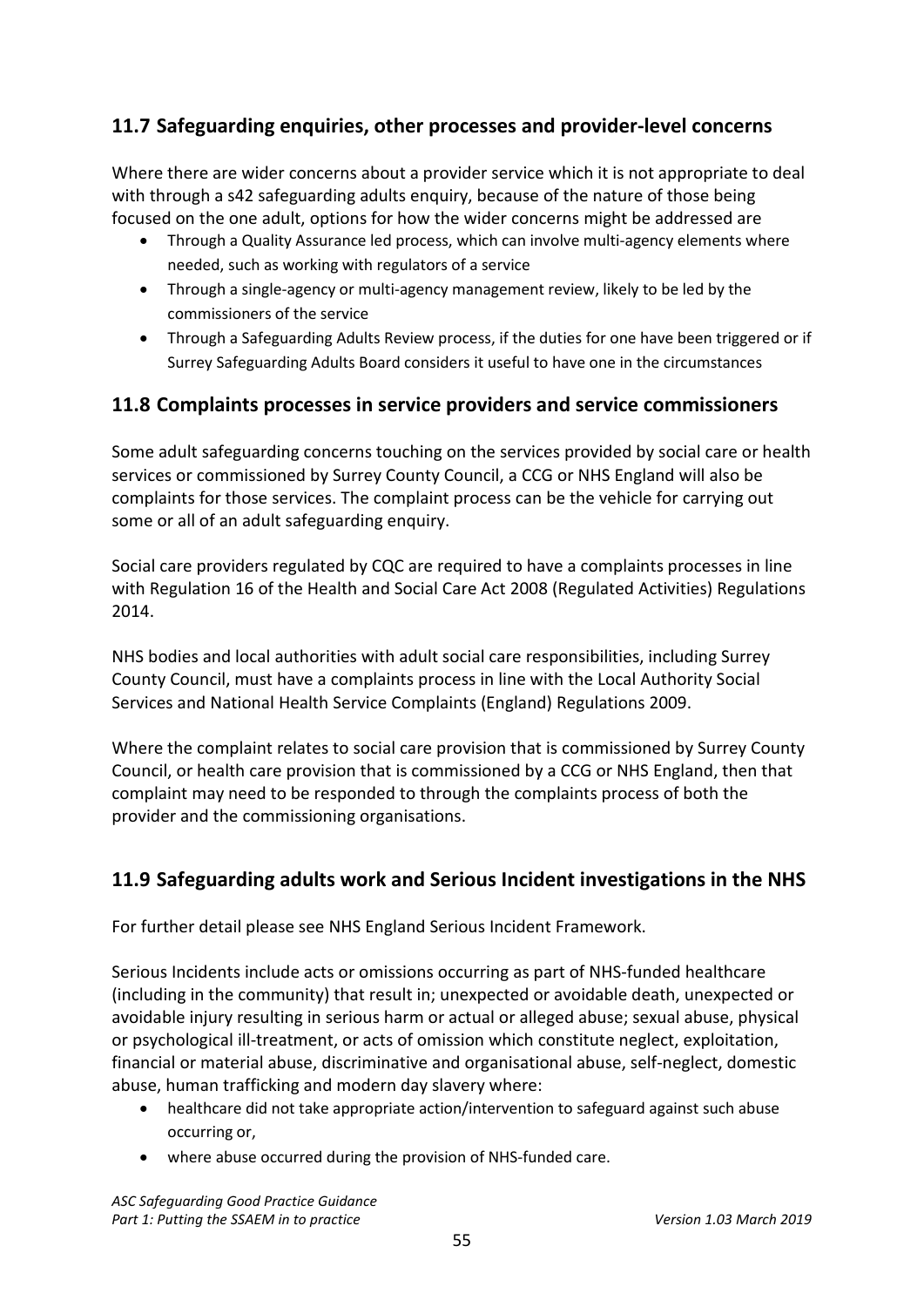# <span id="page-54-0"></span>**11.7 Safeguarding enquiries, other processes and provider-level concerns**

Where there are wider concerns about a provider service which it is not appropriate to deal with through a s42 safeguarding adults enquiry, because of the nature of those being focused on the one adult, options for how the wider concerns might be addressed are

- Through a Quality Assurance led process, which can involve multi-agency elements where needed, such as working with regulators of a service
- Through a single-agency or multi-agency management review, likely to be led by the commissioners of the service
- Through a Safeguarding Adults Review process, if the duties for one have been triggered or if Surrey Safeguarding Adults Board considers it useful to have one in the circumstances

# <span id="page-54-1"></span>**11.8 Complaints processes in service providers and service commissioners**

Some adult safeguarding concerns touching on the services provided by social care or health services or commissioned by Surrey County Council, a CCG or NHS England will also be complaints for those services. The complaint process can be the vehicle for carrying out some or all of an adult safeguarding enquiry.

Social care providers regulated by CQC are required to have a complaints processes in line with Regulation 16 of the Health and Social Care Act 2008 (Regulated Activities) Regulations 2014.

NHS bodies and local authorities with adult social care responsibilities, including Surrey County Council, must have a complaints process in line with the Local Authority Social Services and National Health Service Complaints (England) Regulations 2009.

Where the complaint relates to social care provision that is commissioned by Surrey County Council, or health care provision that is commissioned by a CCG or NHS England, then that complaint may need to be responded to through the complaints process of both the provider and the commissioning organisations.

# <span id="page-54-2"></span>**11.9 Safeguarding adults work and Serious Incident investigations in the NHS**

For further detail please see NHS England Serious Incident Framework.

Serious Incidents include acts or omissions occurring as part of NHS-funded healthcare (including in the community) that result in; unexpected or avoidable death, unexpected or avoidable injury resulting in serious harm or actual or alleged abuse; sexual abuse, physical or psychological ill-treatment, or acts of omission which constitute neglect, exploitation, financial or material abuse, discriminative and organisational abuse, self-neglect, domestic abuse, human trafficking and modern day slavery where:

- healthcare did not take appropriate action/intervention to safeguard against such abuse occurring or,
- where abuse occurred during the provision of NHS-funded care.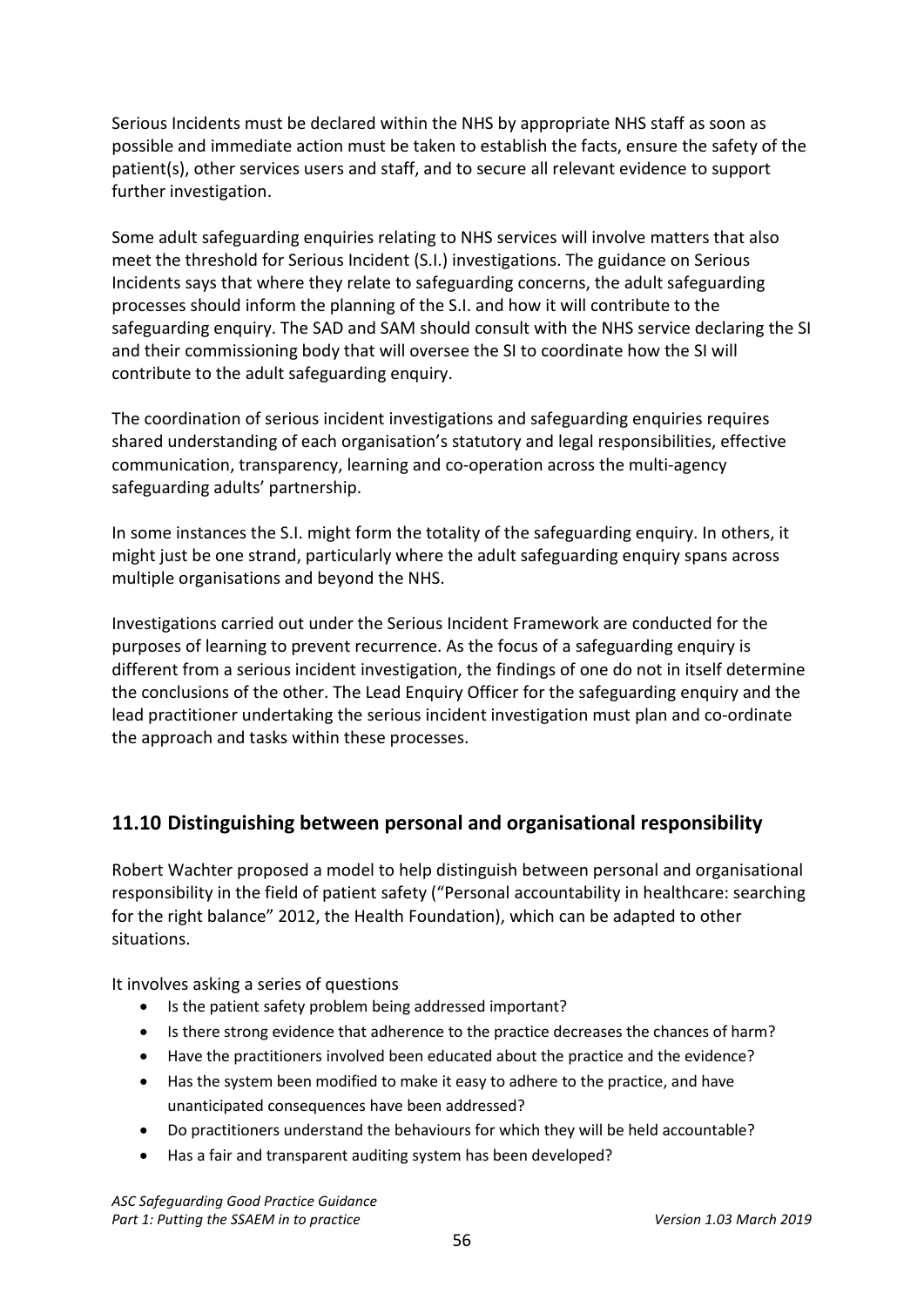Serious Incidents must be declared within the NHS by appropriate NHS staff as soon as possible and immediate action must be taken to establish the facts, ensure the safety of the patient(s), other services users and staff, and to secure all relevant evidence to support further investigation.

Some adult safeguarding enquiries relating to NHS services will involve matters that also meet the threshold for Serious Incident (S.I.) investigations. The guidance on Serious Incidents says that where they relate to safeguarding concerns, the adult safeguarding processes should inform the planning of the S.I. and how it will contribute to the safeguarding enquiry. The SAD and SAM should consult with the NHS service declaring the SI and their commissioning body that will oversee the SI to coordinate how the SI will contribute to the adult safeguarding enquiry.

The coordination of serious incident investigations and safeguarding enquiries requires shared understanding of each organisation's statutory and legal responsibilities, effective communication, transparency, learning and co-operation across the multi-agency safeguarding adults' partnership.

In some instances the S.I. might form the totality of the safeguarding enquiry. In others, it might just be one strand, particularly where the adult safeguarding enquiry spans across multiple organisations and beyond the NHS.

Investigations carried out under the Serious Incident Framework are conducted for the purposes of learning to prevent recurrence. As the focus of a safeguarding enquiry is different from a serious incident investigation, the findings of one do not in itself determine the conclusions of the other. The Lead Enquiry Officer for the safeguarding enquiry and the lead practitioner undertaking the serious incident investigation must plan and co-ordinate the approach and tasks within these processes.

# <span id="page-55-0"></span>**11.10 Distinguishing between personal and organisational responsibility**

Robert Wachter proposed a model to help distinguish between personal and organisational responsibility in the field of patient safety ("Personal accountability in healthcare: searching for the right balance" 2012, the Health Foundation), which can be adapted to other situations.

It involves asking a series of questions

- Is the patient safety problem being addressed important?
- Is there strong evidence that adherence to the practice decreases the chances of harm?
- Have the practitioners involved been educated about the practice and the evidence?
- Has the system been modified to make it easy to adhere to the practice, and have unanticipated consequences have been addressed?
- Do practitioners understand the behaviours for which they will be held accountable?
- Has a fair and transparent auditing system has been developed?

*ASC Safeguarding Good Practice Guidance* Part 1: Putting the SSAEM in to practice *Version 1.03 March 2019*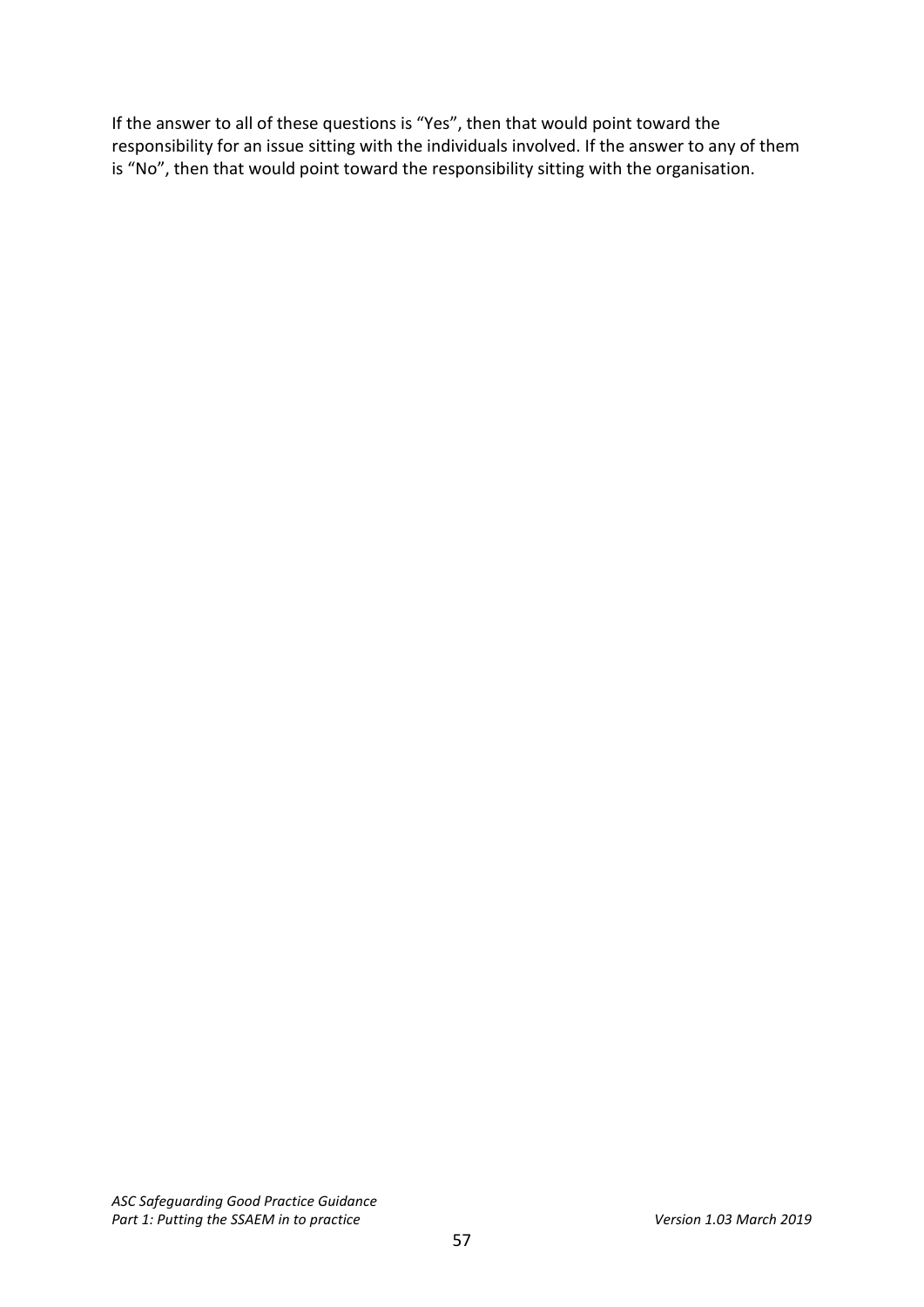If the answer to all of these questions is "Yes", then that would point toward the responsibility for an issue sitting with the individuals involved. If the answer to any of them is "No", then that would point toward the responsibility sitting with the organisation.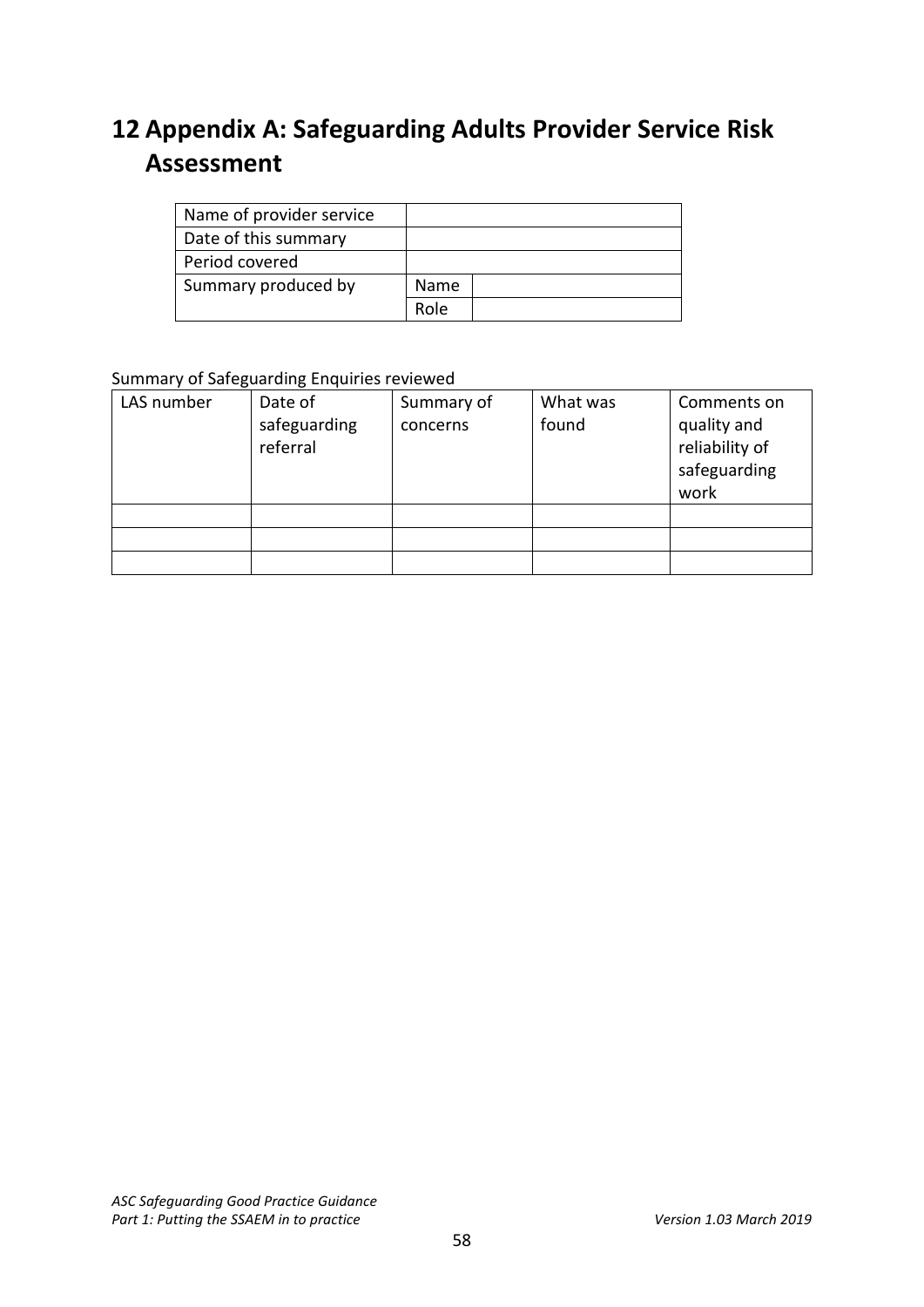# <span id="page-57-0"></span>**12 Appendix A: Safeguarding Adults Provider Service Risk Assessment**

| Name of provider service |      |
|--------------------------|------|
| Date of this summary     |      |
| Period covered           |      |
| Summary produced by      | Name |
|                          | Role |

#### Summary of Safeguarding Enquiries reviewed

| LAS number | Date of<br>safeguarding<br>referral | Summary of<br>concerns | What was<br>found | Comments on<br>quality and<br>reliability of<br>safeguarding<br>work |
|------------|-------------------------------------|------------------------|-------------------|----------------------------------------------------------------------|
|            |                                     |                        |                   |                                                                      |
|            |                                     |                        |                   |                                                                      |
|            |                                     |                        |                   |                                                                      |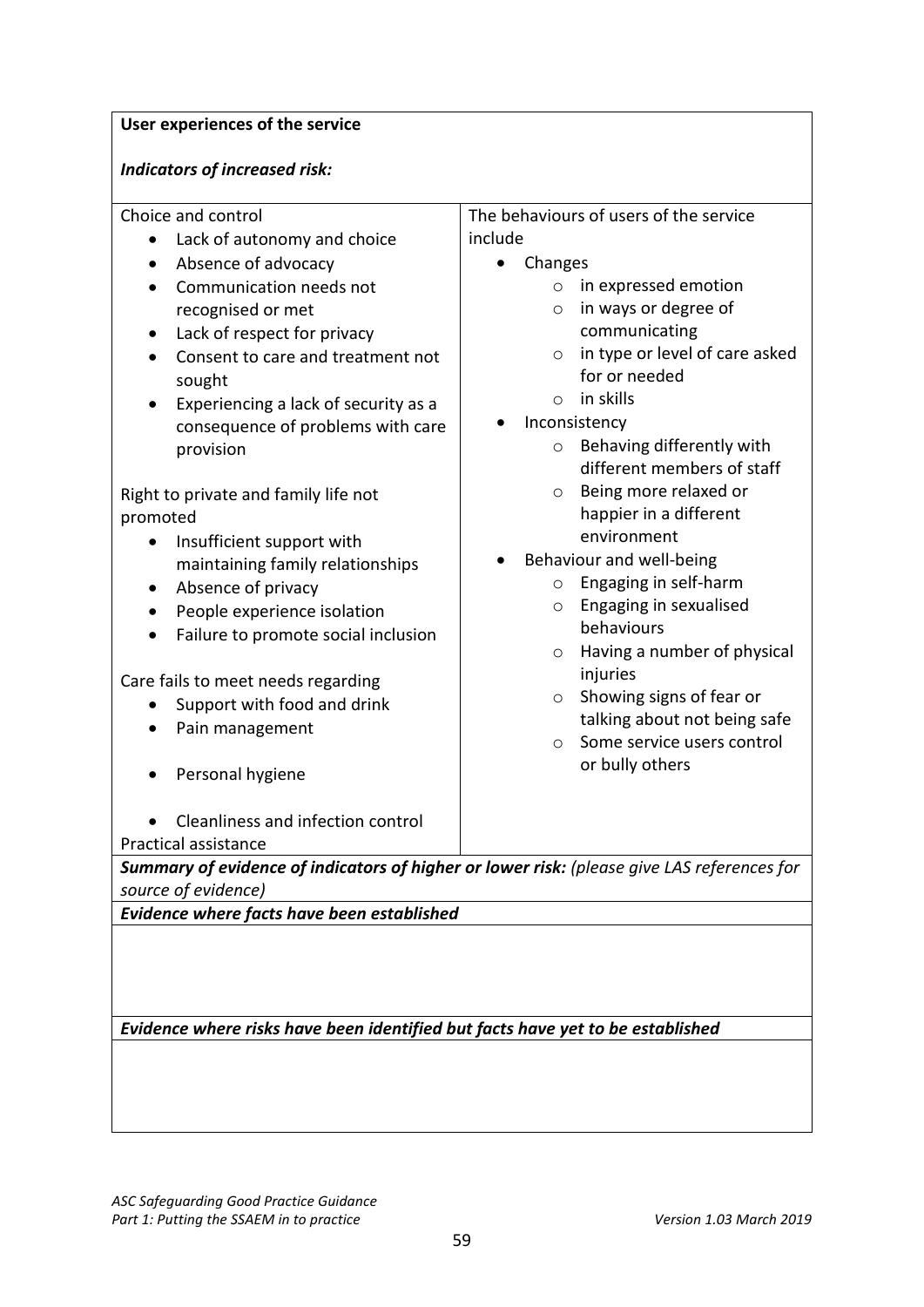#### **User experiences of the service**

#### *Indicators of increased risk:*

Choice and control

- Lack of autonomy and choice
- Absence of advocacy
- Communication needs not recognised or met
- Lack of respect for privacy
- Consent to care and treatment not sought
- Experiencing a lack of security as a consequence of problems with care provision

Right to private and family life not promoted

- Insufficient support with maintaining family relationships
- Absence of privacy
- People experience isolation
- Failure to promote social inclusion

Care fails to meet needs regarding

- Support with food and drink
- Pain management
- Personal hygiene
- Cleanliness and infection control

Practical assistance

*Summary of evidence of indicators of higher or lower risk: (please give LAS references for source of evidence)*

*Evidence where facts have been established*

*Evidence where risks have been identified but facts have yet to be established*

- The behaviours of users of the service include
	- Changes
		- o in expressed emotion
		- o in ways or degree of communicating
		- o in type or level of care asked for or needed
		- o in skills
		- **Inconsistency** 
			- o Behaving differently with different members of staff
			- o Being more relaxed or happier in a different environment
		- Behaviour and well-being
			- o Engaging in self-harm
			- o Engaging in sexualised behaviours
			- o Having a number of physical injuries
			- o Showing signs of fear or talking about not being safe
			- o Some service users control or bully others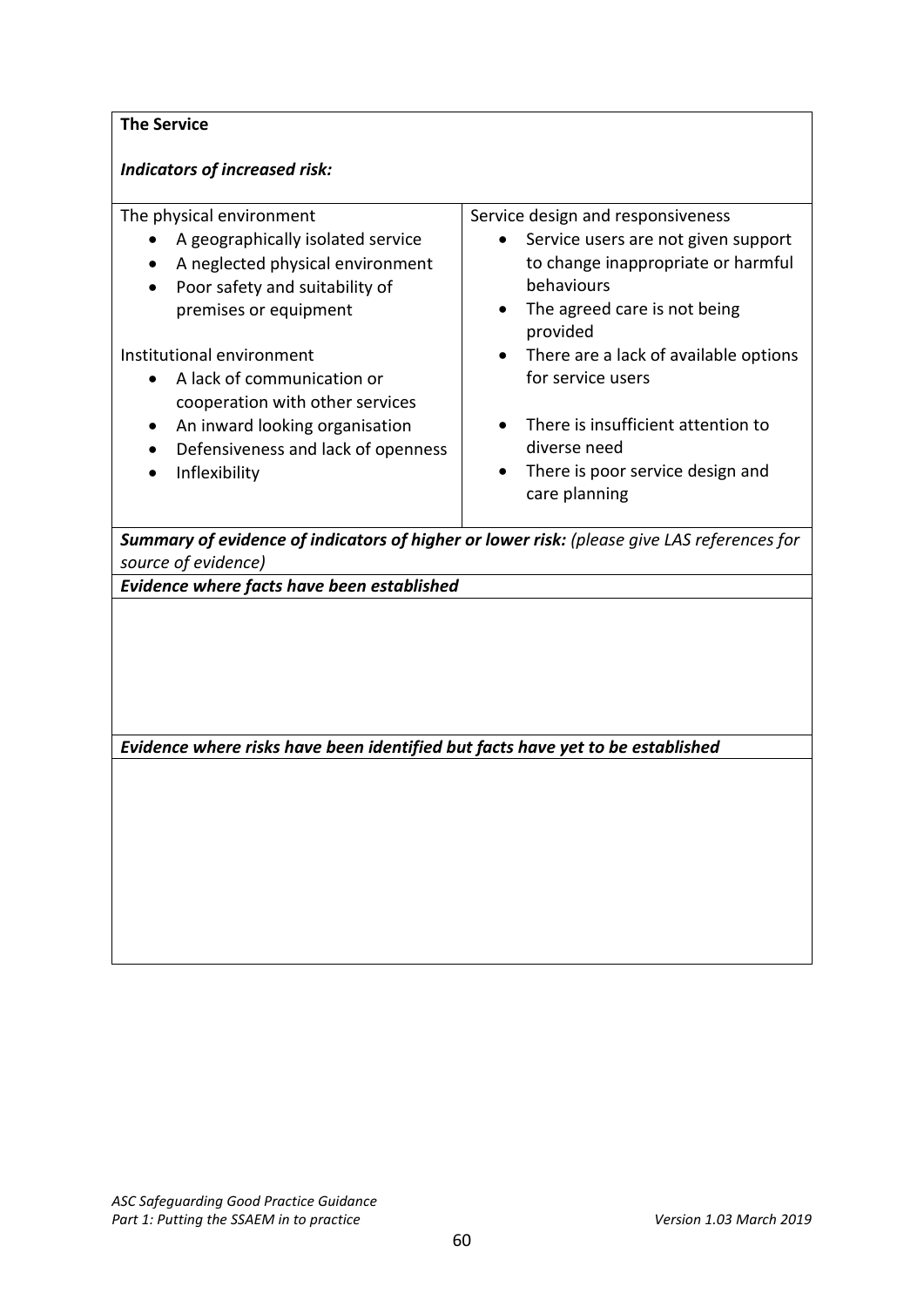## **The Service**

## *Indicators of increased risk:*

| The physical environment<br>A geographically isolated service<br>A neglected physical environment<br>Poor safety and suitability of<br>premises or equipment<br>Institutional environment<br>A lack of communication or<br>cooperation with other services<br>An inward looking organisation<br>٠<br>Defensiveness and lack of openness<br>Inflexibility | Service design and responsiveness<br>Service users are not given support<br>$\bullet$<br>to change inappropriate or harmful<br>behaviours<br>The agreed care is not being<br>provided<br>There are a lack of available options<br>$\bullet$<br>for service users<br>There is insufficient attention to<br>diverse need<br>There is poor service design and<br>$\bullet$<br>care planning |
|----------------------------------------------------------------------------------------------------------------------------------------------------------------------------------------------------------------------------------------------------------------------------------------------------------------------------------------------------------|------------------------------------------------------------------------------------------------------------------------------------------------------------------------------------------------------------------------------------------------------------------------------------------------------------------------------------------------------------------------------------------|
| Summary of evidence of indicators of higher or lower risk: (please give LAS references for<br>source of evidence)                                                                                                                                                                                                                                        |                                                                                                                                                                                                                                                                                                                                                                                          |
| Evidence where facts have been established                                                                                                                                                                                                                                                                                                               |                                                                                                                                                                                                                                                                                                                                                                                          |
|                                                                                                                                                                                                                                                                                                                                                          |                                                                                                                                                                                                                                                                                                                                                                                          |

*Evidence where risks have been identified but facts have yet to be established*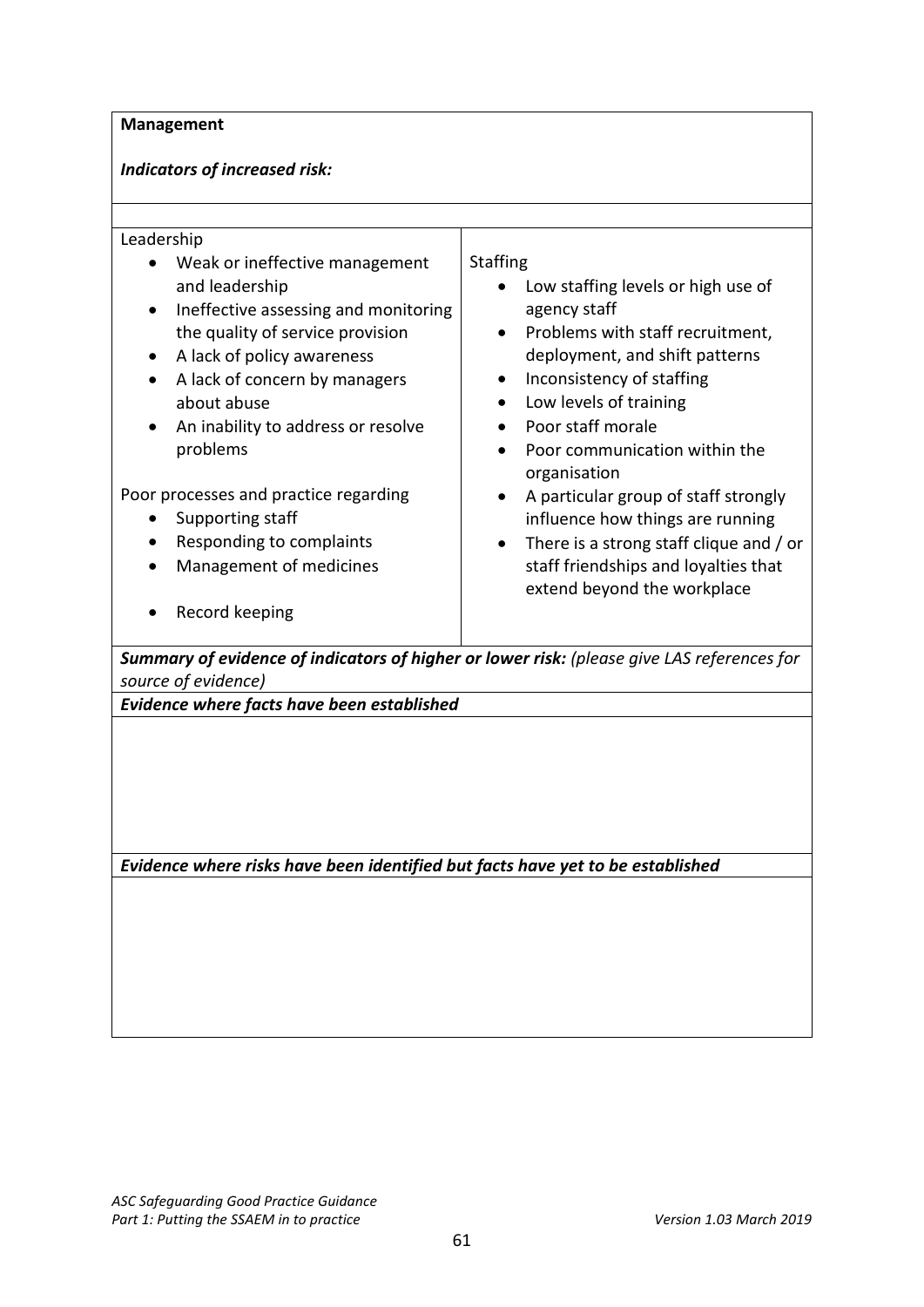#### **Management**

#### *Indicators of increased risk:*

#### Leadership

- Weak or ineffective management and leadership
- Ineffective assessing and monitoring the quality of service provision
- A lack of policy awareness
- A lack of concern by managers about abuse
- An inability to address or resolve problems

Poor processes and practice regarding

- Supporting staff
- Responding to complaints
- Management of medicines
- Record keeping

### **Staffing**

- Low staffing levels or high use of agency staff
- Problems with staff recruitment, deployment, and shift patterns
- Inconsistency of staffing
- Low levels of training
- Poor staff morale
- Poor communication within the organisation
- A particular group of staff strongly influence how things are running
- There is a strong staff clique and / or staff friendships and loyalties that extend beyond the workplace

*Summary of evidence of indicators of higher or lower risk: (please give LAS references for source of evidence)*

*Evidence where facts have been established*

*Evidence where risks have been identified but facts have yet to be established*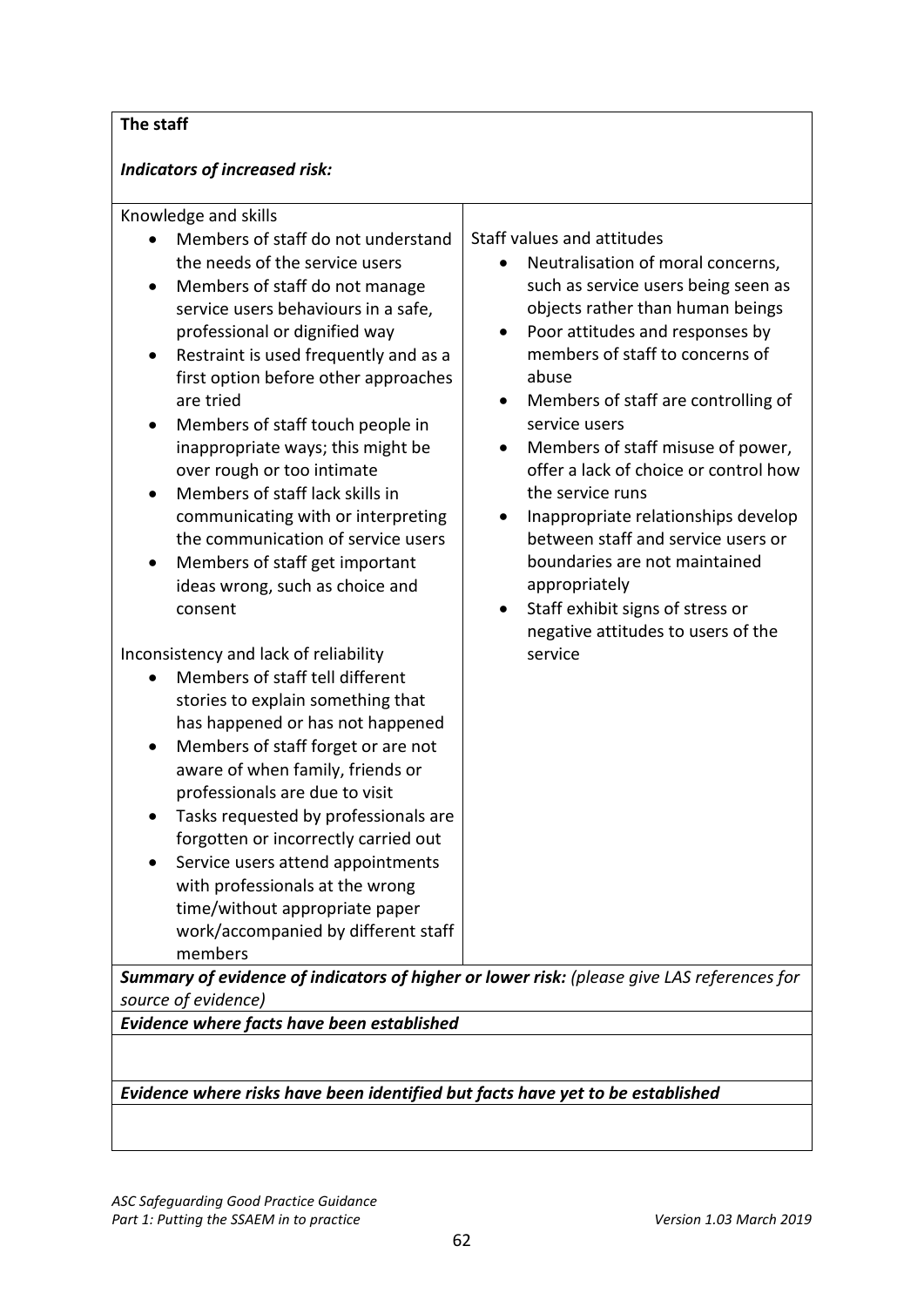# **The staff**

# *Indicators of increased risk:*

| Knowledge and skills<br>Members of staff do not understand<br>the needs of the service users<br>Members of staff do not manage<br>$\bullet$<br>service users behaviours in a safe,<br>professional or dignified way<br>Restraint is used frequently and as a<br>٠<br>first option before other approaches<br>are tried<br>Members of staff touch people in<br>٠<br>inappropriate ways; this might be<br>over rough or too intimate<br>Members of staff lack skills in<br>communicating with or interpreting<br>the communication of service users<br>Members of staff get important<br>ideas wrong, such as choice and<br>consent<br>Inconsistency and lack of reliability<br>Members of staff tell different<br>stories to explain something that<br>has happened or has not happened<br>Members of staff forget or are not<br>aware of when family, friends or<br>professionals are due to visit<br>Tasks requested by professionals are<br>٠<br>forgotten or incorrectly carried out<br>Service users attend appointments<br>with professionals at the wrong | Staff values and attitudes<br>Neutralisation of moral concerns,<br>such as service users being seen as<br>objects rather than human beings<br>Poor attitudes and responses by<br>$\bullet$<br>members of staff to concerns of<br>abuse<br>Members of staff are controlling of<br>service users<br>Members of staff misuse of power,<br>$\bullet$<br>offer a lack of choice or control how<br>the service runs<br>Inappropriate relationships develop<br>$\bullet$<br>between staff and service users or<br>boundaries are not maintained<br>appropriately<br>Staff exhibit signs of stress or<br>$\bullet$<br>negative attitudes to users of the<br>service |
|-----------------------------------------------------------------------------------------------------------------------------------------------------------------------------------------------------------------------------------------------------------------------------------------------------------------------------------------------------------------------------------------------------------------------------------------------------------------------------------------------------------------------------------------------------------------------------------------------------------------------------------------------------------------------------------------------------------------------------------------------------------------------------------------------------------------------------------------------------------------------------------------------------------------------------------------------------------------------------------------------------------------------------------------------------------------|-------------------------------------------------------------------------------------------------------------------------------------------------------------------------------------------------------------------------------------------------------------------------------------------------------------------------------------------------------------------------------------------------------------------------------------------------------------------------------------------------------------------------------------------------------------------------------------------------------------------------------------------------------------|
| time/without appropriate paper<br>work/accompanied by different staff<br>members<br>Summary of evidence of indicators of higher or lower risk: (please give LAS references for<br>source of evidence)                                                                                                                                                                                                                                                                                                                                                                                                                                                                                                                                                                                                                                                                                                                                                                                                                                                           |                                                                                                                                                                                                                                                                                                                                                                                                                                                                                                                                                                                                                                                             |
| Evidence where facts have been established                                                                                                                                                                                                                                                                                                                                                                                                                                                                                                                                                                                                                                                                                                                                                                                                                                                                                                                                                                                                                      |                                                                                                                                                                                                                                                                                                                                                                                                                                                                                                                                                                                                                                                             |

## *Evidence where risks have been identified but facts have yet to be established*

*ASC Safeguarding Good Practice Guidance* Part 1: Putting the SSAEM in to practice *Version 1.03 March 2019*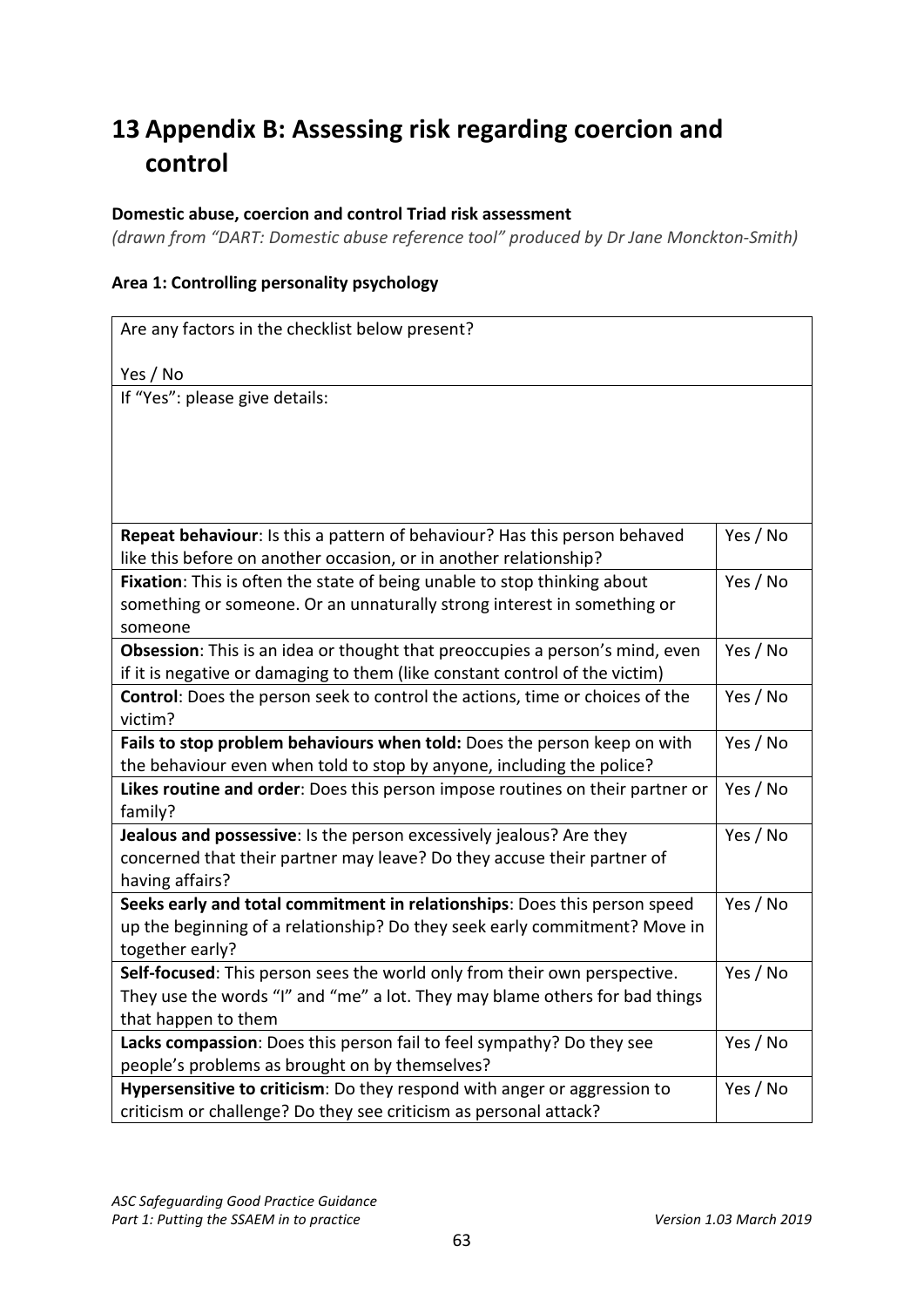# <span id="page-62-0"></span>**13 Appendix B: Assessing risk regarding coercion and control**

### **Domestic abuse, coercion and control Triad risk assessment**

*(drawn from "DART: Domestic abuse reference tool" produced by Dr Jane Monckton-Smith)*

#### **Area 1: Controlling personality psychology**

| Are any factors in the checklist below present?                                          |          |
|------------------------------------------------------------------------------------------|----------|
| Yes / No                                                                                 |          |
| If "Yes": please give details:                                                           |          |
|                                                                                          |          |
|                                                                                          |          |
|                                                                                          |          |
|                                                                                          |          |
|                                                                                          |          |
| Repeat behaviour: Is this a pattern of behaviour? Has this person behaved                | Yes / No |
| like this before on another occasion, or in another relationship?                        |          |
| Fixation: This is often the state of being unable to stop thinking about                 | Yes / No |
| something or someone. Or an unnaturally strong interest in something or                  |          |
| someone                                                                                  |          |
| Obsession: This is an idea or thought that preoccupies a person's mind, even             | Yes / No |
| if it is negative or damaging to them (like constant control of the victim)              |          |
| Control: Does the person seek to control the actions, time or choices of the             | Yes / No |
| victim?                                                                                  |          |
| Fails to stop problem behaviours when told: Does the person keep on with                 | Yes / No |
| the behaviour even when told to stop by anyone, including the police?                    |          |
| Likes routine and order: Does this person impose routines on their partner or<br>family? | Yes / No |
| Jealous and possessive: Is the person excessively jealous? Are they                      | Yes / No |
| concerned that their partner may leave? Do they accuse their partner of                  |          |
| having affairs?                                                                          |          |
| Seeks early and total commitment in relationships: Does this person speed                | Yes / No |
| up the beginning of a relationship? Do they seek early commitment? Move in               |          |
| together early?                                                                          |          |
| Self-focused: This person sees the world only from their own perspective.                | Yes / No |
| They use the words "I" and "me" a lot. They may blame others for bad things              |          |
| that happen to them                                                                      |          |
| Lacks compassion: Does this person fail to feel sympathy? Do they see                    | Yes / No |
| people's problems as brought on by themselves?                                           |          |
| Hypersensitive to criticism: Do they respond with anger or aggression to                 | Yes / No |
| criticism or challenge? Do they see criticism as personal attack?                        |          |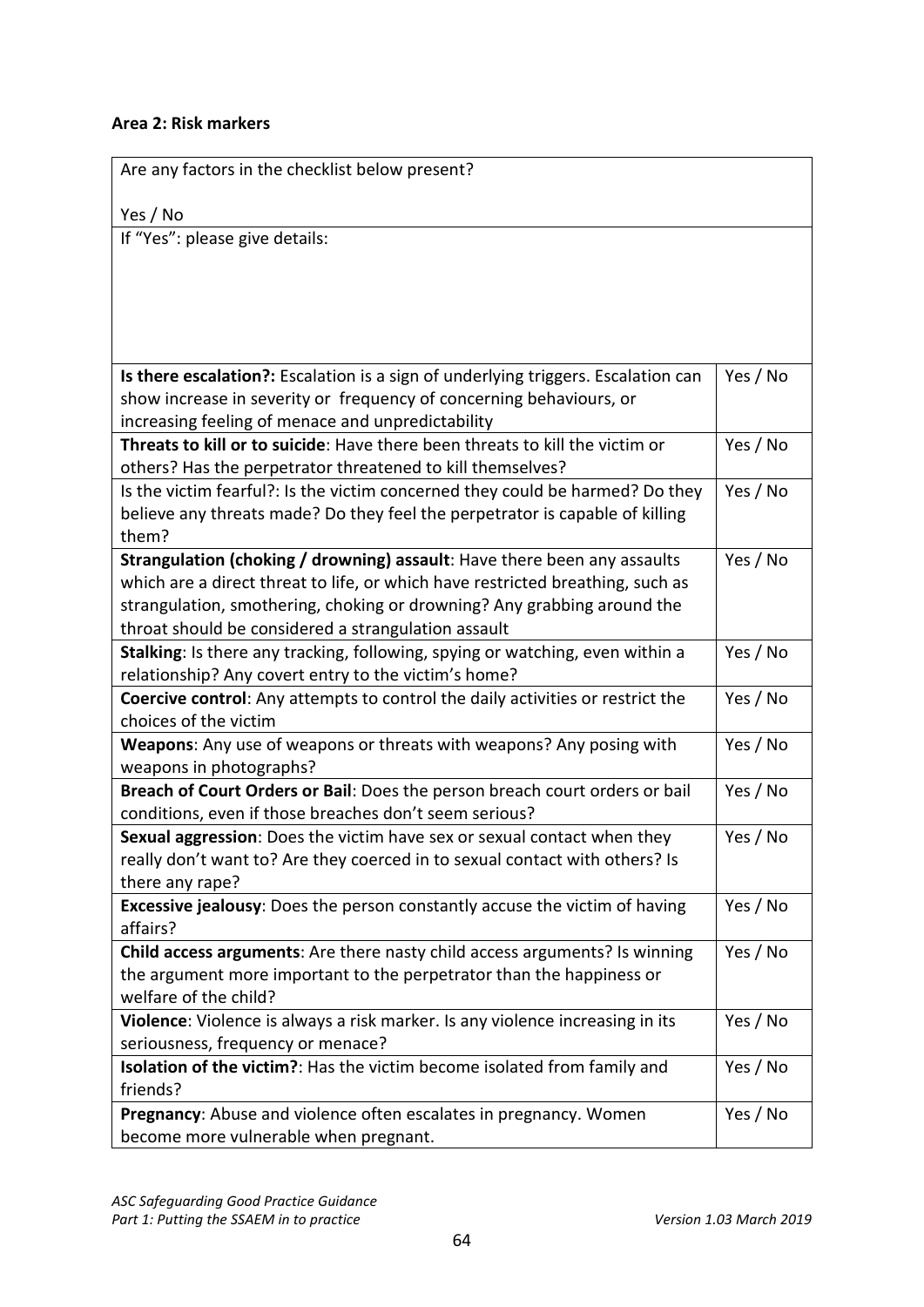### **Area 2: Risk markers**

| Are any factors in the checklist below present?                                                                                                           |          |
|-----------------------------------------------------------------------------------------------------------------------------------------------------------|----------|
| Yes / No                                                                                                                                                  |          |
| If "Yes": please give details:                                                                                                                            |          |
|                                                                                                                                                           |          |
|                                                                                                                                                           |          |
|                                                                                                                                                           |          |
|                                                                                                                                                           |          |
|                                                                                                                                                           |          |
| Is there escalation?: Escalation is a sign of underlying triggers. Escalation can                                                                         | Yes / No |
| show increase in severity or frequency of concerning behaviours, or                                                                                       |          |
| increasing feeling of menace and unpredictability                                                                                                         |          |
| Threats to kill or to suicide: Have there been threats to kill the victim or                                                                              | Yes / No |
| others? Has the perpetrator threatened to kill themselves?                                                                                                |          |
| Is the victim fearful?: Is the victim concerned they could be harmed? Do they                                                                             | Yes / No |
| believe any threats made? Do they feel the perpetrator is capable of killing                                                                              |          |
| them?                                                                                                                                                     |          |
| Strangulation (choking / drowning) assault: Have there been any assaults                                                                                  | Yes / No |
| which are a direct threat to life, or which have restricted breathing, such as<br>strangulation, smothering, choking or drowning? Any grabbing around the |          |
| throat should be considered a strangulation assault                                                                                                       |          |
| Stalking: Is there any tracking, following, spying or watching, even within a                                                                             | Yes / No |
| relationship? Any covert entry to the victim's home?                                                                                                      |          |
| Coercive control: Any attempts to control the daily activities or restrict the                                                                            | Yes / No |
| choices of the victim                                                                                                                                     |          |
| Weapons: Any use of weapons or threats with weapons? Any posing with                                                                                      | Yes / No |
| weapons in photographs?                                                                                                                                   |          |
| Breach of Court Orders or Bail: Does the person breach court orders or bail                                                                               | Yes / No |
| conditions, even if those breaches don't seem serious?                                                                                                    |          |
| Sexual aggression: Does the victim have sex or sexual contact when they                                                                                   | Yes / No |
| really don't want to? Are they coerced in to sexual contact with others? Is                                                                               |          |
| there any rape?                                                                                                                                           |          |
| Excessive jealousy: Does the person constantly accuse the victim of having                                                                                | Yes / No |
| affairs?                                                                                                                                                  |          |
| Child access arguments: Are there nasty child access arguments? Is winning                                                                                | Yes / No |
| the argument more important to the perpetrator than the happiness or                                                                                      |          |
| welfare of the child?                                                                                                                                     |          |
| Violence: Violence is always a risk marker. Is any violence increasing in its                                                                             | Yes / No |
| seriousness, frequency or menace?                                                                                                                         |          |
| Isolation of the victim?: Has the victim become isolated from family and                                                                                  | Yes / No |
| friends?                                                                                                                                                  |          |
| Pregnancy: Abuse and violence often escalates in pregnancy. Women                                                                                         | Yes / No |
| become more vulnerable when pregnant.                                                                                                                     |          |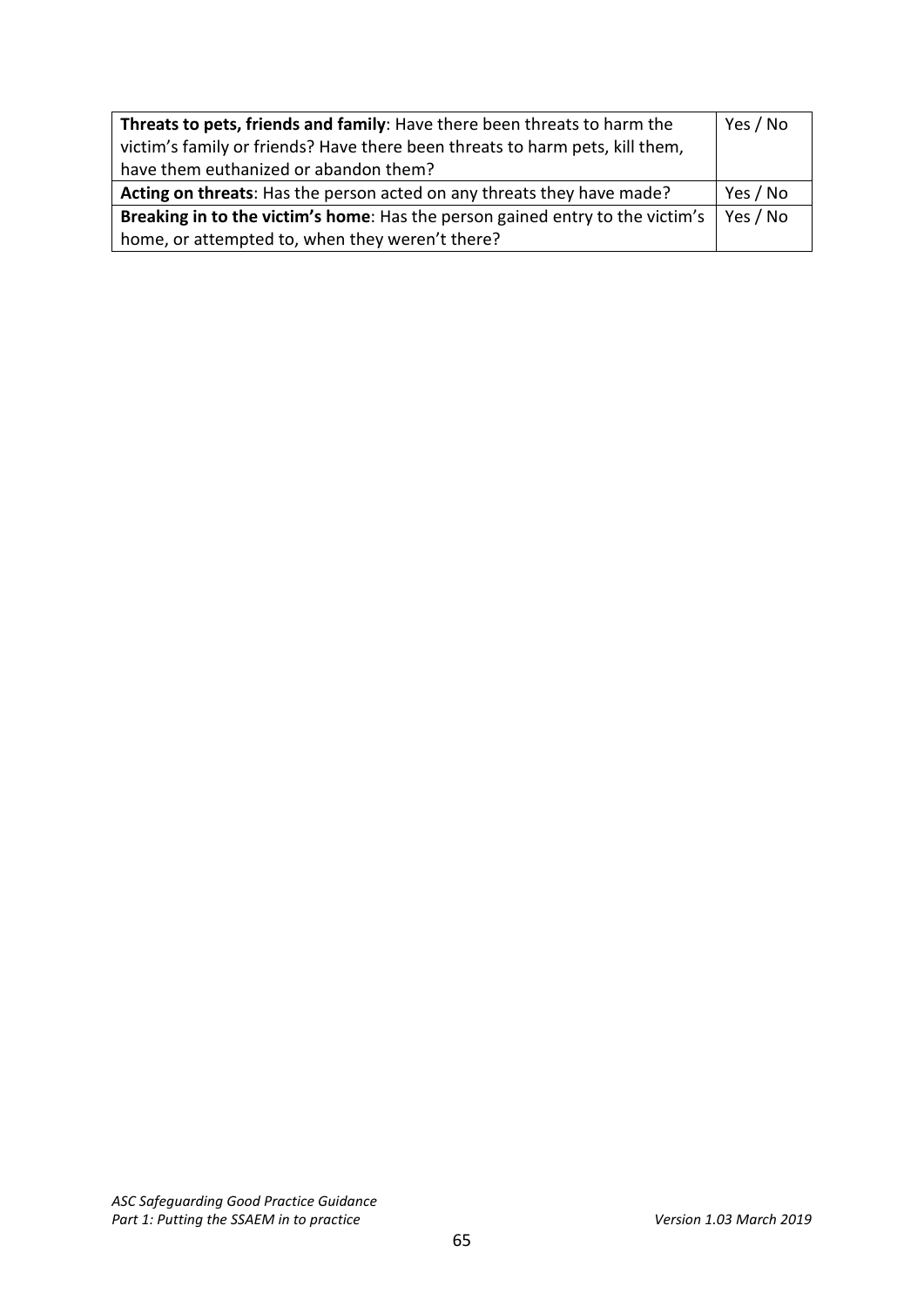| Threats to pets, friends and family: Have there been threats to harm the<br>victim's family or friends? Have there been threats to harm pets, kill them,<br>have them euthanized or abandon them? | Yes / No |
|---------------------------------------------------------------------------------------------------------------------------------------------------------------------------------------------------|----------|
| Acting on threats: Has the person acted on any threats they have made?                                                                                                                            | Yes / No |
| Breaking in to the victim's home: Has the person gained entry to the victim's                                                                                                                     |          |
| home, or attempted to, when they weren't there?                                                                                                                                                   |          |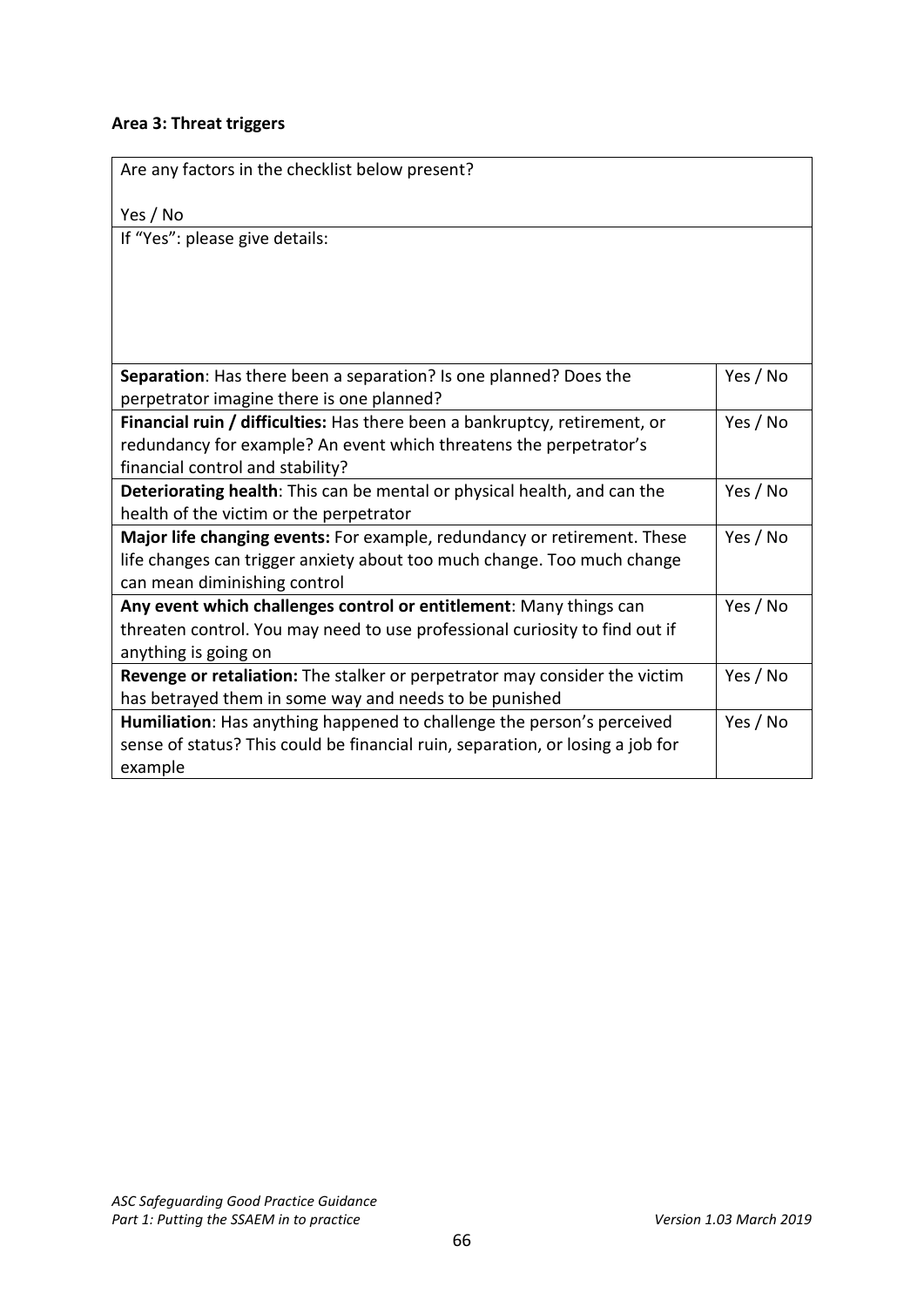## **Area 3: Threat triggers**

| Are any factors in the checklist below present?                                |          |
|--------------------------------------------------------------------------------|----------|
| Yes / No                                                                       |          |
| If "Yes": please give details:                                                 |          |
|                                                                                |          |
|                                                                                |          |
|                                                                                |          |
|                                                                                |          |
| Separation: Has there been a separation? Is one planned? Does the              | Yes / No |
| perpetrator imagine there is one planned?                                      |          |
| Financial ruin / difficulties: Has there been a bankruptcy, retirement, or     | Yes / No |
| redundancy for example? An event which threatens the perpetrator's             |          |
| financial control and stability?                                               |          |
| Deteriorating health: This can be mental or physical health, and can the       | Yes / No |
| health of the victim or the perpetrator                                        |          |
| Major life changing events: For example, redundancy or retirement. These       | Yes / No |
| life changes can trigger anxiety about too much change. Too much change        |          |
| can mean diminishing control                                                   |          |
| Any event which challenges control or entitlement: Many things can             | Yes / No |
| threaten control. You may need to use professional curiosity to find out if    |          |
| anything is going on                                                           |          |
| Revenge or retaliation: The stalker or perpetrator may consider the victim     | Yes / No |
| has betrayed them in some way and needs to be punished                         |          |
| Humiliation: Has anything happened to challenge the person's perceived         | Yes / No |
| sense of status? This could be financial ruin, separation, or losing a job for |          |
| example                                                                        |          |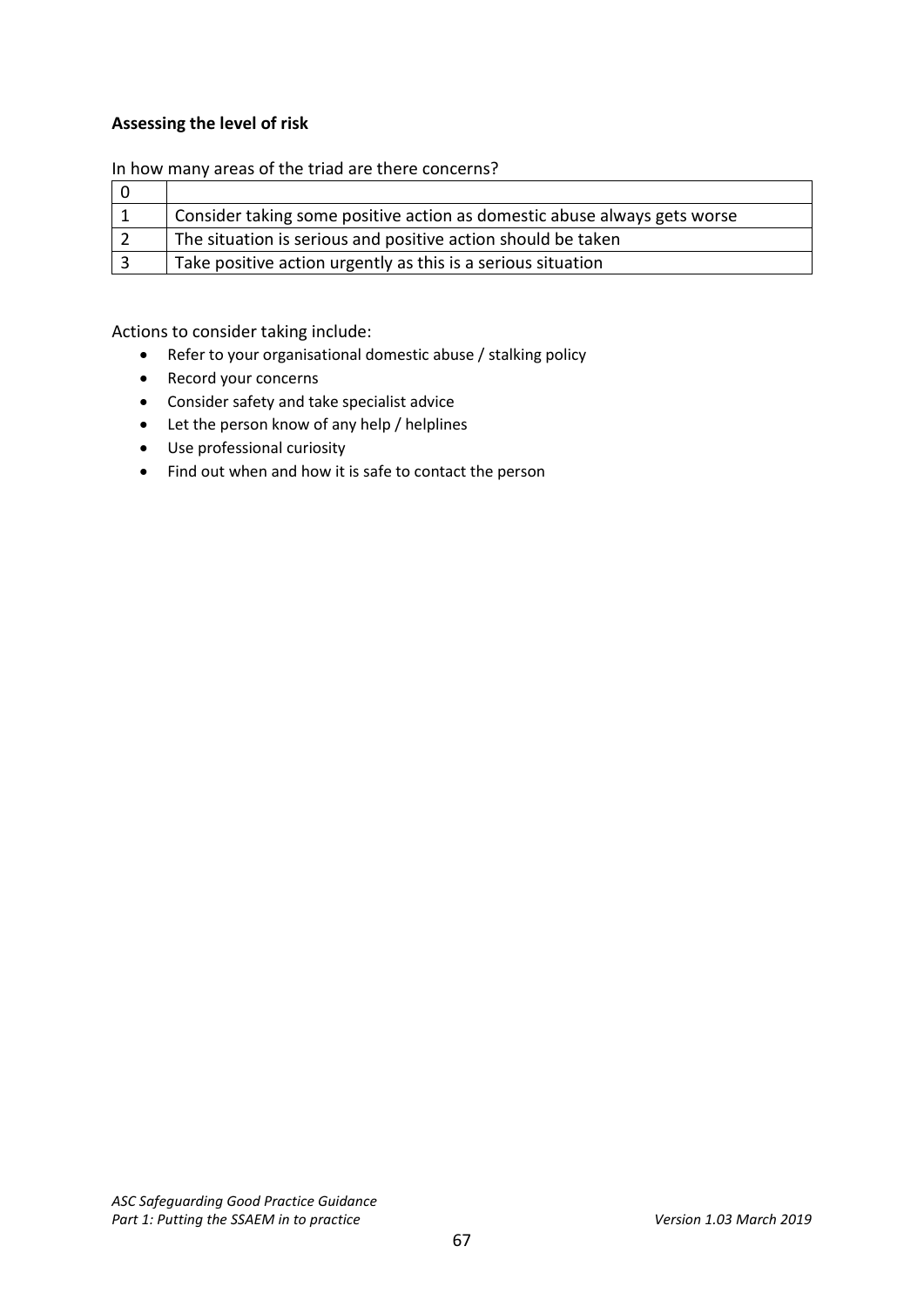## **Assessing the level of risk**

#### In how many areas of the triad are there concerns?

| Consider taking some positive action as domestic abuse always gets worse |
|--------------------------------------------------------------------------|
| The situation is serious and positive action should be taken             |
| Take positive action urgently as this is a serious situation             |

Actions to consider taking include:

- Refer to your organisational domestic abuse / stalking policy
- Record your concerns
- Consider safety and take specialist advice
- Let the person know of any help / helplines
- Use professional curiosity
- Find out when and how it is safe to contact the person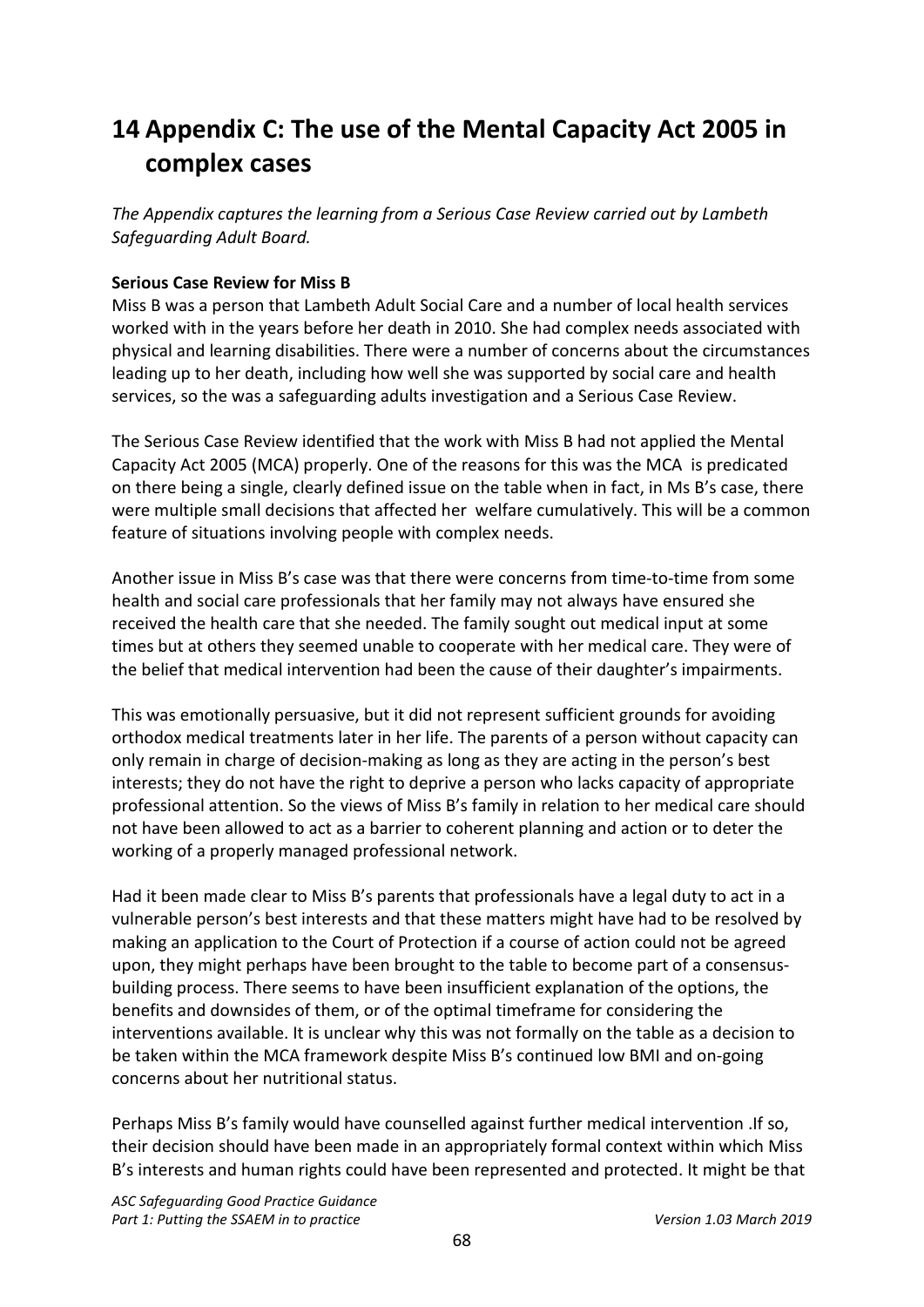# <span id="page-67-0"></span>**14 Appendix C: The use of the Mental Capacity Act 2005 in complex cases**

*The Appendix captures the learning from a Serious Case Review carried out by Lambeth Safeguarding Adult Board.* 

### **Serious Case Review for Miss B**

Miss B was a person that Lambeth Adult Social Care and a number of local health services worked with in the years before her death in 2010. She had complex needs associated with physical and learning disabilities. There were a number of concerns about the circumstances leading up to her death, including how well she was supported by social care and health services, so the was a safeguarding adults investigation and a Serious Case Review.

The Serious Case Review identified that the work with Miss B had not applied the Mental Capacity Act 2005 (MCA) properly. One of the reasons for this was the MCA is predicated on there being a single, clearly defined issue on the table when in fact, in Ms B's case, there were multiple small decisions that affected her welfare cumulatively. This will be a common feature of situations involving people with complex needs.

Another issue in Miss B's case was that there were concerns from time-to-time from some health and social care professionals that her family may not always have ensured she received the health care that she needed. The family sought out medical input at some times but at others they seemed unable to cooperate with her medical care. They were of the belief that medical intervention had been the cause of their daughter's impairments.

This was emotionally persuasive, but it did not represent sufficient grounds for avoiding orthodox medical treatments later in her life. The parents of a person without capacity can only remain in charge of decision-making as long as they are acting in the person's best interests; they do not have the right to deprive a person who lacks capacity of appropriate professional attention. So the views of Miss B's family in relation to her medical care should not have been allowed to act as a barrier to coherent planning and action or to deter the working of a properly managed professional network.

Had it been made clear to Miss B's parents that professionals have a legal duty to act in a vulnerable person's best interests and that these matters might have had to be resolved by making an application to the Court of Protection if a course of action could not be agreed upon, they might perhaps have been brought to the table to become part of a consensusbuilding process. There seems to have been insufficient explanation of the options, the benefits and downsides of them, or of the optimal timeframe for considering the interventions available. It is unclear why this was not formally on the table as a decision to be taken within the MCA framework despite Miss B's continued low BMI and on-going concerns about her nutritional status.

Perhaps Miss B's family would have counselled against further medical intervention .If so, their decision should have been made in an appropriately formal context within which Miss B's interests and human rights could have been represented and protected. It might be that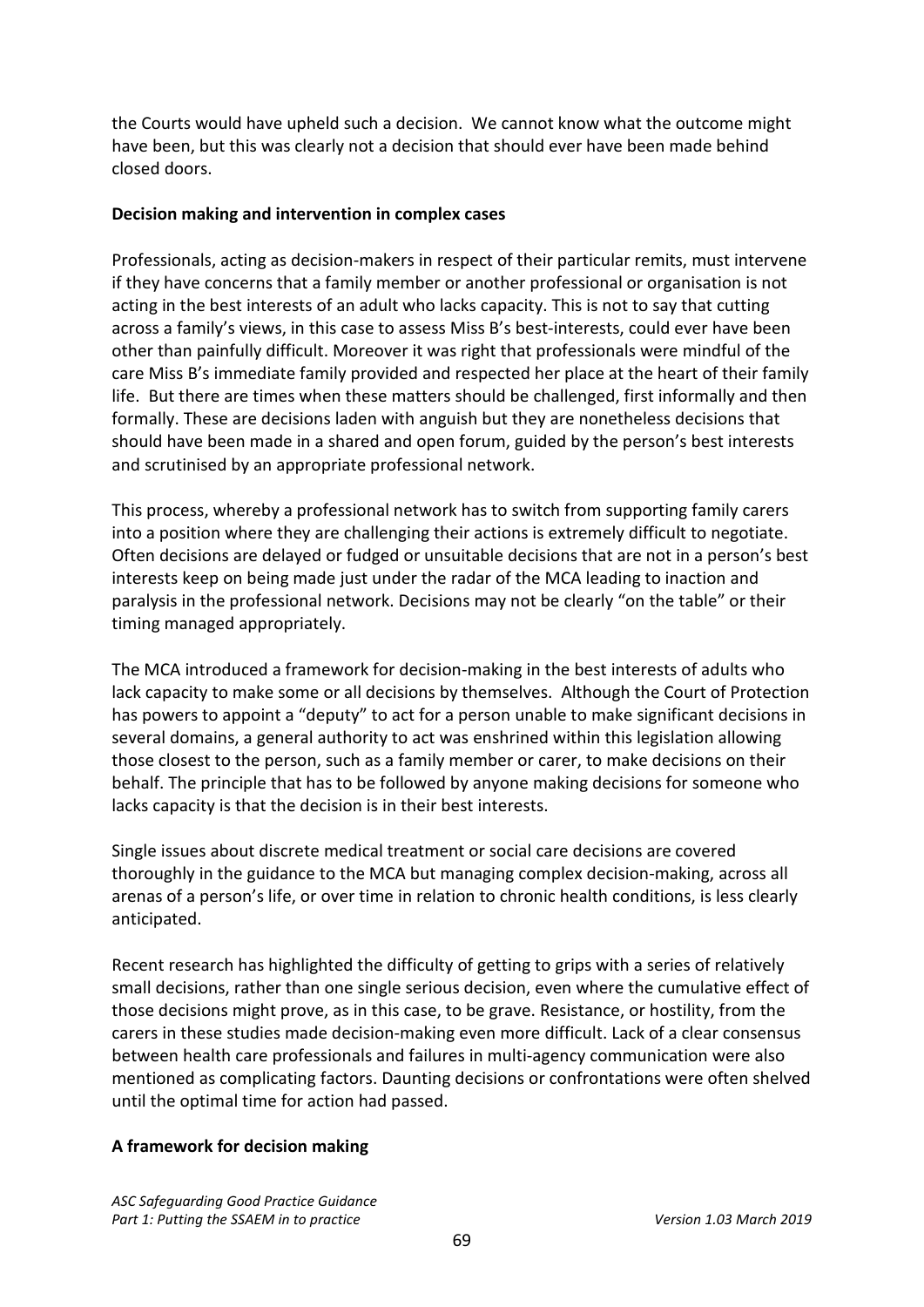the Courts would have upheld such a decision. We cannot know what the outcome might have been, but this was clearly not a decision that should ever have been made behind closed doors.

#### **Decision making and intervention in complex cases**

Professionals, acting as decision-makers in respect of their particular remits, must intervene if they have concerns that a family member or another professional or organisation is not acting in the best interests of an adult who lacks capacity. This is not to say that cutting across a family's views, in this case to assess Miss B's best-interests, could ever have been other than painfully difficult. Moreover it was right that professionals were mindful of the care Miss B's immediate family provided and respected her place at the heart of their family life. But there are times when these matters should be challenged, first informally and then formally. These are decisions laden with anguish but they are nonetheless decisions that should have been made in a shared and open forum, guided by the person's best interests and scrutinised by an appropriate professional network.

This process, whereby a professional network has to switch from supporting family carers into a position where they are challenging their actions is extremely difficult to negotiate. Often decisions are delayed or fudged or unsuitable decisions that are not in a person's best interests keep on being made just under the radar of the MCA leading to inaction and paralysis in the professional network. Decisions may not be clearly "on the table" or their timing managed appropriately.

The MCA introduced a framework for decision-making in the best interests of adults who lack capacity to make some or all decisions by themselves. Although the Court of Protection has powers to appoint a "deputy" to act for a person unable to make significant decisions in several domains, a general authority to act was enshrined within this legislation allowing those closest to the person, such as a family member or carer, to make decisions on their behalf. The principle that has to be followed by anyone making decisions for someone who lacks capacity is that the decision is in their best interests.

Single issues about discrete medical treatment or social care decisions are covered thoroughly in the guidance to the MCA but managing complex decision-making, across all arenas of a person's life, or over time in relation to chronic health conditions, is less clearly anticipated.

Recent research has highlighted the difficulty of getting to grips with a series of relatively small decisions, rather than one single serious decision, even where the cumulative effect of those decisions might prove, as in this case, to be grave. Resistance, or hostility, from the carers in these studies made decision-making even more difficult. Lack of a clear consensus between health care professionals and failures in multi-agency communication were also mentioned as complicating factors. Daunting decisions or confrontations were often shelved until the optimal time for action had passed.

### **A framework for decision making**

*ASC Safeguarding Good Practice Guidance* Part 1: Putting the SSAEM in to practice *Version 1.03 March 2019*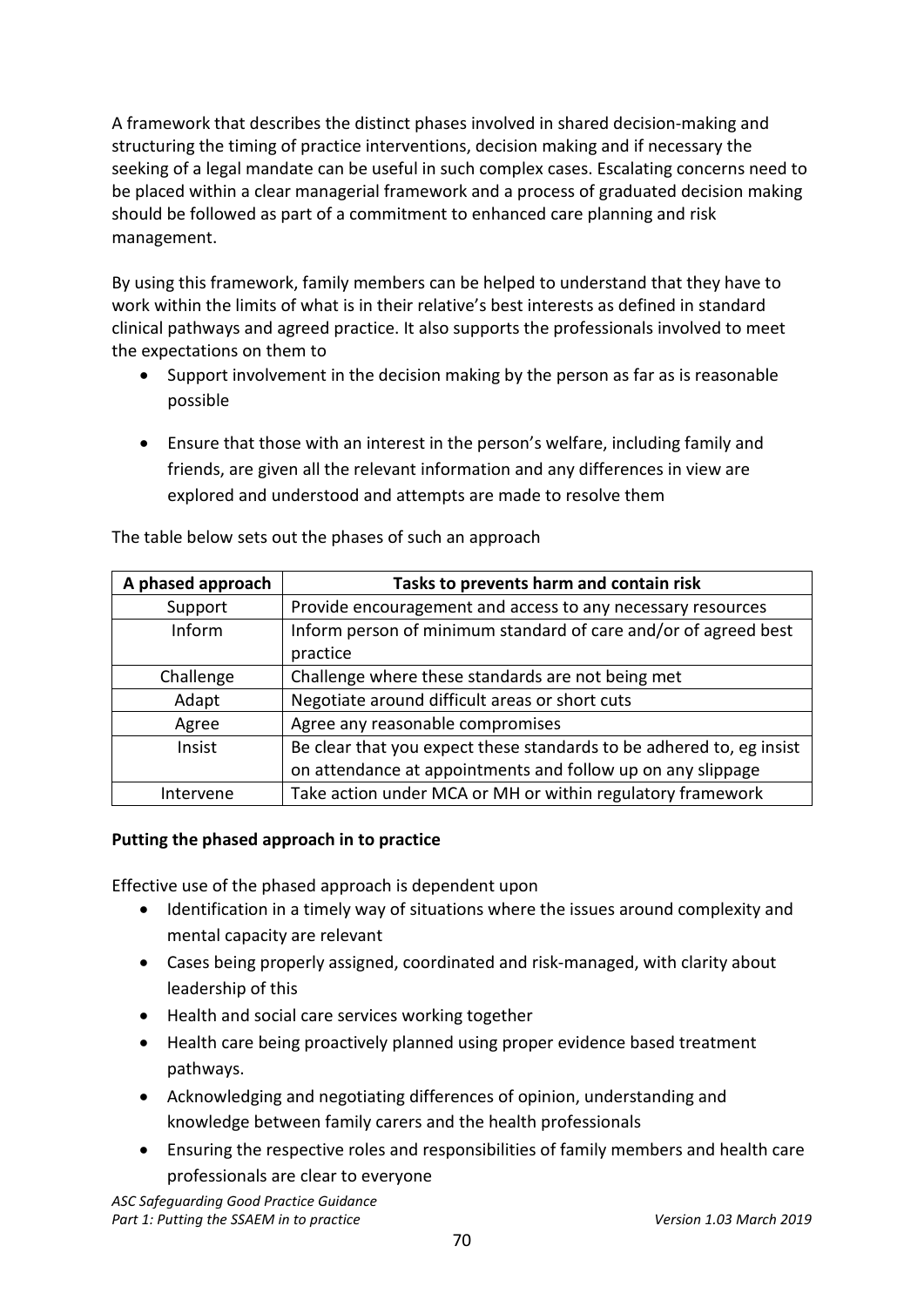A framework that describes the distinct phases involved in shared decision-making and structuring the timing of practice interventions, decision making and if necessary the seeking of a legal mandate can be useful in such complex cases. Escalating concerns need to be placed within a clear managerial framework and a process of graduated decision making should be followed as part of a commitment to enhanced care planning and risk management.

By using this framework, family members can be helped to understand that they have to work within the limits of what is in their relative's best interests as defined in standard clinical pathways and agreed practice. It also supports the professionals involved to meet the expectations on them to

- Support involvement in the decision making by the person as far as is reasonable possible
- Ensure that those with an interest in the person's welfare, including family and friends, are given all the relevant information and any differences in view are explored and understood and attempts are made to resolve them

| A phased approach | Tasks to prevents harm and contain risk                              |
|-------------------|----------------------------------------------------------------------|
| Support           | Provide encouragement and access to any necessary resources          |
| Inform            | Inform person of minimum standard of care and/or of agreed best      |
|                   | practice                                                             |
| Challenge         | Challenge where these standards are not being met                    |
| Adapt             | Negotiate around difficult areas or short cuts                       |
| Agree             | Agree any reasonable compromises                                     |
| Insist            | Be clear that you expect these standards to be adhered to, eg insist |
|                   | on attendance at appointments and follow up on any slippage          |
| Intervene         | Take action under MCA or MH or within regulatory framework           |

The table below sets out the phases of such an approach

### **Putting the phased approach in to practice**

Effective use of the phased approach is dependent upon

- Identification in a timely way of situations where the issues around complexity and mental capacity are relevant
- Cases being properly assigned, coordinated and risk-managed, with clarity about leadership of this
- Health and social care services working together
- Health care being proactively planned using proper evidence based treatment pathways.
- Acknowledging and negotiating differences of opinion, understanding and knowledge between family carers and the health professionals
- Ensuring the respective roles and responsibilities of family members and health care professionals are clear to everyone

*ASC Safeguarding Good Practice Guidance* Part 1: Putting the SSAEM in to practice Version 2019 **Version 1.03 March 2019**